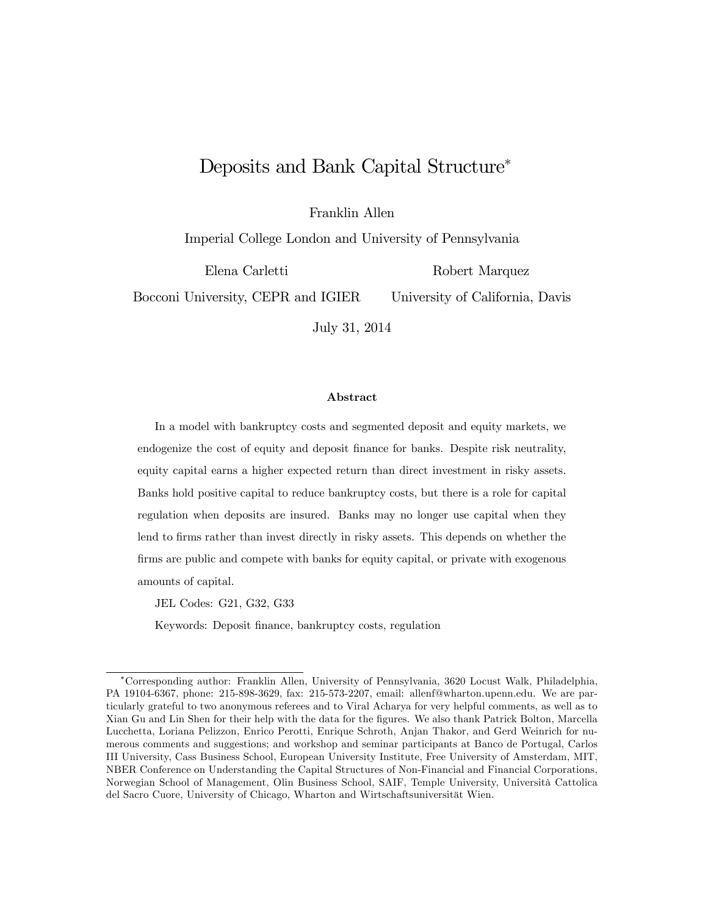# Deposits and Bank Capital Structure<sup>∗</sup>

Franklin Allen

Imperial College London and University of Pennsylvania

Elena Carletti

Robert Marquez

Bocconi University, CEPR and IGIER

University of California, Davis

July 31, 2014

#### Abstract

In a model with bankruptcy costs and segmented deposit and equity markets, we endogenize the cost of equity and deposit finance for banks. Despite risk neutrality, equity capital earns a higher expected return than direct investment in risky assets. Banks hold positive capital to reduce bankruptcy costs, but there is a role for capital regulation when deposits are insured. Banks may no longer use capital when they lend to firms rather than invest directly in risky assets. This depends on whether the firms are public and compete with banks for equity capital, or private with exogenous amounts of capital.

JEL Codes: G21, G32, G33

Keywords: Deposit finance, bankruptcy costs, regulation

<sup>∗</sup>Corresponding author: Franklin Allen, University of Pennsylvania, 3620 Locust Walk, Philadelphia, PA 19104-6367, phone: 215-898-3629, fax: 215-573-2207, email: allenf@wharton.upenn.edu. We are particularly grateful to two anonymous referees and to Viral Acharya for very helpful comments, as well as to Xian Gu and Lin Shen for their help with the data for the figures. We also thank Patrick Bolton, Marcella Lucchetta, Loriana Pelizzon, Enrico Perotti, Enrique Schroth, Anjan Thakor, and Gerd Weinrich for numerous comments and suggestions; and workshop and seminar participants at Banco de Portugal, Carlos III University, Cass Business School, European University Institute, Free University of Amsterdam, MIT, NBER Conference on Understanding the Capital Structures of Non-Financial and Financial Corporations, Norwegian School of Management, Olin Business School, SAIF, Temple University, Università Cattolica del Sacro Cuore, University of Chicago, Wharton and Wirtschaftsuniversität Wien.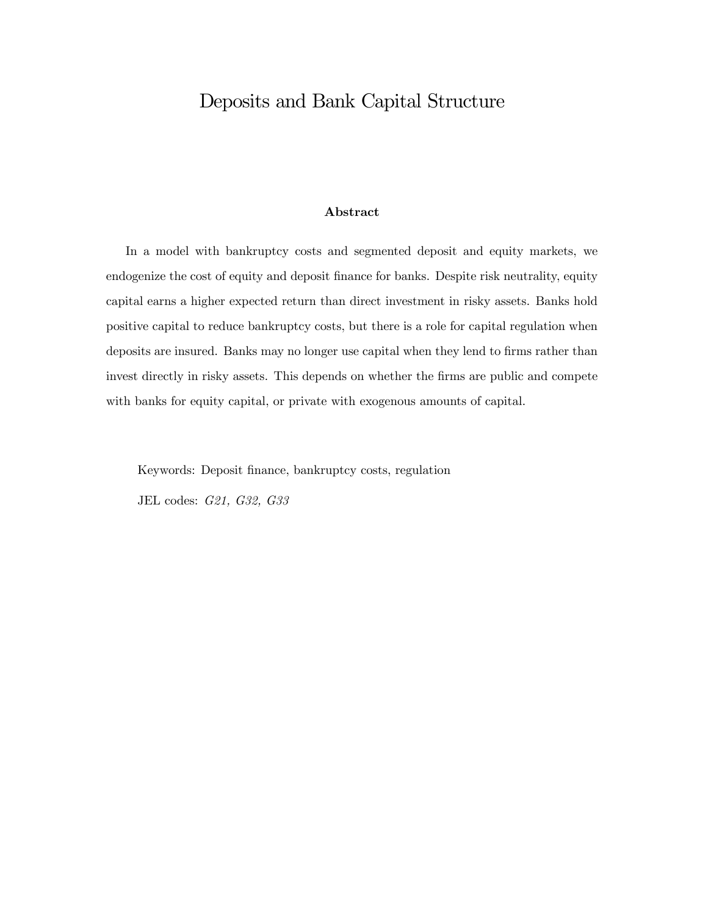# Deposits and Bank Capital Structure

### Abstract

In a model with bankruptcy costs and segmented deposit and equity markets, we endogenize the cost of equity and deposit finance for banks. Despite risk neutrality, equity capital earns a higher expected return than direct investment in risky assets. Banks hold positive capital to reduce bankruptcy costs, but there is a role for capital regulation when deposits are insured. Banks may no longer use capital when they lend to firms rather than invest directly in risky assets. This depends on whether the firms are public and compete with banks for equity capital, or private with exogenous amounts of capital.

Keywords: Deposit finance, bankruptcy costs, regulation JEL codes: G21, G32, G33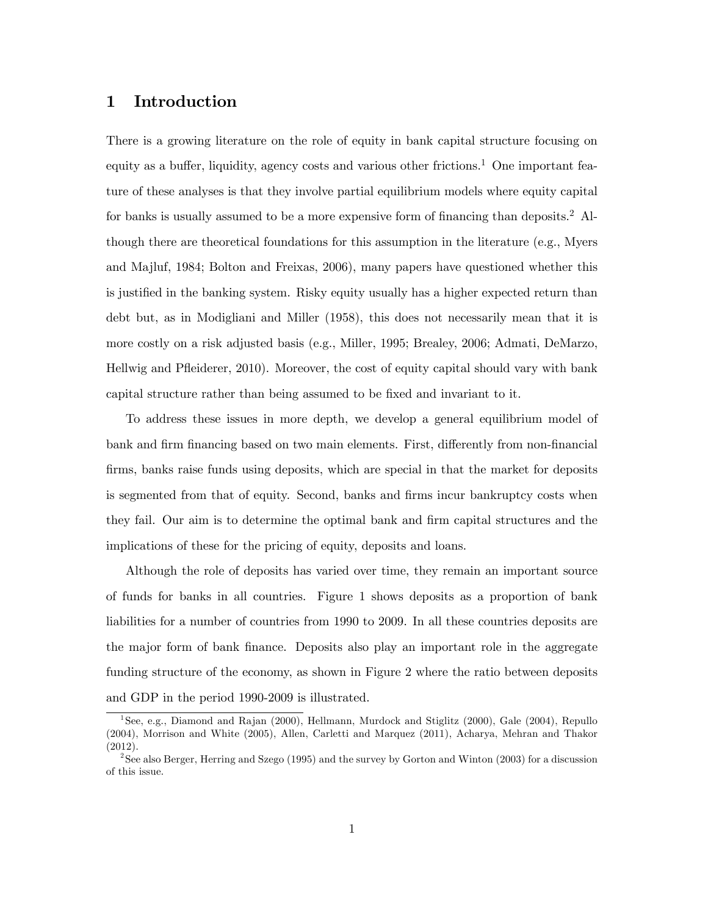# 1 Introduction

There is a growing literature on the role of equity in bank capital structure focusing on equity as a buffer, liquidity, agency costs and various other frictions.<sup>1</sup> One important feature of these analyses is that they involve partial equilibrium models where equity capital for banks is usually assumed to be a more expensive form of financing than deposits.2 Although there are theoretical foundations for this assumption in the literature (e.g., Myers and Majluf, 1984; Bolton and Freixas, 2006), many papers have questioned whether this is justified in the banking system. Risky equity usually has a higher expected return than debt but, as in Modigliani and Miller (1958), this does not necessarily mean that it is more costly on a risk adjusted basis (e.g., Miller, 1995; Brealey, 2006; Admati, DeMarzo, Hellwig and Pfleiderer, 2010). Moreover, the cost of equity capital should vary with bank capital structure rather than being assumed to be fixed and invariant to it.

To address these issues in more depth, we develop a general equilibrium model of bank and firm financing based on two main elements. First, differently from non-financial firms, banks raise funds using deposits, which are special in that the market for deposits is segmented from that of equity. Second, banks and firms incur bankruptcy costs when they fail. Our aim is to determine the optimal bank and firm capital structures and the implications of these for the pricing of equity, deposits and loans.

Although the role of deposits has varied over time, they remain an important source of funds for banks in all countries. Figure 1 shows deposits as a proportion of bank liabilities for a number of countries from 1990 to 2009. In all these countries deposits are the major form of bank finance. Deposits also play an important role in the aggregate funding structure of the economy, as shown in Figure 2 where the ratio between deposits and GDP in the period 1990-2009 is illustrated.

<sup>&</sup>lt;sup>1</sup> See, e.g., Diamond and Rajan (2000), Hellmann, Murdock and Stiglitz (2000), Gale (2004), Repullo (2004), Morrison and White (2005), Allen, Carletti and Marquez (2011), Acharya, Mehran and Thakor (2012).

<sup>&</sup>lt;sup>2</sup>See also Berger, Herring and Szego (1995) and the survey by Gorton and Winton (2003) for a discussion of this issue.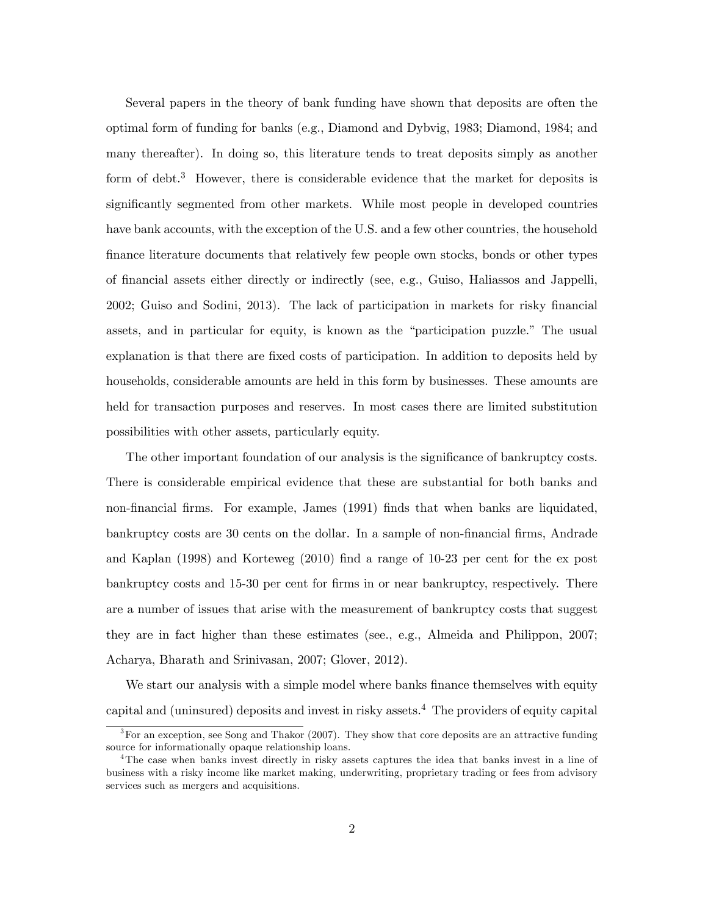Several papers in the theory of bank funding have shown that deposits are often the optimal form of funding for banks (e.g., Diamond and Dybvig, 1983; Diamond, 1984; and many thereafter). In doing so, this literature tends to treat deposits simply as another form of debt.<sup>3</sup> However, there is considerable evidence that the market for deposits is significantly segmented from other markets. While most people in developed countries have bank accounts, with the exception of the U.S. and a few other countries, the household finance literature documents that relatively few people own stocks, bonds or other types of financial assets either directly or indirectly (see, e.g., Guiso, Haliassos and Jappelli, 2002; Guiso and Sodini, 2013). The lack of participation in markets for risky financial assets, and in particular for equity, is known as the "participation puzzle." The usual explanation is that there are fixed costs of participation. In addition to deposits held by households, considerable amounts are held in this form by businesses. These amounts are held for transaction purposes and reserves. In most cases there are limited substitution possibilities with other assets, particularly equity.

The other important foundation of our analysis is the significance of bankruptcy costs. There is considerable empirical evidence that these are substantial for both banks and non-financial firms. For example, James (1991) finds that when banks are liquidated, bankruptcy costs are 30 cents on the dollar. In a sample of non-financial firms, Andrade and Kaplan (1998) and Korteweg (2010) find a range of 10-23 per cent for the ex post bankruptcy costs and 15-30 per cent for firms in or near bankruptcy, respectively. There are a number of issues that arise with the measurement of bankruptcy costs that suggest they are in fact higher than these estimates (see., e.g., Almeida and Philippon, 2007; Acharya, Bharath and Srinivasan, 2007; Glover, 2012).

We start our analysis with a simple model where banks finance themselves with equity capital and (uninsured) deposits and invest in risky assets.4 The providers of equity capital

 ${}^{3}$  For an exception, see Song and Thakor (2007). They show that core deposits are an attractive funding source for informationally opaque relationship loans.

<sup>&</sup>lt;sup>4</sup>The case when banks invest directly in risky assets captures the idea that banks invest in a line of business with a risky income like market making, underwriting, proprietary trading or fees from advisory services such as mergers and acquisitions.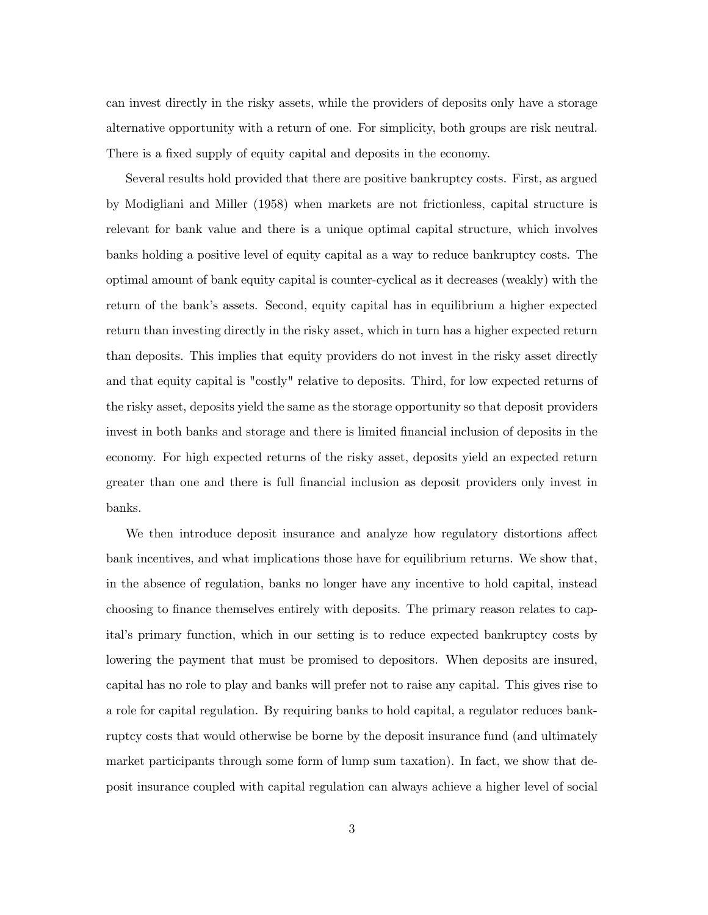can invest directly in the risky assets, while the providers of deposits only have a storage alternative opportunity with a return of one. For simplicity, both groups are risk neutral. There is a fixed supply of equity capital and deposits in the economy.

Several results hold provided that there are positive bankruptcy costs. First, as argued by Modigliani and Miller (1958) when markets are not frictionless, capital structure is relevant for bank value and there is a unique optimal capital structure, which involves banks holding a positive level of equity capital as a way to reduce bankruptcy costs. The optimal amount of bank equity capital is counter-cyclical as it decreases (weakly) with the return of the bank's assets. Second, equity capital has in equilibrium a higher expected return than investing directly in the risky asset, which in turn has a higher expected return than deposits. This implies that equity providers do not invest in the risky asset directly and that equity capital is "costly" relative to deposits. Third, for low expected returns of the risky asset, deposits yield the same as the storage opportunity so that deposit providers invest in both banks and storage and there is limited financial inclusion of deposits in the economy. For high expected returns of the risky asset, deposits yield an expected return greater than one and there is full financial inclusion as deposit providers only invest in banks.

We then introduce deposit insurance and analyze how regulatory distortions affect bank incentives, and what implications those have for equilibrium returns. We show that, in the absence of regulation, banks no longer have any incentive to hold capital, instead choosing to finance themselves entirely with deposits. The primary reason relates to capital's primary function, which in our setting is to reduce expected bankruptcy costs by lowering the payment that must be promised to depositors. When deposits are insured, capital has no role to play and banks will prefer not to raise any capital. This gives rise to a role for capital regulation. By requiring banks to hold capital, a regulator reduces bankruptcy costs that would otherwise be borne by the deposit insurance fund (and ultimately market participants through some form of lump sum taxation). In fact, we show that deposit insurance coupled with capital regulation can always achieve a higher level of social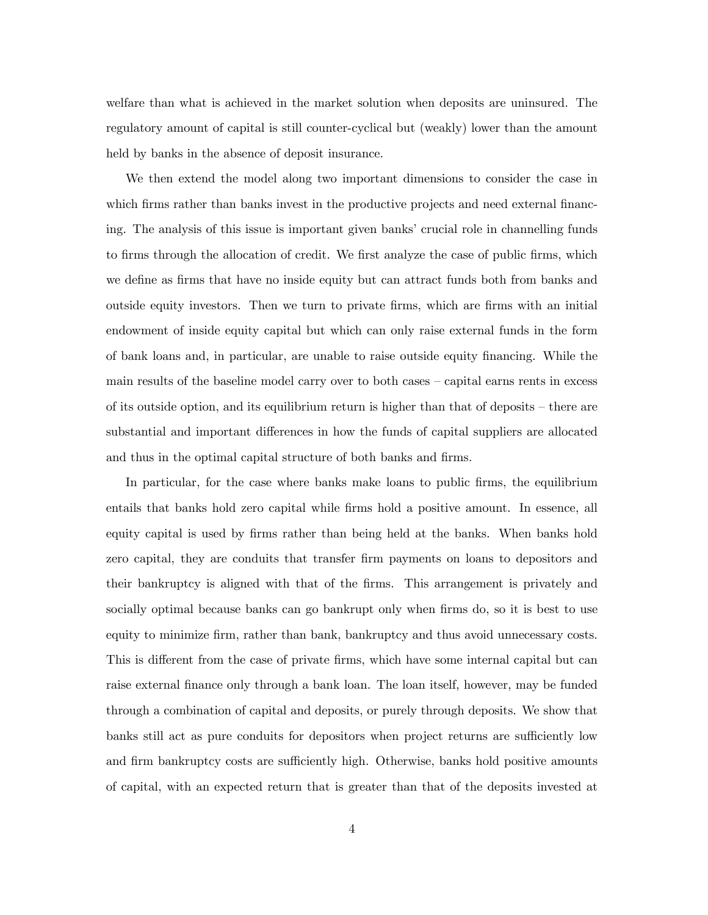welfare than what is achieved in the market solution when deposits are uninsured. The regulatory amount of capital is still counter-cyclical but (weakly) lower than the amount held by banks in the absence of deposit insurance.

We then extend the model along two important dimensions to consider the case in which firms rather than banks invest in the productive projects and need external financing. The analysis of this issue is important given banks' crucial role in channelling funds to firms through the allocation of credit. We first analyze the case of public firms, which we define as firms that have no inside equity but can attract funds both from banks and outside equity investors. Then we turn to private firms, which are firms with an initial endowment of inside equity capital but which can only raise external funds in the form of bank loans and, in particular, are unable to raise outside equity financing. While the main results of the baseline model carry over to both cases — capital earns rents in excess of its outside option, and its equilibrium return is higher than that of deposits — there are substantial and important differences in how the funds of capital suppliers are allocated and thus in the optimal capital structure of both banks and firms.

In particular, for the case where banks make loans to public firms, the equilibrium entails that banks hold zero capital while firms hold a positive amount. In essence, all equity capital is used by firms rather than being held at the banks. When banks hold zero capital, they are conduits that transfer firm payments on loans to depositors and their bankruptcy is aligned with that of the firms. This arrangement is privately and socially optimal because banks can go bankrupt only when firms do, so it is best to use equity to minimize firm, rather than bank, bankruptcy and thus avoid unnecessary costs. This is different from the case of private firms, which have some internal capital but can raise external finance only through a bank loan. The loan itself, however, may be funded through a combination of capital and deposits, or purely through deposits. We show that banks still act as pure conduits for depositors when project returns are sufficiently low and firm bankruptcy costs are sufficiently high. Otherwise, banks hold positive amounts of capital, with an expected return that is greater than that of the deposits invested at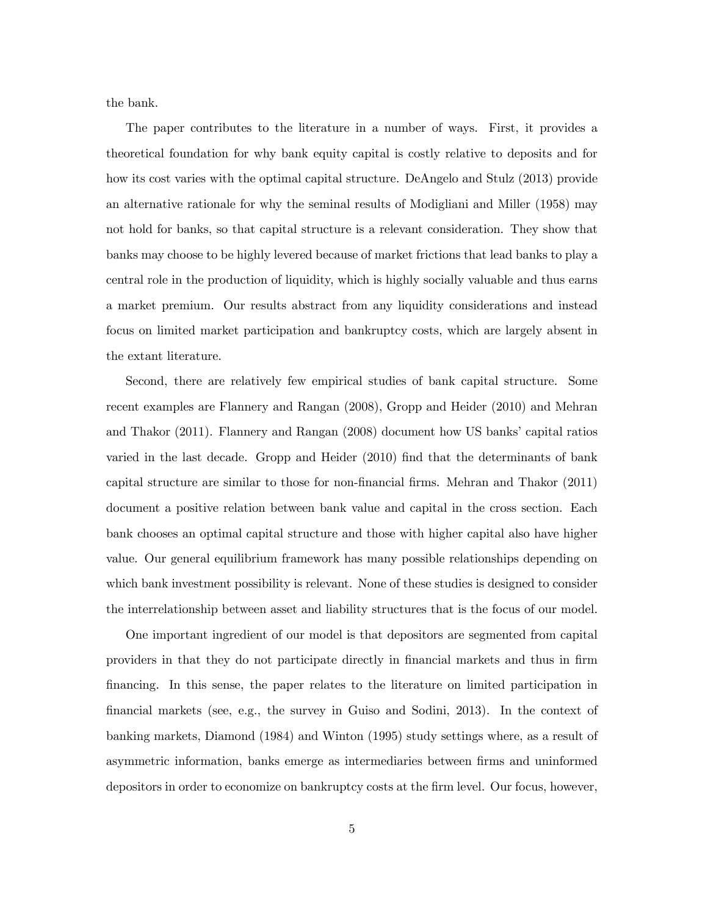the bank.

The paper contributes to the literature in a number of ways. First, it provides a theoretical foundation for why bank equity capital is costly relative to deposits and for how its cost varies with the optimal capital structure. DeAngelo and Stulz (2013) provide an alternative rationale for why the seminal results of Modigliani and Miller (1958) may not hold for banks, so that capital structure is a relevant consideration. They show that banks may choose to be highly levered because of market frictions that lead banks to play a central role in the production of liquidity, which is highly socially valuable and thus earns a market premium. Our results abstract from any liquidity considerations and instead focus on limited market participation and bankruptcy costs, which are largely absent in the extant literature.

Second, there are relatively few empirical studies of bank capital structure. Some recent examples are Flannery and Rangan (2008), Gropp and Heider (2010) and Mehran and Thakor (2011). Flannery and Rangan (2008) document how US banks' capital ratios varied in the last decade. Gropp and Heider (2010) find that the determinants of bank capital structure are similar to those for non-financial firms. Mehran and Thakor (2011) document a positive relation between bank value and capital in the cross section. Each bank chooses an optimal capital structure and those with higher capital also have higher value. Our general equilibrium framework has many possible relationships depending on which bank investment possibility is relevant. None of these studies is designed to consider the interrelationship between asset and liability structures that is the focus of our model.

One important ingredient of our model is that depositors are segmented from capital providers in that they do not participate directly in financial markets and thus in firm financing. In this sense, the paper relates to the literature on limited participation in financial markets (see, e.g., the survey in Guiso and Sodini, 2013). In the context of banking markets, Diamond (1984) and Winton (1995) study settings where, as a result of asymmetric information, banks emerge as intermediaries between firms and uninformed depositors in order to economize on bankruptcy costs at the firm level. Our focus, however,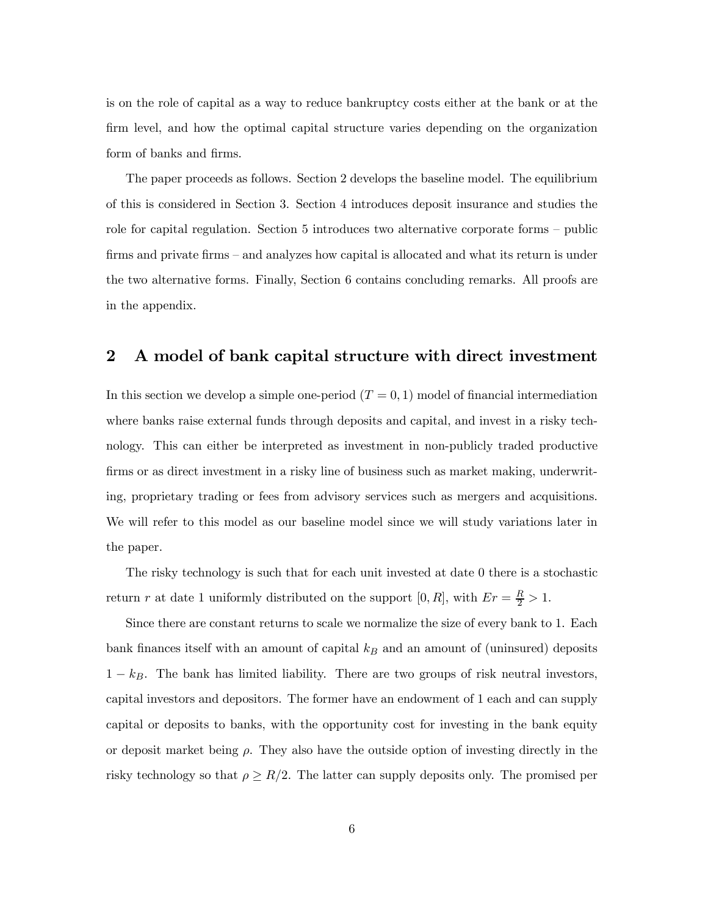is on the role of capital as a way to reduce bankruptcy costs either at the bank or at the firm level, and how the optimal capital structure varies depending on the organization form of banks and firms.

The paper proceeds as follows. Section 2 develops the baseline model. The equilibrium of this is considered in Section 3. Section 4 introduces deposit insurance and studies the role for capital regulation. Section 5 introduces two alternative corporate forms — public firms and private firms – and analyzes how capital is allocated and what its return is under the two alternative forms. Finally, Section 6 contains concluding remarks. All proofs are in the appendix.

### 2 A model of bank capital structure with direct investment

In this section we develop a simple one-period  $(T = 0, 1)$  model of financial intermediation where banks raise external funds through deposits and capital, and invest in a risky technology. This can either be interpreted as investment in non-publicly traded productive firms or as direct investment in a risky line of business such as market making, underwriting, proprietary trading or fees from advisory services such as mergers and acquisitions. We will refer to this model as our baseline model since we will study variations later in the paper.

The risky technology is such that for each unit invested at date 0 there is a stochastic return r at date 1 uniformly distributed on the support  $[0, R]$ , with  $Er = \frac{R}{2} > 1$ .

Since there are constant returns to scale we normalize the size of every bank to 1. Each bank finances itself with an amount of capital  $k_B$  and an amount of (uninsured) deposits  $1 - k_B$ . The bank has limited liability. There are two groups of risk neutral investors, capital investors and depositors. The former have an endowment of 1 each and can supply capital or deposits to banks, with the opportunity cost for investing in the bank equity or deposit market being  $\rho$ . They also have the outside option of investing directly in the risky technology so that  $\rho \ge R/2$ . The latter can supply deposits only. The promised per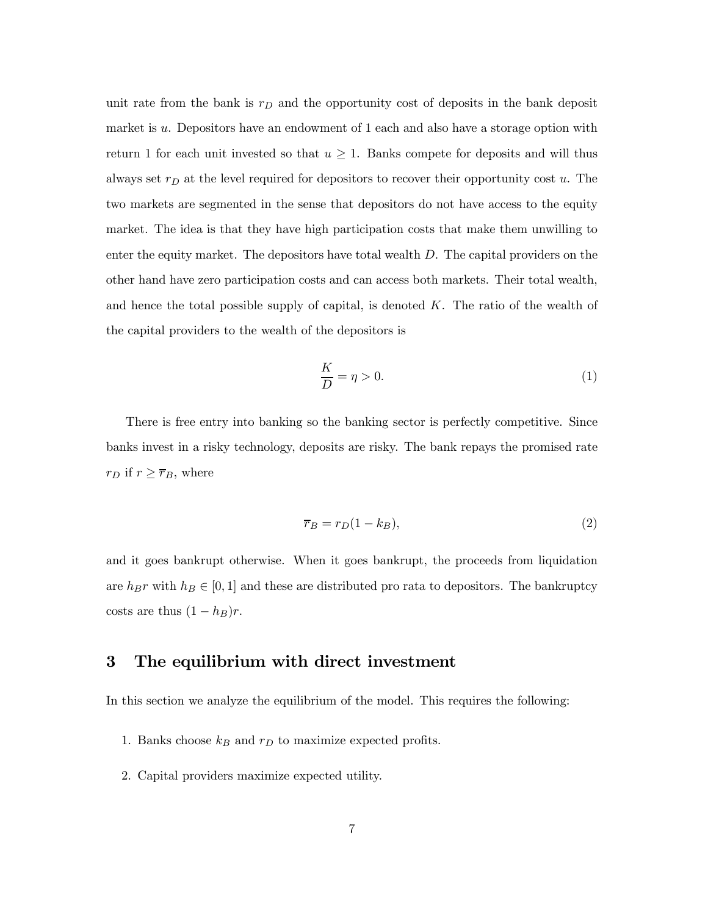unit rate from the bank is  $r_D$  and the opportunity cost of deposits in the bank deposit market is  $u$ . Depositors have an endowment of 1 each and also have a storage option with return 1 for each unit invested so that  $u \geq 1$ . Banks compete for deposits and will thus always set  $r_D$  at the level required for depositors to recover their opportunity cost  $u$ . The two markets are segmented in the sense that depositors do not have access to the equity market. The idea is that they have high participation costs that make them unwilling to enter the equity market. The depositors have total wealth  $D$ . The capital providers on the other hand have zero participation costs and can access both markets. Their total wealth, and hence the total possible supply of capital, is denoted  $K$ . The ratio of the wealth of the capital providers to the wealth of the depositors is

$$
\frac{K}{D} = \eta > 0.\tag{1}
$$

There is free entry into banking so the banking sector is perfectly competitive. Since banks invest in a risky technology, deposits are risky. The bank repays the promised rate  $r_D$  if  $r \geq \overline{r}_B$ , where

$$
\overline{r}_B = r_D(1 - k_B),\tag{2}
$$

and it goes bankrupt otherwise. When it goes bankrupt, the proceeds from liquidation are  $h_B r$  with  $h_B \in [0, 1]$  and these are distributed pro rata to depositors. The bankruptcy costs are thus  $(1 - h_B)r$ .

### 3 The equilibrium with direct investment

In this section we analyze the equilibrium of the model. This requires the following:

- 1. Banks choose  $k_B$  and  $r_D$  to maximize expected profits.
- 2. Capital providers maximize expected utility.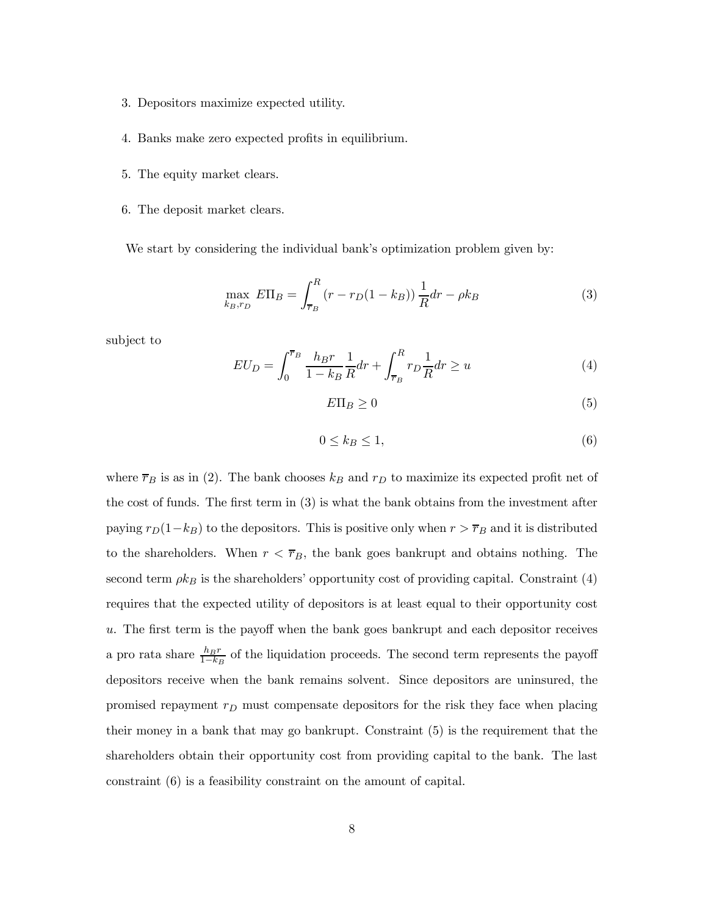- 3. Depositors maximize expected utility.
- 4. Banks make zero expected profits in equilibrium.
- 5. The equity market clears.
- 6. The deposit market clears.

We start by considering the individual bank's optimization problem given by:

$$
\max_{k_B, r_D} E\Pi_B = \int_{\overline{r}_B}^R (r - r_D(1 - k_B)) \frac{1}{R} dr - \rho k_B \tag{3}
$$

subject to

$$
EU_D = \int_0^{\overline{r}_B} \frac{h_B r}{1 - k_B} \frac{1}{R} dr + \int_{\overline{r}_B}^R r_D \frac{1}{R} dr \ge u \tag{4}
$$

 $E\Pi_B \geq 0$  (5)

$$
0 \le k_B \le 1,\tag{6}
$$

where  $\overline{r}_B$  is as in (2). The bank chooses  $k_B$  and  $r_D$  to maximize its expected profit net of the cost of funds. The first term in (3) is what the bank obtains from the investment after paying  $r_D(1-k_B)$  to the depositors. This is positive only when  $r > \overline{r}_B$  and it is distributed to the shareholders. When  $r < \overline{r}_B$ , the bank goes bankrupt and obtains nothing. The second term  $\rho k_B$  is the shareholders' opportunity cost of providing capital. Constraint (4) requires that the expected utility of depositors is at least equal to their opportunity cost . The first term is the payoff when the bank goes bankrupt and each depositor receives a pro rata share  $\frac{h_B r}{1-k_B}$  of the liquidation proceeds. The second term represents the payoff depositors receive when the bank remains solvent. Since depositors are uninsured, the promised repayment  $r_D$  must compensate depositors for the risk they face when placing their money in a bank that may go bankrupt. Constraint (5) is the requirement that the shareholders obtain their opportunity cost from providing capital to the bank. The last constraint (6) is a feasibility constraint on the amount of capital.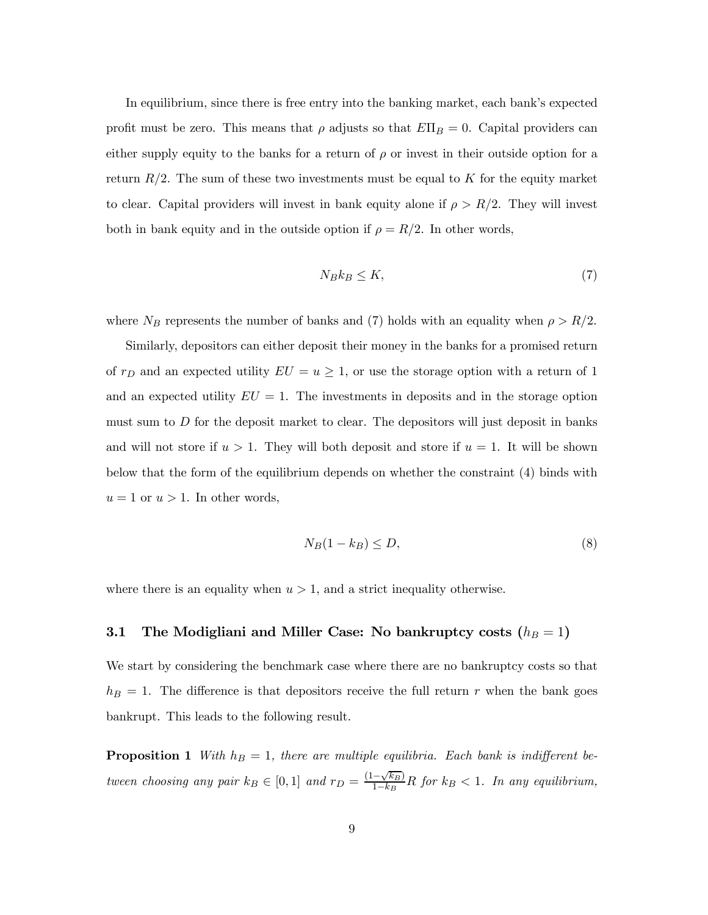In equilibrium, since there is free entry into the banking market, each bank's expected profit must be zero. This means that  $\rho$  adjusts so that  $E\Pi_B = 0$ . Capital providers can either supply equity to the banks for a return of  $\rho$  or invest in their outside option for a return  $R/2$ . The sum of these two investments must be equal to K for the equity market to clear. Capital providers will invest in bank equity alone if  $\rho > R/2$ . They will invest both in bank equity and in the outside option if  $\rho = R/2$ . In other words,

$$
N_B k_B \le K,\tag{7}
$$

where  $N_B$  represents the number of banks and (7) holds with an equality when  $\rho > R/2$ .

Similarly, depositors can either deposit their money in the banks for a promised return of  $r_D$  and an expected utility  $EU = u \geq 1$ , or use the storage option with a return of 1 and an expected utility  $EU = 1$ . The investments in deposits and in the storage option must sum to  $D$  for the deposit market to clear. The depositors will just deposit in banks and will not store if  $u > 1$ . They will both deposit and store if  $u = 1$ . It will be shown below that the form of the equilibrium depends on whether the constraint (4) binds with  $u = 1$  or  $u > 1$ . In other words,

$$
N_B(1 - k_B) \le D,\t\t(8)
$$

where there is an equality when  $u > 1$ , and a strict inequality otherwise.

# 3.1 The Modigliani and Miller Case: No bankruptcy costs  $(h_B = 1)$

We start by considering the benchmark case where there are no bankruptcy costs so that  $h_B = 1$ . The difference is that depositors receive the full return r when the bank goes bankrupt. This leads to the following result.

**Proposition 1** With  $h_B = 1$ , there are multiple equilibria. Each bank is indifferent between choosing any pair  $k_B \in [0,1]$  and  $r_D = \frac{(1-\sqrt{k_B})}{1-k_B}R$  for  $k_B < 1$ . In any equilibrium,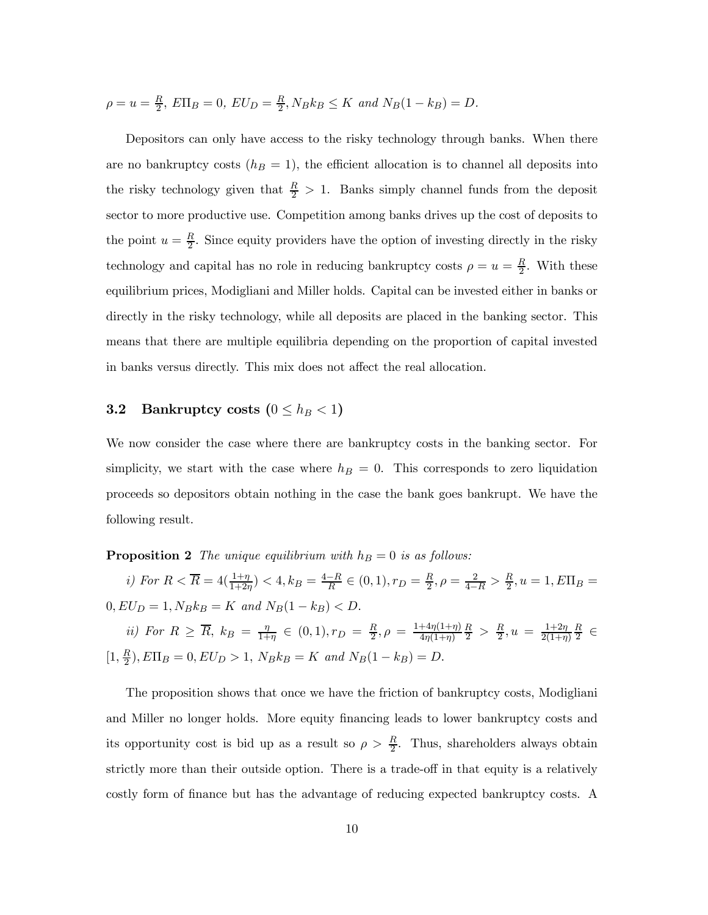$$
\rho = u = \frac{R}{2}, E\Pi_B = 0, EU_D = \frac{R}{2}, N_B k_B \le K \text{ and } N_B(1 - k_B) = D.
$$

Depositors can only have access to the risky technology through banks. When there are no bankruptcy costs  $(h_B = 1)$ , the efficient allocation is to channel all deposits into the risky technology given that  $\frac{R}{2} > 1$ . Banks simply channel funds from the deposit sector to more productive use. Competition among banks drives up the cost of deposits to the point  $u = \frac{R}{2}$ . Since equity providers have the option of investing directly in the risky technology and capital has no role in reducing bankruptcy costs  $\rho = u = \frac{R}{2}$ . With these equilibrium prices, Modigliani and Miller holds. Capital can be invested either in banks or directly in the risky technology, while all deposits are placed in the banking sector. This means that there are multiple equilibria depending on the proportion of capital invested in banks versus directly. This mix does not affect the real allocation.

# **3.2** Bankruptcy costs  $(0 \leq h_B < 1)$

We now consider the case where there are bankruptcy costs in the banking sector. For simplicity, we start with the case where  $h_B = 0$ . This corresponds to zero liquidation proceeds so depositors obtain nothing in the case the bank goes bankrupt. We have the following result.

**Proposition 2** The unique equilibrium with  $h_B = 0$  is as follows:

i) For  $R < \overline{R} = 4(\frac{1+\eta}{1+2\eta}) < 4$ ,  $k_B = \frac{4-R}{R} \in (0,1)$ ,  $r_D = \frac{R}{2}$ ,  $\rho = \frac{2}{4-R} > \frac{R}{2}$ ,  $u = 1$ ,  $E\Pi_B =$  $0, EU_D = 1, N_B k_B = K$  and  $N_B(1 - k_B) < D$ . ii) For  $R \geq \overline{R}$ ,  $k_B = \frac{\eta}{1+\eta} \in (0,1), r_D = \frac{R}{2}, \rho = \frac{1+4\eta(1+\eta)}{4\eta(1+\eta)}$  $\frac{R}{2}$  >  $\frac{R}{2}$ ,  $u = \frac{1+2\eta}{2(1+\eta)}$  $\frac{R}{2} \in$  $[1, \frac{R}{2}), E\Pi_B = 0, EU_D > 1, N_B k_B = K$  and  $N_B(1 - k_B) = D.$ 

The proposition shows that once we have the friction of bankruptcy costs, Modigliani and Miller no longer holds. More equity financing leads to lower bankruptcy costs and its opportunity cost is bid up as a result so  $\rho > \frac{R}{2}$ . Thus, shareholders always obtain strictly more than their outside option. There is a trade-off in that equity is a relatively costly form of finance but has the advantage of reducing expected bankruptcy costs. A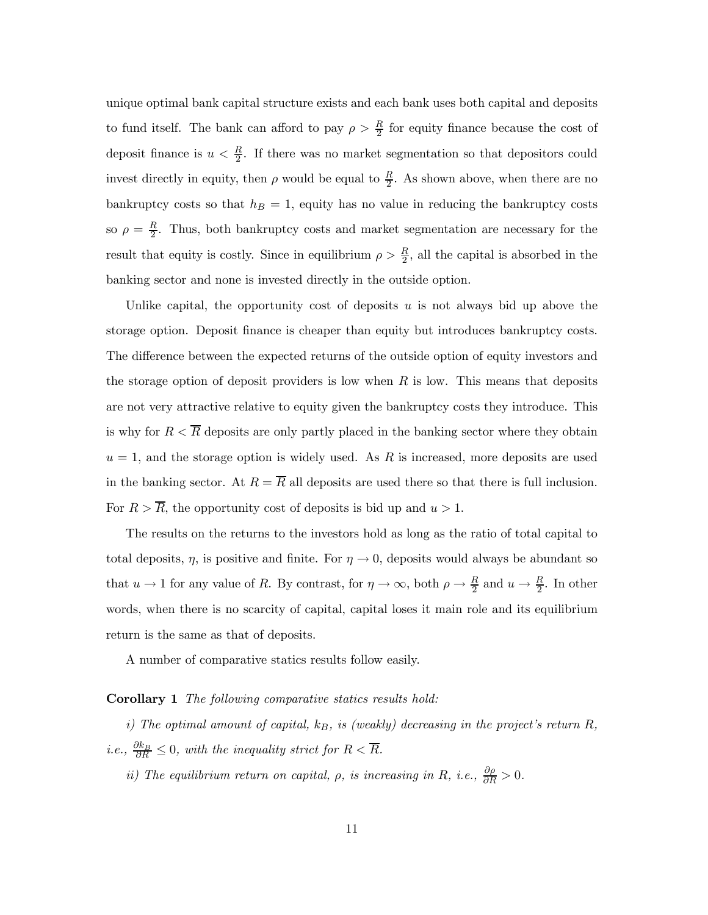unique optimal bank capital structure exists and each bank uses both capital and deposits to fund itself. The bank can afford to pay  $\rho > \frac{R}{2}$  for equity finance because the cost of deposit finance is  $u < \frac{R}{2}$ . If there was no market segmentation so that depositors could invest directly in equity, then  $\rho$  would be equal to  $\frac{R}{2}$ . As shown above, when there are no bankruptcy costs so that  $h_B = 1$ , equity has no value in reducing the bankruptcy costs so  $\rho = \frac{R}{2}$ . Thus, both bankruptcy costs and market segmentation are necessary for the result that equity is costly. Since in equilibrium  $\rho > \frac{R}{2}$ , all the capital is absorbed in the banking sector and none is invested directly in the outside option.

Unlike capital, the opportunity cost of deposits  $u$  is not always bid up above the storage option. Deposit finance is cheaper than equity but introduces bankruptcy costs. The difference between the expected returns of the outside option of equity investors and the storage option of deposit providers is low when  $R$  is low. This means that deposits are not very attractive relative to equity given the bankruptcy costs they introduce. This is why for  $R < \overline{R}$  deposits are only partly placed in the banking sector where they obtain  $u = 1$ , and the storage option is widely used. As R is increased, more deposits are used in the banking sector. At  $R = \overline{R}$  all deposits are used there so that there is full inclusion. For  $R > \overline{R}$ , the opportunity cost of deposits is bid up and  $u > 1$ .

The results on the returns to the investors hold as long as the ratio of total capital to total deposits,  $\eta$ , is positive and finite. For  $\eta \to 0$ , deposits would always be abundant so that  $u \to 1$  for any value of R. By contrast, for  $\eta \to \infty$ , both  $\rho \to \frac{R}{2}$  and  $u \to \frac{R}{2}$ . In other words, when there is no scarcity of capital, capital loses it main role and its equilibrium return is the same as that of deposits.

A number of comparative statics results follow easily.

#### Corollary 1 The following comparative statics results hold:

i) The optimal amount of capital,  $k_B$ , is (weakly) decreasing in the project's return  $R$ , *i.e.*,  $\frac{\partial k_B}{\partial R} \leq 0$ , with the inequality strict for  $R < \overline{R}$ .

ii) The equilibrium return on capital,  $\rho$ , is increasing in R, i.e.,  $\frac{\partial \rho}{\partial R} > 0$ .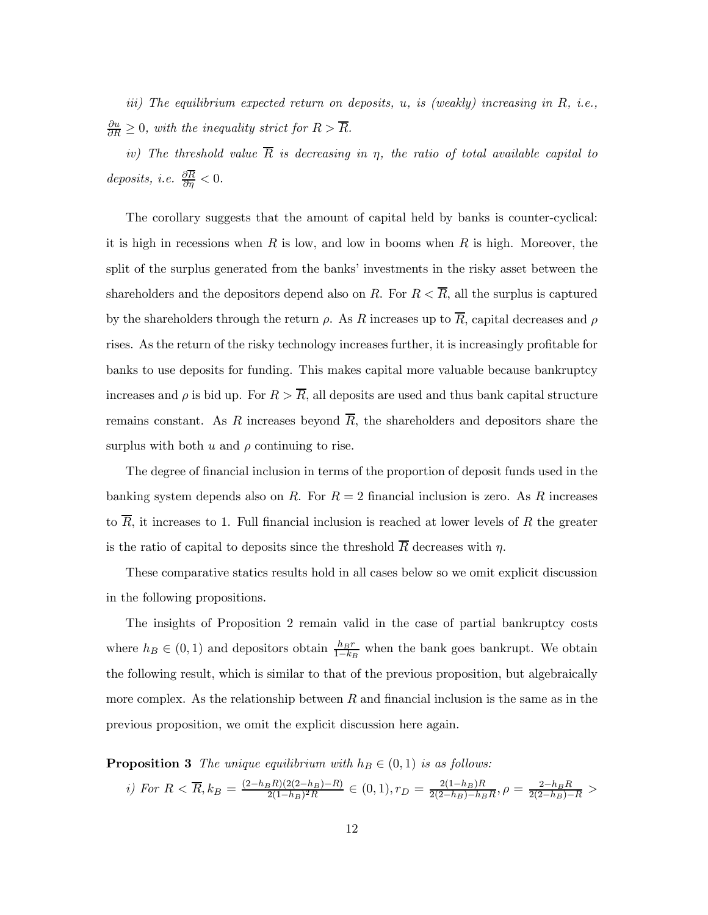iii) The equilibrium expected return on deposits,  $u$ , is (weakly) increasing in  $R$ , i.e.,  $\frac{\partial u}{\partial R} \geq 0$ , with the inequality strict for  $R > \overline{R}$ .

iv) The threshold value  $\overline{R}$  is decreasing in  $\eta$ , the ratio of total available capital to deposits, i.e.  $\frac{\partial R}{\partial \eta} < 0$ .

The corollary suggests that the amount of capital held by banks is counter-cyclical: it is high in recessions when R is low, and low in booms when R is high. Moreover, the split of the surplus generated from the banks' investments in the risky asset between the shareholders and the depositors depend also on R. For  $R < \overline{R}$ , all the surplus is captured by the shareholders through the return  $\rho$ . As R increases up to  $\overline{R}$ , capital decreases and  $\rho$ rises. As the return of the risky technology increases further, it is increasingly profitable for banks to use deposits for funding. This makes capital more valuable because bankruptcy increases and  $\rho$  is bid up. For  $R > \overline{R}$ , all deposits are used and thus bank capital structure remains constant. As R increases beyond  $\overline{R}$ , the shareholders and depositors share the surplus with both  $u$  and  $\rho$  continuing to rise.

The degree of financial inclusion in terms of the proportion of deposit funds used in the banking system depends also on R. For  $R = 2$  financial inclusion is zero. As R increases to  $\overline{R}$ , it increases to 1. Full financial inclusion is reached at lower levels of R the greater is the ratio of capital to deposits since the threshold  $\overline{R}$  decreases with  $\eta$ .

These comparative statics results hold in all cases below so we omit explicit discussion in the following propositions.

The insights of Proposition 2 remain valid in the case of partial bankruptcy costs where  $h_B \in (0, 1)$  and depositors obtain  $\frac{h_B r}{1 - k_B}$  when the bank goes bankrupt. We obtain the following result, which is similar to that of the previous proposition, but algebraically more complex. As the relationship between  $R$  and financial inclusion is the same as in the previous proposition, we omit the explicit discussion here again.

**Proposition 3** The unique equilibrium with  $h_B \in (0,1)$  is as follows:

*i)* For 
$$
R < \overline{R}
$$
,  $k_B = \frac{(2-h_B R)(2(2-h_B)-R)}{2(1-h_B)^2 R} \in (0,1)$ ,  $r_D = \frac{2(1-h_B)R}{2(2-h_B)-h_B R}$ ,  $\rho = \frac{2-h_B R}{2(2-h_B)-R}$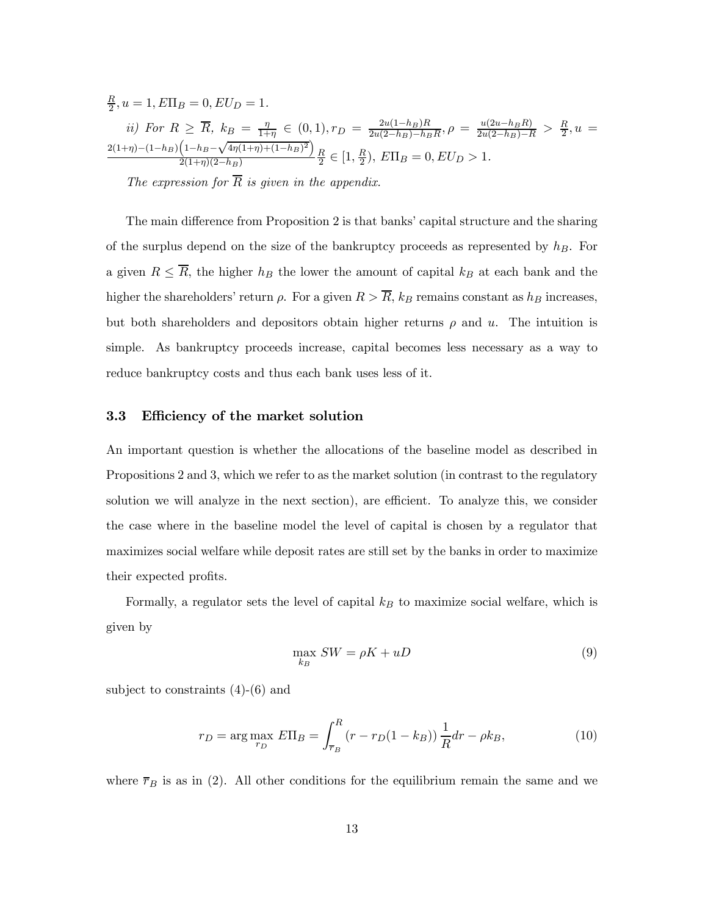$$
\frac{R}{2}, u = 1, E\Pi_B = 0, EU_D = 1.
$$
  
\n*ii)* For  $R \ge \overline{R}$ ,  $k_B = \frac{\eta}{1+\eta} \in (0, 1)$ ,  $r_D = \frac{2u(1-h_B)R}{2u(2-h_B)-h_B R}$ ,  $\rho = \frac{u(2u-h_B)R}{2u(2-h_B)-R} > \frac{R}{2}$ ,  $u = \frac{2(1+\eta)-(1-h_B)\left(1-h_B-\sqrt{4\eta(1+\eta)+(1-h_B)^2}\right)}{2(1+\eta)(2-h_B)} \frac{R}{2} \in [1, \frac{R}{2})$ ,  $E\Pi_B = 0, EU_D > 1$ .  
\nThe expression for  $\overline{R}$  is given in the appendix.

The main difference from Proposition 2 is that banks' capital structure and the sharing of the surplus depend on the size of the bankruptcy proceeds as represented by  $h_B$ . For a given  $R \leq \overline{R}$ , the higher  $h_B$  the lower the amount of capital  $k_B$  at each bank and the higher the shareholders' return  $\rho$ . For a given  $R > \overline{R}$ ,  $k_B$  remains constant as  $h_B$  increases, but both shareholders and depositors obtain higher returns  $\rho$  and  $u$ . The intuition is simple. As bankruptcy proceeds increase, capital becomes less necessary as a way to reduce bankruptcy costs and thus each bank uses less of it.

### 3.3 Efficiency of the market solution

An important question is whether the allocations of the baseline model as described in Propositions 2 and 3, which we refer to as the market solution (in contrast to the regulatory solution we will analyze in the next section), are efficient. To analyze this, we consider the case where in the baseline model the level of capital is chosen by a regulator that maximizes social welfare while deposit rates are still set by the banks in order to maximize their expected profits.

Formally, a regulator sets the level of capital  $k_B$  to maximize social welfare, which is given by

$$
\max_{k_B} SW = \rho K + uD \tag{9}
$$

subject to constraints (4)-(6) and

$$
r_D = \arg \max_{r_D} E\Pi_B = \int_{\overline{r}_B}^R (r - r_D(1 - k_B)) \frac{1}{R} dr - \rho k_B,
$$
 (10)

where  $\overline{r}_B$  is as in (2). All other conditions for the equilibrium remain the same and we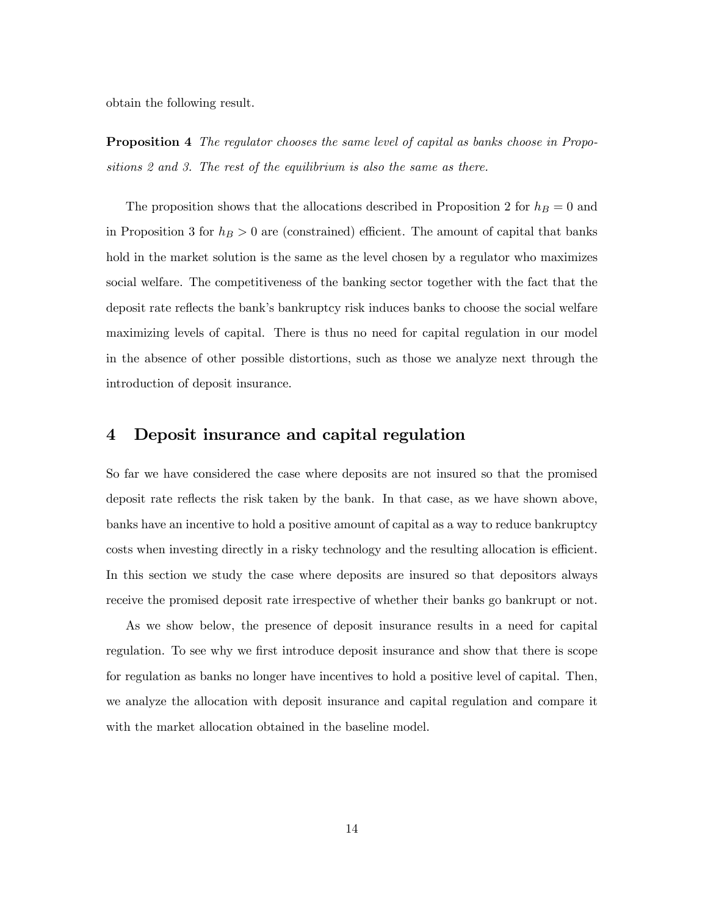obtain the following result.

**Proposition 4** The regulator chooses the same level of capital as banks choose in Propositions 2 and 3. The rest of the equilibrium is also the same as there.

The proposition shows that the allocations described in Proposition 2 for  $h_B = 0$  and in Proposition 3 for  $h_B > 0$  are (constrained) efficient. The amount of capital that banks hold in the market solution is the same as the level chosen by a regulator who maximizes social welfare. The competitiveness of the banking sector together with the fact that the deposit rate reflects the bank's bankruptcy risk induces banks to choose the social welfare maximizing levels of capital. There is thus no need for capital regulation in our model in the absence of other possible distortions, such as those we analyze next through the introduction of deposit insurance.

# 4 Deposit insurance and capital regulation

So far we have considered the case where deposits are not insured so that the promised deposit rate reflects the risk taken by the bank. In that case, as we have shown above, banks have an incentive to hold a positive amount of capital as a way to reduce bankruptcy costs when investing directly in a risky technology and the resulting allocation is efficient. In this section we study the case where deposits are insured so that depositors always receive the promised deposit rate irrespective of whether their banks go bankrupt or not.

As we show below, the presence of deposit insurance results in a need for capital regulation. To see why we first introduce deposit insurance and show that there is scope for regulation as banks no longer have incentives to hold a positive level of capital. Then, we analyze the allocation with deposit insurance and capital regulation and compare it with the market allocation obtained in the baseline model.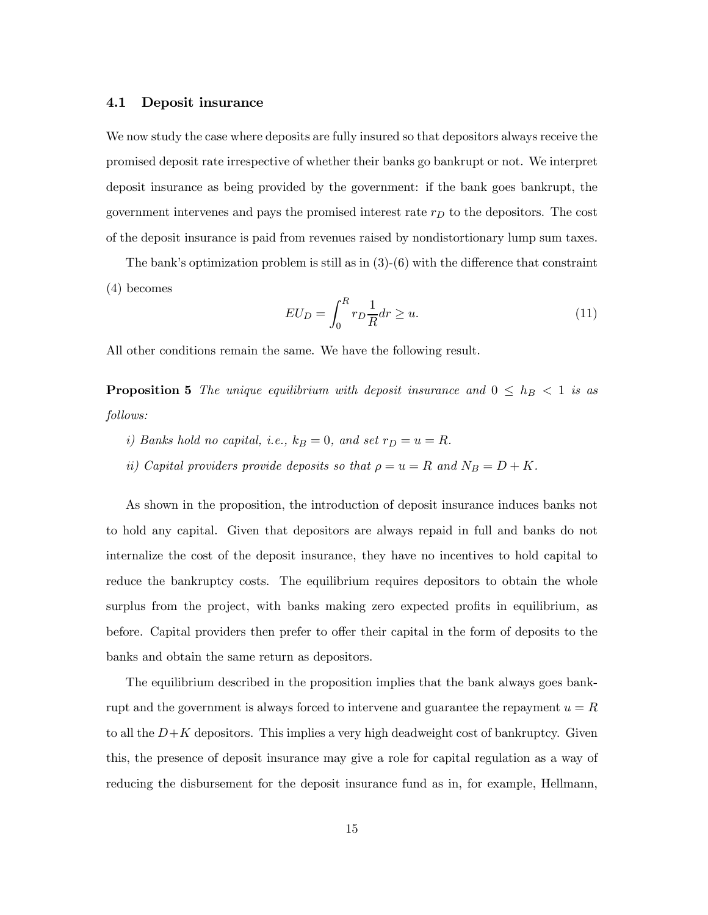### 4.1 Deposit insurance

We now study the case where deposits are fully insured so that depositors always receive the promised deposit rate irrespective of whether their banks go bankrupt or not. We interpret deposit insurance as being provided by the government: if the bank goes bankrupt, the government intervenes and pays the promised interest rate  $r<sub>D</sub>$  to the depositors. The cost of the deposit insurance is paid from revenues raised by nondistortionary lump sum taxes.

The bank's optimization problem is still as in  $(3)-(6)$  with the difference that constraint (4) becomes

$$
EU_D = \int_0^R r_D \frac{1}{R} dr \ge u.
$$
\n(11)

All other conditions remain the same. We have the following result.

**Proposition 5** The unique equilibrium with deposit insurance and  $0 \leq h_B < 1$  is as follows:

- i) Banks hold no capital, i.e.,  $k_B = 0$ , and set  $r_D = u = R$ .
- ii) Capital providers provide deposits so that  $\rho = u = R$  and  $N_B = D + K$ .

As shown in the proposition, the introduction of deposit insurance induces banks not to hold any capital. Given that depositors are always repaid in full and banks do not internalize the cost of the deposit insurance, they have no incentives to hold capital to reduce the bankruptcy costs. The equilibrium requires depositors to obtain the whole surplus from the project, with banks making zero expected profits in equilibrium, as before. Capital providers then prefer to offer their capital in the form of deposits to the banks and obtain the same return as depositors.

The equilibrium described in the proposition implies that the bank always goes bankrupt and the government is always forced to intervene and guarantee the repayment  $u = R$ to all the  $D + K$  depositors. This implies a very high deadweight cost of bankruptcy. Given this, the presence of deposit insurance may give a role for capital regulation as a way of reducing the disbursement for the deposit insurance fund as in, for example, Hellmann,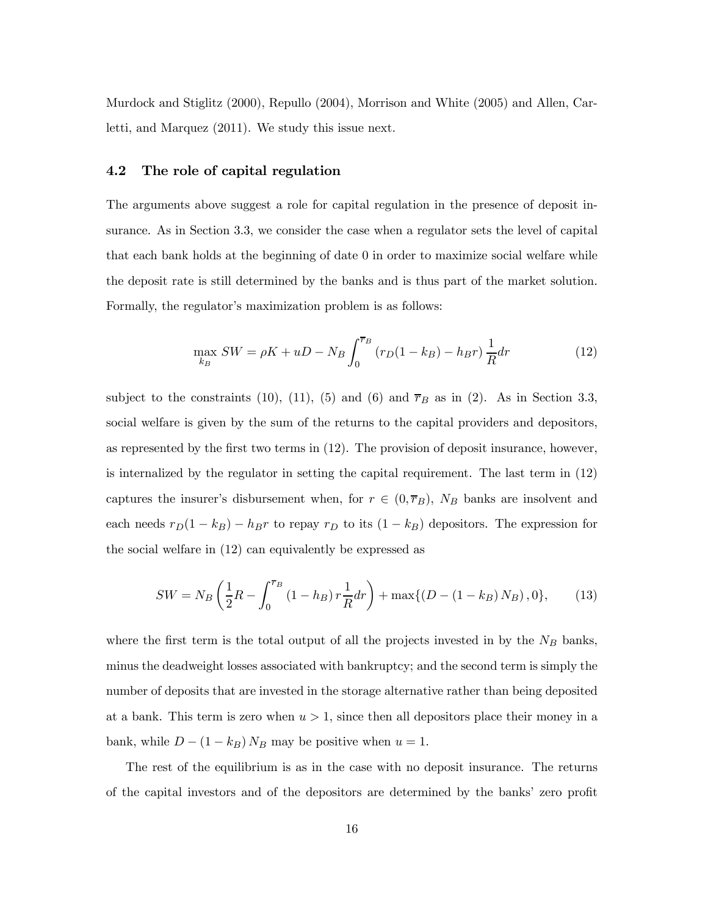Murdock and Stiglitz (2000), Repullo (2004), Morrison and White (2005) and Allen, Carletti, and Marquez (2011). We study this issue next.

### 4.2 The role of capital regulation

The arguments above suggest a role for capital regulation in the presence of deposit insurance. As in Section 3.3, we consider the case when a regulator sets the level of capital that each bank holds at the beginning of date 0 in order to maximize social welfare while the deposit rate is still determined by the banks and is thus part of the market solution. Formally, the regulator's maximization problem is as follows:

$$
\max_{k_B} SW = \rho K + uD - N_B \int_0^{\overline{\tau}_B} (r_D(1 - k_B) - h_B r) \frac{1}{R} dr \tag{12}
$$

subject to the constraints (10), (11), (5) and (6) and  $\overline{r}_B$  as in (2). As in Section 3.3, social welfare is given by the sum of the returns to the capital providers and depositors, as represented by the first two terms in (12). The provision of deposit insurance, however, is internalized by the regulator in setting the capital requirement. The last term in (12) captures the insurer's disbursement when, for  $r \in (0, \overline{r}_B)$ ,  $N_B$  banks are insolvent and each needs  $r_D(1 - k_B) - h_B r$  to repay  $r_D$  to its  $(1 - k_B)$  depositors. The expression for the social welfare in (12) can equivalently be expressed as

$$
SW = N_B \left(\frac{1}{2}R - \int_0^{\overline{\tau}_B} (1 - h_B) r \frac{1}{R} dr\right) + \max\{(D - (1 - k_B) N_B), 0\},\tag{13}
$$

where the first term is the total output of all the projects invested in by the  $N_B$  banks, minus the deadweight losses associated with bankruptcy; and the second term is simply the number of deposits that are invested in the storage alternative rather than being deposited at a bank. This term is zero when  $u > 1$ , since then all depositors place their money in a bank, while  $D - (1 - k_B) N_B$  may be positive when  $u = 1$ .

The rest of the equilibrium is as in the case with no deposit insurance. The returns of the capital investors and of the depositors are determined by the banks' zero profit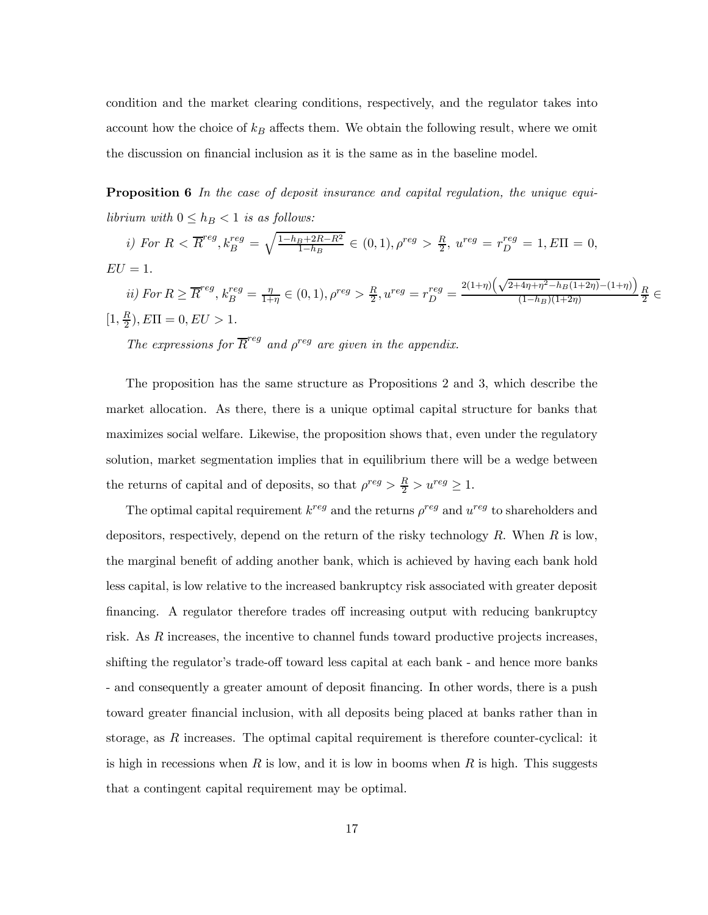condition and the market clearing conditions, respectively, and the regulator takes into account how the choice of  $k_B$  affects them. We obtain the following result, where we omit the discussion on financial inclusion as it is the same as in the baseline model.

Proposition 6 In the case of deposit insurance and capital regulation, the unique equilibrium with  $0 \leq h_B < 1$  is as follows:

*i)* For 
$$
R < \overline{R}^{reg}
$$
,  $k_B^{reg} = \sqrt{\frac{1-h_B+2R-R^2}{1-h_B}} \in (0,1)$ ,  $\rho^{reg} > \frac{R}{2}$ ,  $u^{reg} = r_D^{reg} = 1$ ,  $E\Pi = 0$ ,  
\n $EU = 1$ .  
\n*ii)* For  $R \ge \overline{R}^{reg}$ ,  $k_B^{reg} = \frac{\eta}{1+\eta} \in (0,1)$ ,  $\rho^{reg} > \frac{R}{2}$ ,  $u^{reg} = r_D^{reg} = \frac{2(1+\eta)\left(\sqrt{2+4\eta+\eta^2-h_B(1+2\eta)}-(1+\eta)\right)}{(1-h_B)(1+2\eta)}\frac{R}{2} \in [1, \frac{R}{2})$ ,  $E\Pi = 0$ ,  $EU > 1$ .

The expressions for  $\overline{R}^{reg}$  and  $\rho^{reg}$  are given in the appendix.

The proposition has the same structure as Propositions 2 and 3, which describe the market allocation. As there, there is a unique optimal capital structure for banks that maximizes social welfare. Likewise, the proposition shows that, even under the regulatory solution, market segmentation implies that in equilibrium there will be a wedge between the returns of capital and of deposits, so that  $\rho^{reg} > \frac{R}{2} > u^{reg} \ge 1$ .

The optimal capital requirement  $k^{reg}$  and the returns  $\rho^{reg}$  and  $u^{reg}$  to shareholders and depositors, respectively, depend on the return of the risky technology  $R$ . When  $R$  is low, the marginal benefit of adding another bank, which is achieved by having each bank hold less capital, is low relative to the increased bankruptcy risk associated with greater deposit financing. A regulator therefore trades off increasing output with reducing bankruptcy risk. As  $R$  increases, the incentive to channel funds toward productive projects increases, shifting the regulator's trade-off toward less capital at each bank - and hence more banks - and consequently a greater amount of deposit financing. In other words, there is a push toward greater financial inclusion, with all deposits being placed at banks rather than in storage, as  $R$  increases. The optimal capital requirement is therefore counter-cyclical: it is high in recessions when  $R$  is low, and it is low in booms when  $R$  is high. This suggests that a contingent capital requirement may be optimal.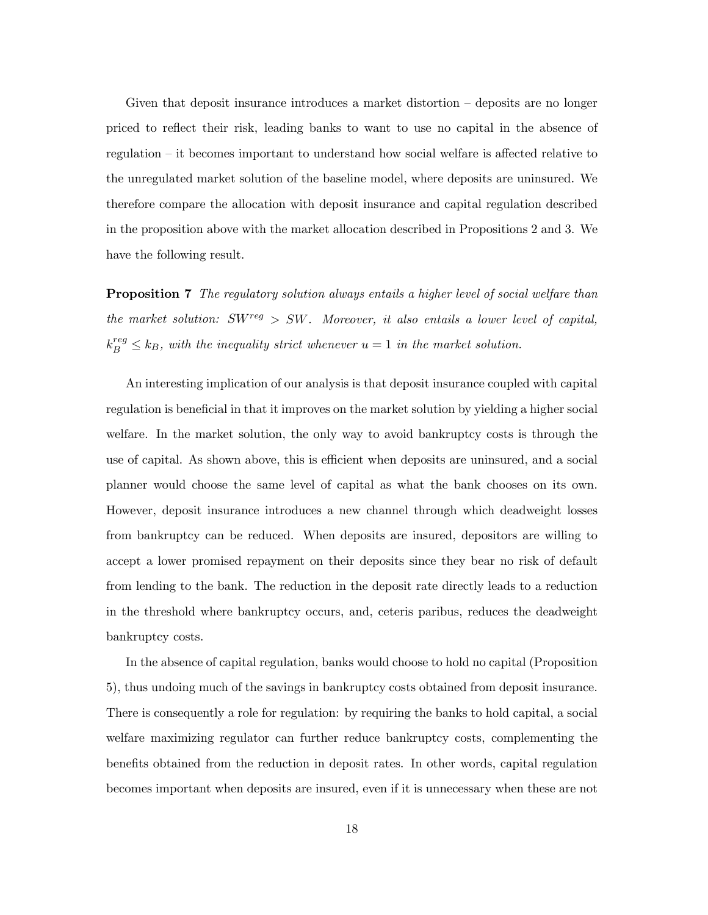Given that deposit insurance introduces a market distortion — deposits are no longer priced to reflect their risk, leading banks to want to use no capital in the absence of regulation — it becomes important to understand how social welfare is affected relative to the unregulated market solution of the baseline model, where deposits are uninsured. We therefore compare the allocation with deposit insurance and capital regulation described in the proposition above with the market allocation described in Propositions 2 and 3. We have the following result.

**Proposition 7** The regulatory solution always entails a higher level of social welfare than the market solution:  $SW^{reg} > SW$ . Moreover, it also entails a lower level of capital,  $k_B^{reg} \leq k_B$ , with the inequality strict whenever  $u = 1$  in the market solution.

An interesting implication of our analysis is that deposit insurance coupled with capital regulation is beneficial in that it improves on the market solution by yielding a higher social welfare. In the market solution, the only way to avoid bankruptcy costs is through the use of capital. As shown above, this is efficient when deposits are uninsured, and a social planner would choose the same level of capital as what the bank chooses on its own. However, deposit insurance introduces a new channel through which deadweight losses from bankruptcy can be reduced. When deposits are insured, depositors are willing to accept a lower promised repayment on their deposits since they bear no risk of default from lending to the bank. The reduction in the deposit rate directly leads to a reduction in the threshold where bankruptcy occurs, and, ceteris paribus, reduces the deadweight bankruptcy costs.

In the absence of capital regulation, banks would choose to hold no capital (Proposition 5), thus undoing much of the savings in bankruptcy costs obtained from deposit insurance. There is consequently a role for regulation: by requiring the banks to hold capital, a social welfare maximizing regulator can further reduce bankruptcy costs, complementing the benefits obtained from the reduction in deposit rates. In other words, capital regulation becomes important when deposits are insured, even if it is unnecessary when these are not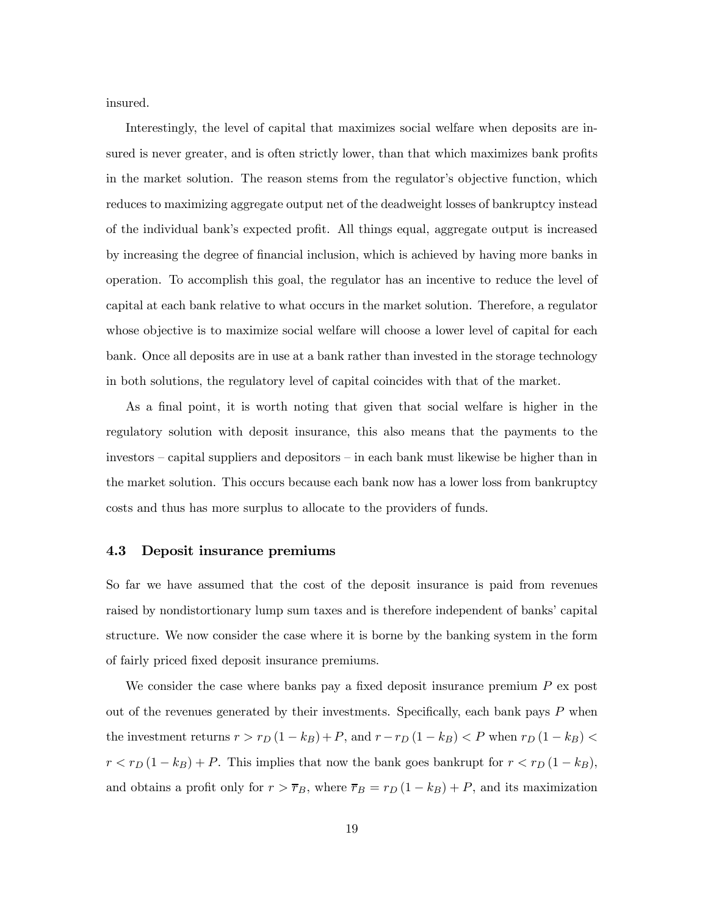insured.

Interestingly, the level of capital that maximizes social welfare when deposits are insured is never greater, and is often strictly lower, than that which maximizes bank profits in the market solution. The reason stems from the regulator's objective function, which reduces to maximizing aggregate output net of the deadweight losses of bankruptcy instead of the individual bank's expected profit. All things equal, aggregate output is increased by increasing the degree of financial inclusion, which is achieved by having more banks in operation. To accomplish this goal, the regulator has an incentive to reduce the level of capital at each bank relative to what occurs in the market solution. Therefore, a regulator whose objective is to maximize social welfare will choose a lower level of capital for each bank. Once all deposits are in use at a bank rather than invested in the storage technology in both solutions, the regulatory level of capital coincides with that of the market.

As a final point, it is worth noting that given that social welfare is higher in the regulatory solution with deposit insurance, this also means that the payments to the investors — capital suppliers and depositors — in each bank must likewise be higher than in the market solution. This occurs because each bank now has a lower loss from bankruptcy costs and thus has more surplus to allocate to the providers of funds.

#### 4.3 Deposit insurance premiums

So far we have assumed that the cost of the deposit insurance is paid from revenues raised by nondistortionary lump sum taxes and is therefore independent of banks' capital structure. We now consider the case where it is borne by the banking system in the form of fairly priced fixed deposit insurance premiums.

We consider the case where banks pay a fixed deposit insurance premium  $P$  ex post out of the revenues generated by their investments. Specifically, each bank pays  $P$  when the investment returns  $r > r_D (1 - k_B) + P$ , and  $r - r_D (1 - k_B) < P$  when  $r_D (1 - k_B) <$  $r < r_D(1 - k_B) + P$ . This implies that now the bank goes bankrupt for  $r < r_D(1 - k_B)$ , and obtains a profit only for  $r > \overline{r}_B$ , where  $\overline{r}_B = r_D (1 - k_B) + P$ , and its maximization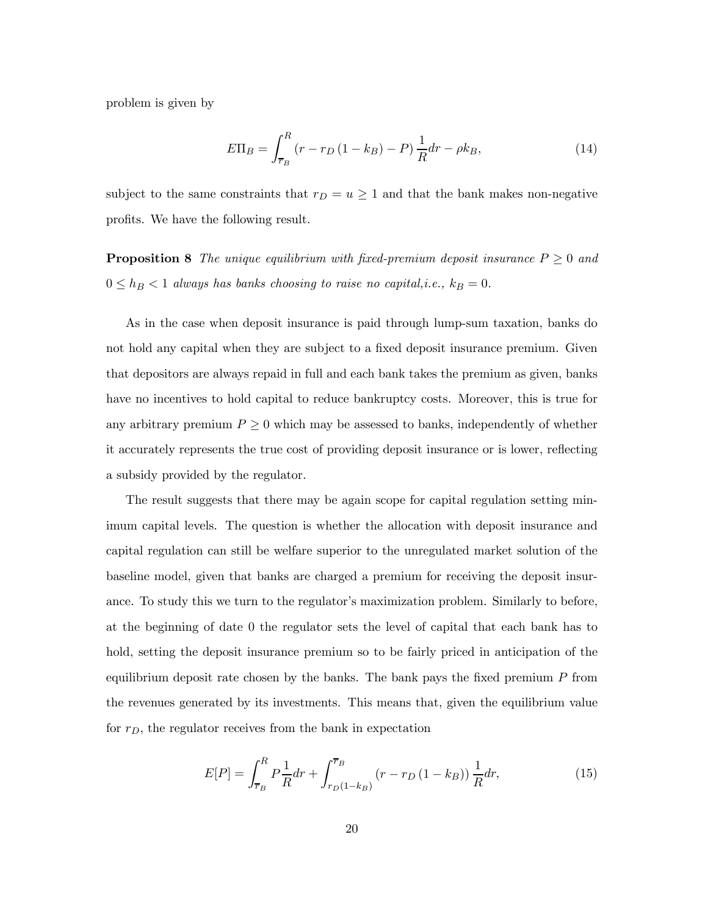problem is given by

$$
E\Pi_B = \int_{\overline{r}_B}^{R} (r - r_D (1 - k_B) - P) \frac{1}{R} dr - \rho k_B,
$$
\n(14)

subject to the same constraints that  $r_D = u \geq 1$  and that the bank makes non-negative profits. We have the following result.

**Proposition 8** The unique equilibrium with fixed-premium deposit insurance  $P \geq 0$  and  $0 \leq h_B < 1$  always has banks choosing to raise no capital, i.e.,  $k_B = 0$ .

As in the case when deposit insurance is paid through lump-sum taxation, banks do not hold any capital when they are subject to a fixed deposit insurance premium. Given that depositors are always repaid in full and each bank takes the premium as given, banks have no incentives to hold capital to reduce bankruptcy costs. Moreover, this is true for any arbitrary premium  $P \geq 0$  which may be assessed to banks, independently of whether it accurately represents the true cost of providing deposit insurance or is lower, reflecting a subsidy provided by the regulator.

The result suggests that there may be again scope for capital regulation setting minimum capital levels. The question is whether the allocation with deposit insurance and capital regulation can still be welfare superior to the unregulated market solution of the baseline model, given that banks are charged a premium for receiving the deposit insurance. To study this we turn to the regulator's maximization problem. Similarly to before, at the beginning of date 0 the regulator sets the level of capital that each bank has to hold, setting the deposit insurance premium so to be fairly priced in anticipation of the equilibrium deposit rate chosen by the banks. The bank pays the fixed premium  $P$  from the revenues generated by its investments. This means that, given the equilibrium value for  $r_D$ , the regulator receives from the bank in expectation

$$
E[P] = \int_{\bar{r}_B}^R P \frac{1}{R} dr + \int_{r_D(1-k_B)}^{\bar{r}_B} (r - r_D(1 - k_B)) \frac{1}{R} dr,\tag{15}
$$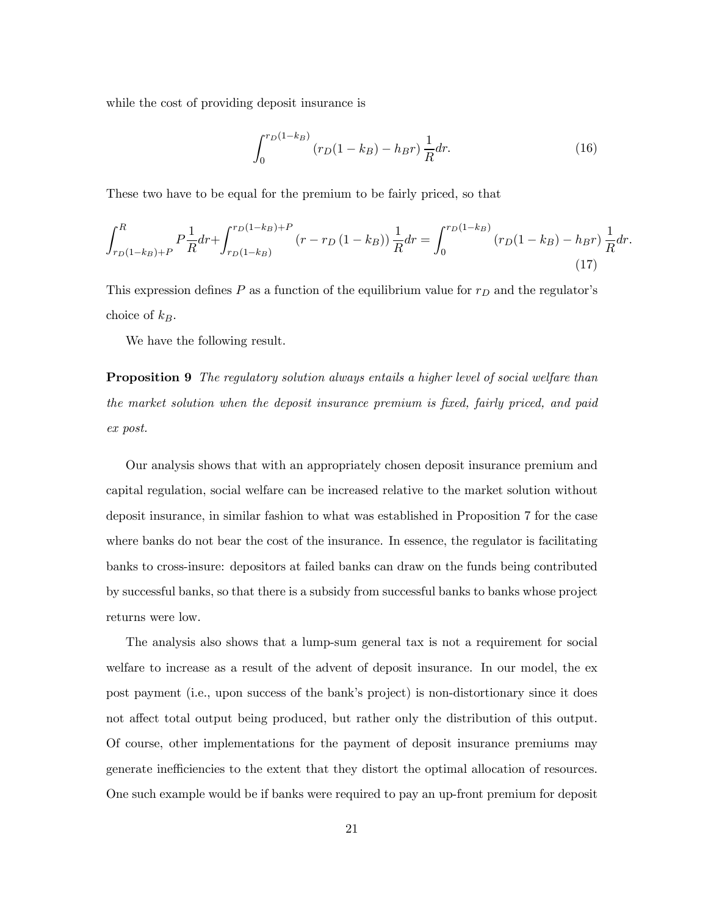while the cost of providing deposit insurance is

$$
\int_{0}^{r_D(1-k_B)} (r_D(1-k_B) - h_B r) \frac{1}{R} dr.
$$
 (16)

These two have to be equal for the premium to be fairly priced, so that

$$
\int_{r_D(1-k_B)+P}^R P \frac{1}{R} dr + \int_{r_D(1-k_B)}^{r_D(1-k_B)+P} (r - r_D(1-k_B)) \frac{1}{R} dr = \int_0^{r_D(1-k_B)} (r_D(1-k_B) - h_B r) \frac{1}{R} dr.
$$
\n(17)

This expression defines  $P$  as a function of the equilibrium value for  $r_D$  and the regulator's choice of  $k_B$ .

We have the following result.

**Proposition 9** The regulatory solution always entails a higher level of social welfare than the market solution when the deposit insurance premium is fixed, fairly priced, and paid ex post.

Our analysis shows that with an appropriately chosen deposit insurance premium and capital regulation, social welfare can be increased relative to the market solution without deposit insurance, in similar fashion to what was established in Proposition 7 for the case where banks do not bear the cost of the insurance. In essence, the regulator is facilitating banks to cross-insure: depositors at failed banks can draw on the funds being contributed by successful banks, so that there is a subsidy from successful banks to banks whose project returns were low.

The analysis also shows that a lump-sum general tax is not a requirement for social welfare to increase as a result of the advent of deposit insurance. In our model, the ex post payment (i.e., upon success of the bank's project) is non-distortionary since it does not affect total output being produced, but rather only the distribution of this output. Of course, other implementations for the payment of deposit insurance premiums may generate inefficiencies to the extent that they distort the optimal allocation of resources. One such example would be if banks were required to pay an up-front premium for deposit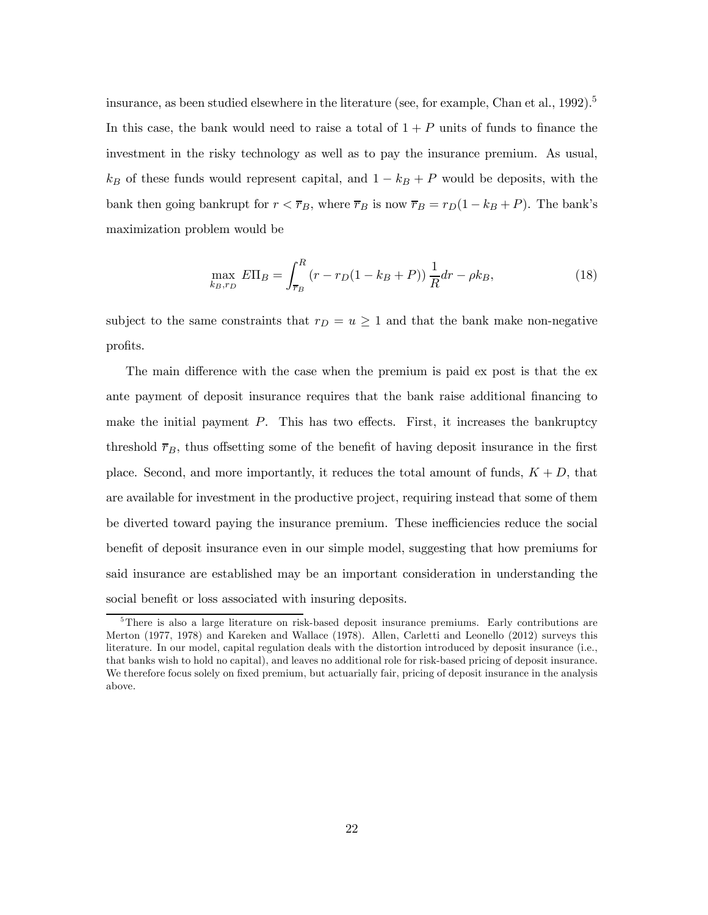insurance, as been studied elsewhere in the literature (see, for example, Chan et al.,  $1992$ ).<sup>5</sup> In this case, the bank would need to raise a total of  $1 + P$  units of funds to finance the investment in the risky technology as well as to pay the insurance premium. As usual,  $k_B$  of these funds would represent capital, and  $1 - k_B + P$  would be deposits, with the bank then going bankrupt for  $r < \overline{r}_B$ , where  $\overline{r}_B$  is now  $\overline{r}_B = r_D(1 - k_B + P)$ . The bank's maximization problem would be

$$
\max_{k_B, r_D} E\Pi_B = \int_{\overline{r}_B}^R (r - r_D(1 - k_B + P)) \frac{1}{R} dr - \rho k_B,
$$
\n(18)

subject to the same constraints that  $r_D = u \geq 1$  and that the bank make non-negative profits.

The main difference with the case when the premium is paid ex post is that the ex ante payment of deposit insurance requires that the bank raise additional financing to make the initial payment  $P$ . This has two effects. First, it increases the bankruptcy threshold  $\overline{r}_B$ , thus offsetting some of the benefit of having deposit insurance in the first place. Second, and more importantly, it reduces the total amount of funds,  $K + D$ , that are available for investment in the productive project, requiring instead that some of them be diverted toward paying the insurance premium. These inefficiencies reduce the social benefit of deposit insurance even in our simple model, suggesting that how premiums for said insurance are established may be an important consideration in understanding the social benefit or loss associated with insuring deposits.

<sup>&</sup>lt;sup>5</sup>There is also a large literature on risk-based deposit insurance premiums. Early contributions are Merton (1977, 1978) and Kareken and Wallace (1978). Allen, Carletti and Leonello (2012) surveys this literature. In our model, capital regulation deals with the distortion introduced by deposit insurance (i.e., that banks wish to hold no capital), and leaves no additional role for risk-based pricing of deposit insurance. We therefore focus solely on fixed premium, but actuarially fair, pricing of deposit insurance in the analysis above.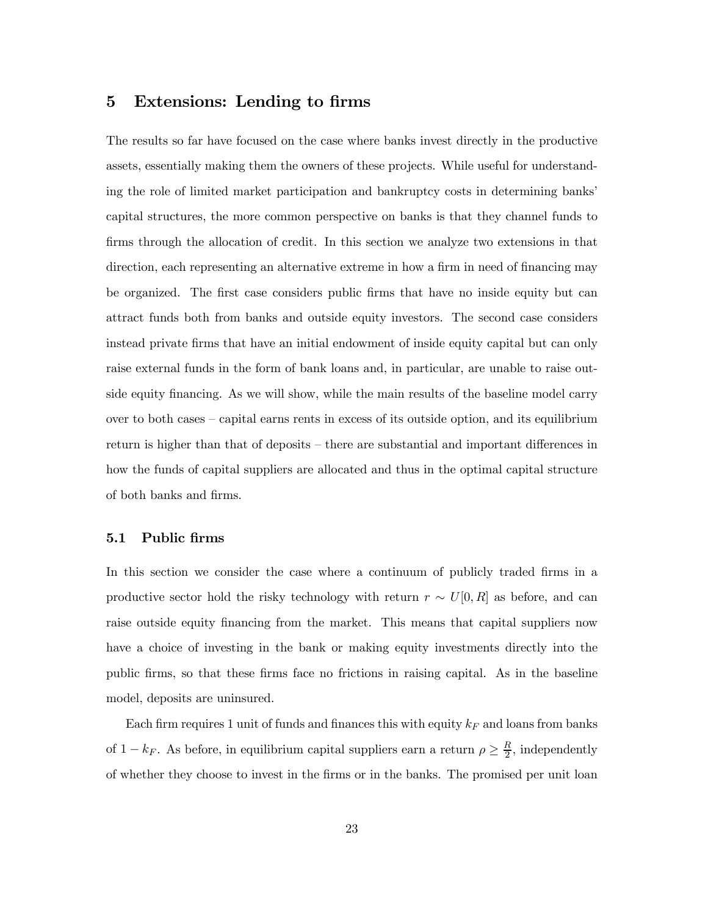### 5 Extensions: Lending to firms

The results so far have focused on the case where banks invest directly in the productive assets, essentially making them the owners of these projects. While useful for understanding the role of limited market participation and bankruptcy costs in determining banks' capital structures, the more common perspective on banks is that they channel funds to firms through the allocation of credit. In this section we analyze two extensions in that direction, each representing an alternative extreme in how a firm in need of financing may be organized. The first case considers public firms that have no inside equity but can attract funds both from banks and outside equity investors. The second case considers instead private firms that have an initial endowment of inside equity capital but can only raise external funds in the form of bank loans and, in particular, are unable to raise outside equity financing. As we will show, while the main results of the baseline model carry over to both cases — capital earns rents in excess of its outside option, and its equilibrium return is higher than that of deposits — there are substantial and important differences in how the funds of capital suppliers are allocated and thus in the optimal capital structure of both banks and firms.

### 5.1 Public firms

In this section we consider the case where a continuum of publicly traded firms in a productive sector hold the risky technology with return  $r \sim U[0, R]$  as before, and can raise outside equity financing from the market. This means that capital suppliers now have a choice of investing in the bank or making equity investments directly into the public firms, so that these firms face no frictions in raising capital. As in the baseline model, deposits are uninsured.

Each firm requires 1 unit of funds and finances this with equity  $k_F$  and loans from banks of  $1 - k_F$ . As before, in equilibrium capital suppliers earn a return  $\rho \geq \frac{R}{2}$ , independently of whether they choose to invest in the firms or in the banks. The promised per unit loan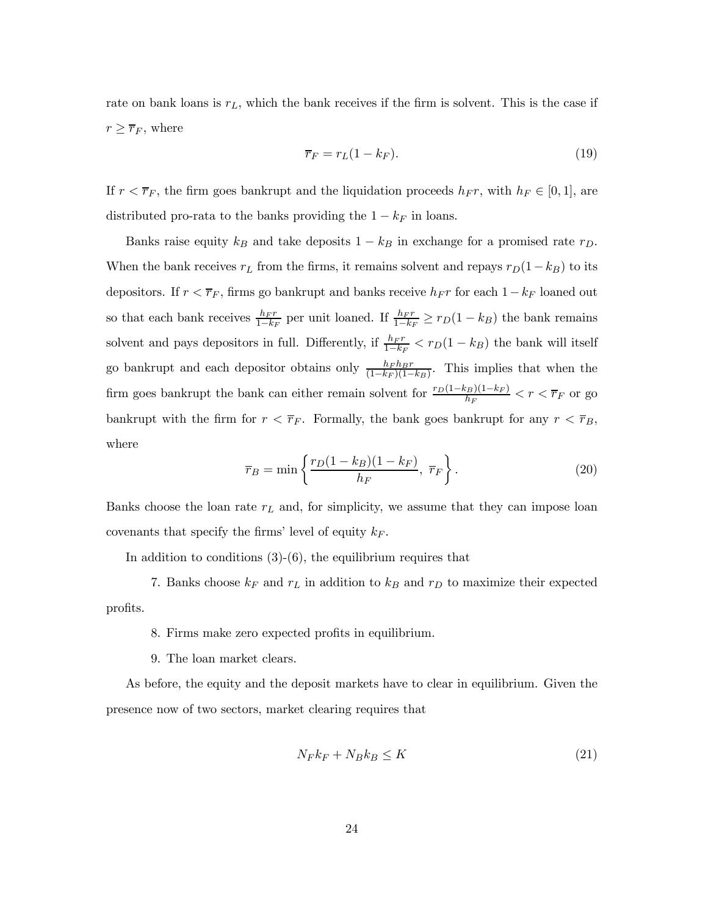rate on bank loans is  $r_L$ , which the bank receives if the firm is solvent. This is the case if  $r \geq \overline{r}_F$ , where

$$
\overline{r}_F = r_L(1 - k_F). \tag{19}
$$

If  $r < \overline{r}_F$ , the firm goes bankrupt and the liquidation proceeds  $h_F r$ , with  $h_F \in [0,1]$ , are distributed pro-rata to the banks providing the  $1 - k_F$  in loans.

Banks raise equity  $k_B$  and take deposits  $1 - k_B$  in exchange for a promised rate  $r_D$ . When the bank receives  $r_L$  from the firms, it remains solvent and repays  $r_D(1-k_B)$  to its depositors. If  $r < \overline{r}_F$ , firms go bankrupt and banks receive  $h_F r$  for each  $1-k_F$  loaned out so that each bank receives  $\frac{h_F r}{1-k_F}$  per unit loaned. If  $\frac{h_F r}{1-k_F} \ge r_D(1-k_B)$  the bank remains solvent and pays depositors in full. Differently, if  $\frac{h_F r}{1-k_F} < r_D(1-k_B)$  the bank will itself go bankrupt and each depositor obtains only  $\frac{h_F h_B r}{(1-k_F)(1-k_B)}$ . This implies that when the firm goes bankrupt the bank can either remain solvent for  $\frac{r_D(1-k_B)(1-k_F)}{h_F} < r < \overline{r}_F$  or go bankrupt with the firm for  $r < \overline{r}_F$ . Formally, the bank goes bankrupt for any  $r < \overline{r}_B$ , where

$$
\overline{r}_B = \min\left\{\frac{r_D(1 - k_B)(1 - k_F)}{h_F}, \ \overline{r}_F\right\}.
$$
\n(20)

Banks choose the loan rate  $r<sub>L</sub>$  and, for simplicity, we assume that they can impose loan covenants that specify the firms' level of equity  $k_F$ .

In addition to conditions  $(3)-(6)$ , the equilibrium requires that

7. Banks choose  $k_F$  and  $r_L$  in addition to  $k_B$  and  $r_D$  to maximize their expected profits.

- 8. Firms make zero expected profits in equilibrium.
- 9. The loan market clears.

As before, the equity and the deposit markets have to clear in equilibrium. Given the presence now of two sectors, market clearing requires that

$$
N_F k_F + N_B k_B \le K \tag{21}
$$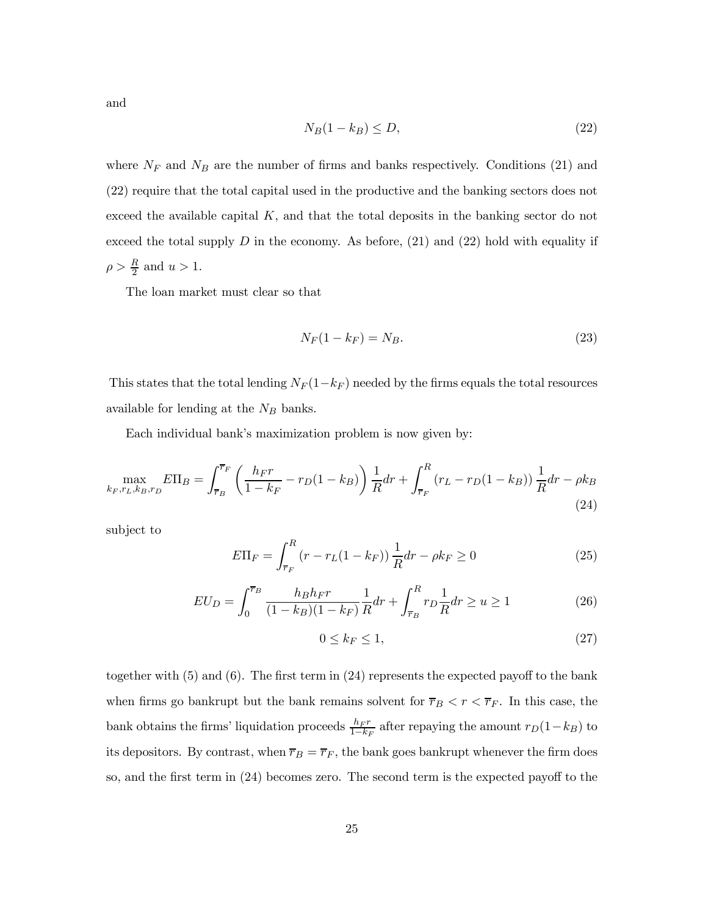and

$$
N_B(1 - k_B) \le D,\t\t(22)
$$

where  $N_F$  and  $N_B$  are the number of firms and banks respectively. Conditions (21) and (22) require that the total capital used in the productive and the banking sectors does not exceed the available capital  $K$ , and that the total deposits in the banking sector do not exceed the total supply  $D$  in the economy. As before, (21) and (22) hold with equality if  $\rho > \frac{R}{2}$  and  $u > 1$ .

The loan market must clear so that

$$
N_F(1 - k_F) = N_B. \tag{23}
$$

This states that the total lending  $N_F(1-k_F)$  needed by the firms equals the total resources available for lending at the  $N_B$  banks.

Each individual bank's maximization problem is now given by:

$$
\max_{k_F, r_L, k_B, r_D} E\Pi_B = \int_{\overline{r}_B}^{\overline{r}_F} \left( \frac{h_F r}{1 - k_F} - r_D (1 - k_B) \right) \frac{1}{R} dr + \int_{\overline{r}_F}^R (r_L - r_D (1 - k_B)) \frac{1}{R} dr - \rho k_B
$$
\n(24)

subject to

$$
E\Pi_F = \int_{\overline{r}_F}^{R} (r - r_L(1 - k_F)) \frac{1}{R} dr - \rho k_F \ge 0
$$
 (25)

$$
EU_D = \int_0^{\overline{r}_B} \frac{h_B h_F r}{(1 - k_B)(1 - k_F)} \frac{1}{R} dr + \int_{\overline{r}_B}^R r_D \frac{1}{R} dr \ge u \ge 1
$$
 (26)

$$
0 \le k_F \le 1,\tag{27}
$$

together with  $(5)$  and  $(6)$ . The first term in  $(24)$  represents the expected payoff to the bank when firms go bankrupt but the bank remains solvent for  $\overline{r}_B < r < \overline{r}_F$ . In this case, the bank obtains the firms' liquidation proceeds  $\frac{h_F r}{1-k_F}$  after repaying the amount  $r_D(1-k_B)$  to its depositors. By contrast, when  $\overline{r}_B = \overline{r}_F$ , the bank goes bankrupt whenever the firm does so, and the first term in (24) becomes zero. The second term is the expected payoff to the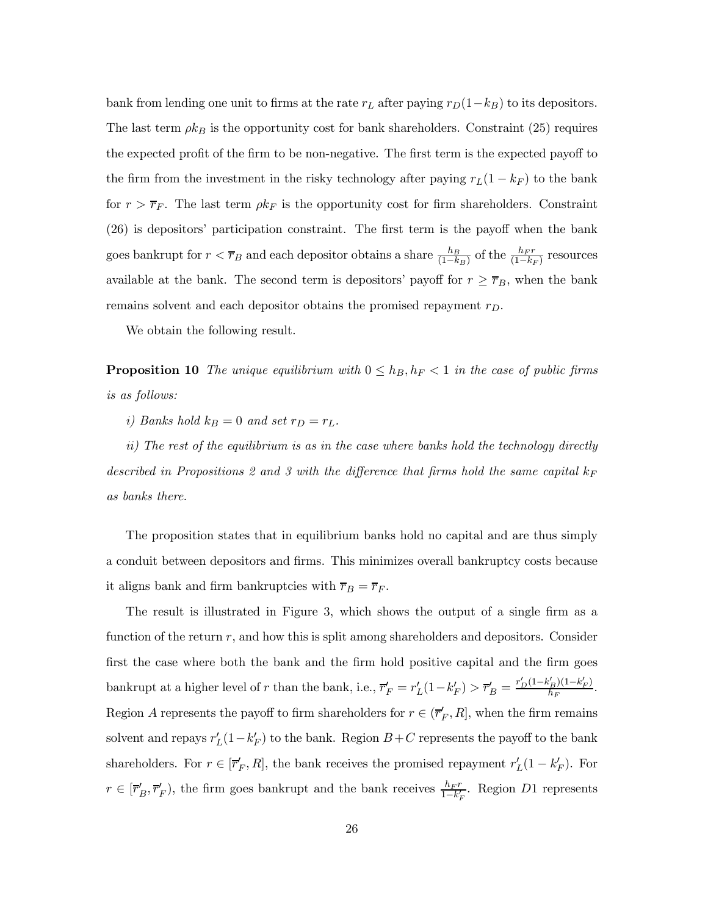bank from lending one unit to firms at the rate  $r_L$  after paying  $r_D(1-k_B)$  to its depositors. The last term  $\rho k_B$  is the opportunity cost for bank shareholders. Constraint (25) requires the expected profit of the firm to be non-negative. The first term is the expected payoff to the firm from the investment in the risky technology after paying  $r_L(1 - k_F)$  to the bank for  $r > \overline{r}_F$ . The last term  $\rho k_F$  is the opportunity cost for firm shareholders. Constraint (26) is depositors' participation constraint. The first term is the payoff when the bank goes bankrupt for  $r < \overline{r}_B$  and each depositor obtains a share  $\frac{h_B}{(1-k_B)}$  of the  $\frac{h_F r}{(1-k_F)}$  resources available at the bank. The second term is depositors' payoff for  $r \geq \overline{r}_B$ , when the bank remains solvent and each depositor obtains the promised repayment  $r_D$ .

We obtain the following result.

**Proposition 10** The unique equilibrium with  $0 \leq h_B, h_F < 1$  in the case of public firms is as follows:

i) Banks hold  $k_B = 0$  and set  $r_D = r_L$ .

ii) The rest of the equilibrium is as in the case where banks hold the technology directly described in Propositions 2 and 3 with the difference that firms hold the same capital  $k_F$ as banks there.

The proposition states that in equilibrium banks hold no capital and are thus simply a conduit between depositors and firms. This minimizes overall bankruptcy costs because it aligns bank and firm bankruptcies with  $\overline{r}_B = \overline{r}_F$ .

The result is illustrated in Figure 3, which shows the output of a single firm as a function of the return  $r$ , and how this is split among shareholders and depositors. Consider first the case where both the bank and the firm hold positive capital and the firm goes bankrupt at a higher level of  $r$  than the bank, i.e.,  $\overline{r}'_F = r'_L(1 - k'_F) > \overline{r}'_B = \frac{r'_D(1 - k'_B)(1 - k'_F)}{h_F}.$ Region A represents the payoff to firm shareholders for  $r \in (\overline{r}'_F, R]$ , when the firm remains solvent and repays  $r'_{L}(1-k'_{F})$  to the bank. Region  $B+C$  represents the payoff to the bank shareholders. For  $r \in [\overline{r}'_F, R]$ , the bank receives the promised repayment  $r'_L(1 - k'_F)$ . For  $r \in [\overline{r}'_B, \overline{r}'_F)$ , the firm goes bankrupt and the bank receives  $\frac{h_F r}{1 - k'_F}$ . Region D1 represents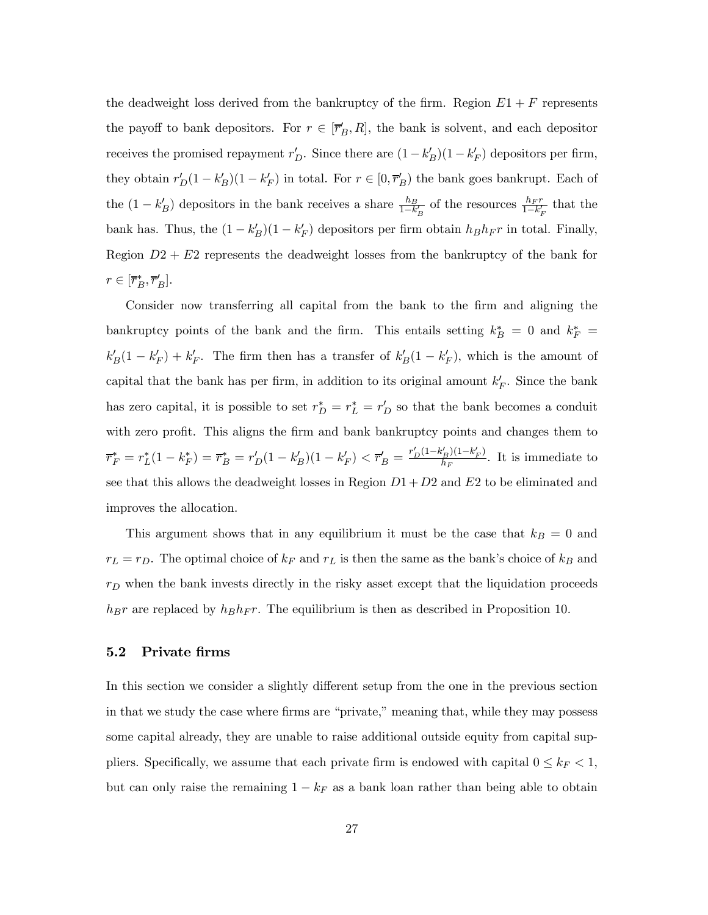the deadweight loss derived from the bankruptcy of the firm. Region  $E1 + F$  represents the payoff to bank depositors. For  $r \in [\overline{r}_B', R]$ , the bank is solvent, and each depositor receives the promised repayment  $r'_{D}$ . Since there are  $(1 - k'_{B})(1 - k'_{F})$  depositors per firm, they obtain  $r'_D(1 - k'_B)(1 - k'_F)$  in total. For  $r \in [0, \overline{r}'_B)$  the bank goes bankrupt. Each of the  $(1 - k'_B)$  depositors in the bank receives a share  $\frac{h_B}{1 - k'_B}$  of the resources  $\frac{h_F r}{1 - k'_F}$  that the bank has. Thus, the  $(1 - k_B')(1 - k_F')$  depositors per firm obtain  $h_B h_F r$  in total. Finally, Region  $D2 + E2$  represents the deadweight losses from the bankruptcy of the bank for  $r \in [\overline{r}_B^*, \overline{r}_B']$ .

Consider now transferring all capital from the bank to the firm and aligning the bankruptcy points of the bank and the firm. This entails setting  $k_B^* = 0$  and  $k_F^* =$  $k_B'(1 - k_F') + k_F'$ . The firm then has a transfer of  $k_B'(1 - k_F')$ , which is the amount of capital that the bank has per firm, in addition to its original amount  $k_F'$ . Since the bank has zero capital, it is possible to set  $r_D^* = r_L^* = r_D'$  so that the bank becomes a conduit with zero profit. This aligns the firm and bank bankruptcy points and changes them to  $\overline{r}_{F}^{*} = r_{L}^{*}(1 - k_{F}^{*}) = \overline{r}_{B}^{*} = r_{D}'(1 - k_{B}')(1 - k_{F}') < \overline{r}_{B}' = \frac{r_{D}'(1 - k_{B}')(1 - k_{F}')}{h_{F}}.$  It is immediate to see that this allows the deadweight losses in Region  $D1 + D2$  and  $E2$  to be eliminated and improves the allocation.

This argument shows that in any equilibrium it must be the case that  $k_B = 0$  and  $r_L = r_D$ . The optimal choice of  $k_F$  and  $r_L$  is then the same as the bank's choice of  $k_B$  and  $r_D$  when the bank invests directly in the risky asset except that the liquidation proceeds  $h_Br$  are replaced by  $h_Bh_Fr$ . The equilibrium is then as described in Proposition 10.

#### 5.2 Private firms

In this section we consider a slightly different setup from the one in the previous section in that we study the case where firms are "private," meaning that, while they may possess some capital already, they are unable to raise additional outside equity from capital suppliers. Specifically, we assume that each private firm is endowed with capital  $0 \leq k_F < 1$ , but can only raise the remaining  $1 - k_F$  as a bank loan rather than being able to obtain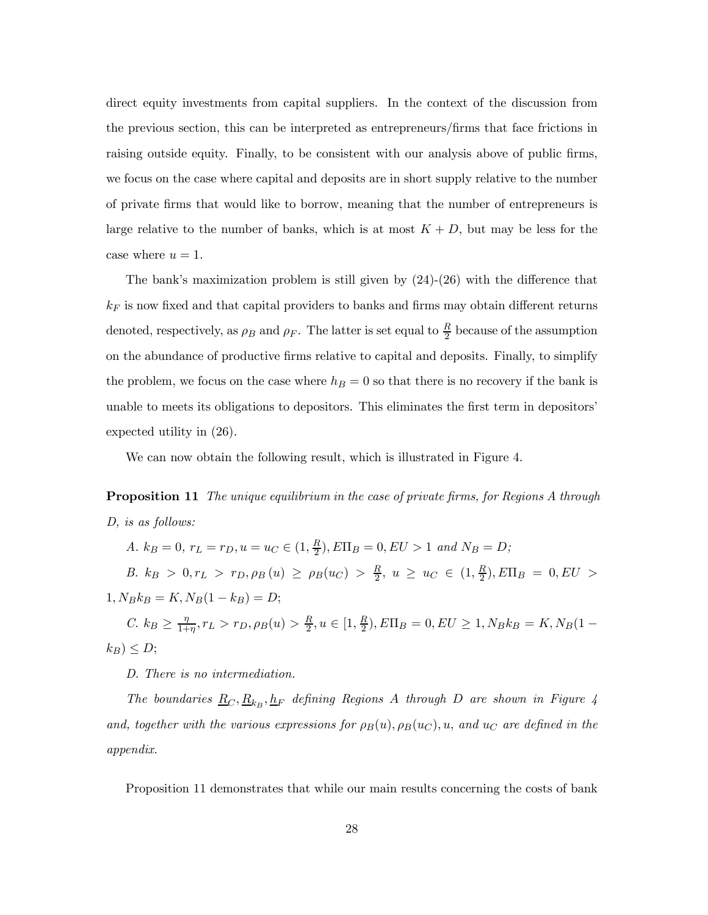direct equity investments from capital suppliers. In the context of the discussion from the previous section, this can be interpreted as entrepreneurs/firms that face frictions in raising outside equity. Finally, to be consistent with our analysis above of public firms, we focus on the case where capital and deposits are in short supply relative to the number of private firms that would like to borrow, meaning that the number of entrepreneurs is large relative to the number of banks, which is at most  $K + D$ , but may be less for the case where  $u = 1$ .

The bank's maximization problem is still given by (24)-(26) with the difference that  $k_F$  is now fixed and that capital providers to banks and firms may obtain different returns denoted, respectively, as  $\rho_B$  and  $\rho_F$ . The latter is set equal to  $\frac{R}{2}$  because of the assumption on the abundance of productive firms relative to capital and deposits. Finally, to simplify the problem, we focus on the case where  $h_B = 0$  so that there is no recovery if the bank is unable to meets its obligations to depositors. This eliminates the first term in depositors' expected utility in (26).

We can now obtain the following result, which is illustrated in Figure 4.

**Proposition 11** The unique equilibrium in the case of private firms, for Regions A through D, is as follows:

A.  $k_B = 0$ ,  $r_L = r_D$ ,  $u = u_C \in (1, \frac{R}{2})$ ,  $E\Pi_B = 0$ ,  $EU > 1$  and  $N_B = D$ ; B.  $k_B > 0, r_L > r_D, \rho_B(u) \ge \rho_B(u_C) > \frac{R}{2}, u \ge u_C \in (1, \frac{R}{2}), E\Pi_B = 0, EU >$  $1, N_B k_B = K, N_B (1 - k_B) = D;$ C.  $k_B \geq \frac{\eta}{1+\eta}, r_L > r_D, \rho_B(u) > \frac{R}{2}, u \in [1, \frac{R}{2}), E\Pi_B = 0, EU \geq 1, N_B k_B = K, N_B(1-\frac{R}{2}),$  $k_B$ )  $\leq D$ ;

D. There is no intermediation.

The boundaries  $\underline{R}_C, \underline{R}_{k_B}, \underline{h}_F$  defining Regions  $A$  through  $D$  are shown in Figure 4 and, together with the various expressions for  $\rho_B(u)$ ,  $\rho_B(u_C)$ , u, and  $u_C$  are defined in the appendix.

Proposition 11 demonstrates that while our main results concerning the costs of bank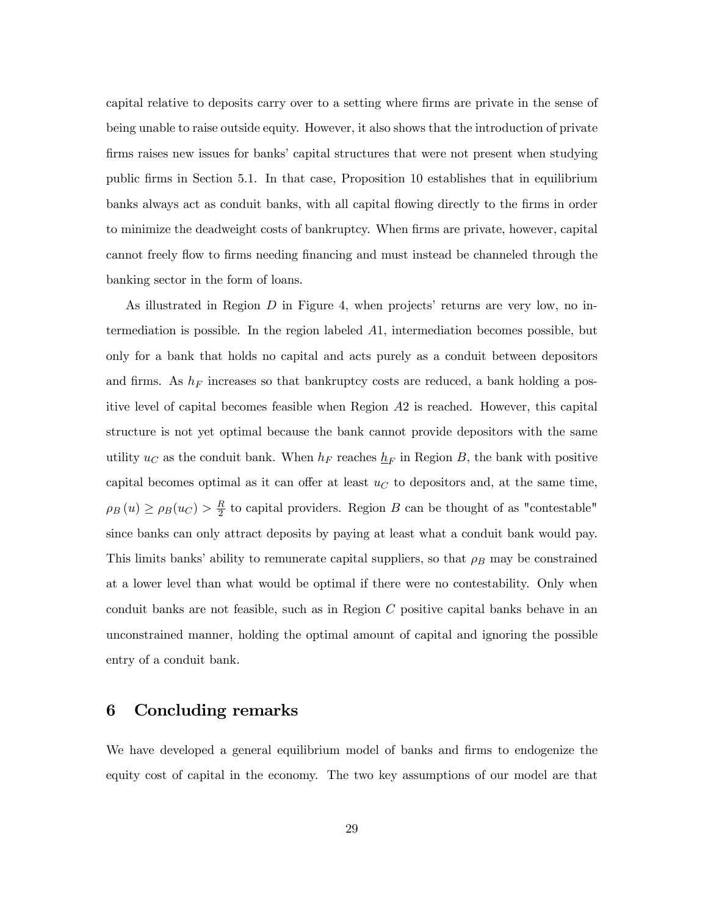capital relative to deposits carry over to a setting where firms are private in the sense of being unable to raise outside equity. However, it also shows that the introduction of private firms raises new issues for banks' capital structures that were not present when studying public firms in Section 5.1. In that case, Proposition 10 establishes that in equilibrium banks always act as conduit banks, with all capital flowing directly to the firms in order to minimize the deadweight costs of bankruptcy. When firms are private, however, capital cannot freely flow to firms needing financing and must instead be channeled through the banking sector in the form of loans.

As illustrated in Region  $D$  in Figure 4, when projects' returns are very low, no intermediation is possible. In the region labeled  $A1$ , intermediation becomes possible, but only for a bank that holds no capital and acts purely as a conduit between depositors and firms. As  $h_F$  increases so that bankruptcy costs are reduced, a bank holding a positive level of capital becomes feasible when Region  $A2$  is reached. However, this capital structure is not yet optimal because the bank cannot provide depositors with the same utility  $u_C$  as the conduit bank. When  $h_F$  reaches  $\underline{h}_F$  in Region B, the bank with positive capital becomes optimal as it can offer at least  $u<sub>C</sub>$  to depositors and, at the same time,  $\rho_B(u) \ge \rho_B(u_C) > \frac{R}{2}$  to capital providers. Region B can be thought of as "contestable" since banks can only attract deposits by paying at least what a conduit bank would pay. This limits banks' ability to remunerate capital suppliers, so that  $\rho_B$  may be constrained at a lower level than what would be optimal if there were no contestability. Only when conduit banks are not feasible, such as in Region  $C$  positive capital banks behave in an unconstrained manner, holding the optimal amount of capital and ignoring the possible entry of a conduit bank.

### 6 Concluding remarks

We have developed a general equilibrium model of banks and firms to endogenize the equity cost of capital in the economy. The two key assumptions of our model are that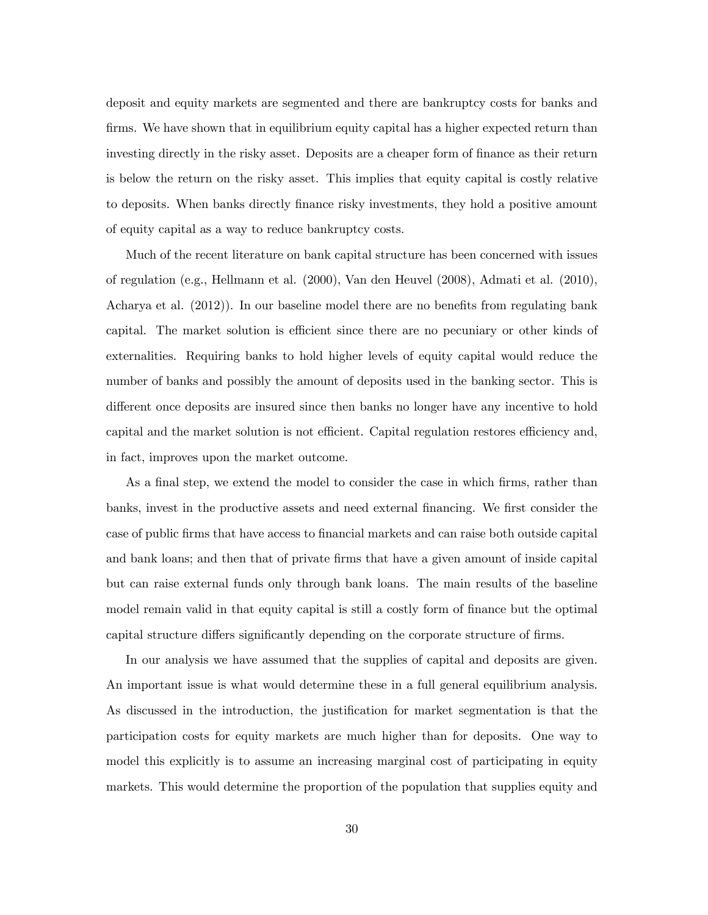deposit and equity markets are segmented and there are bankruptcy costs for banks and firms. We have shown that in equilibrium equity capital has a higher expected return than investing directly in the risky asset. Deposits are a cheaper form of finance as their return is below the return on the risky asset. This implies that equity capital is costly relative to deposits. When banks directly finance risky investments, they hold a positive amount of equity capital as a way to reduce bankruptcy costs.

Much of the recent literature on bank capital structure has been concerned with issues of regulation (e.g., Hellmann et al. (2000), Van den Heuvel (2008), Admati et al. (2010), Acharya et al. (2012)). In our baseline model there are no benefits from regulating bank capital. The market solution is efficient since there are no pecuniary or other kinds of externalities. Requiring banks to hold higher levels of equity capital would reduce the number of banks and possibly the amount of deposits used in the banking sector. This is different once deposits are insured since then banks no longer have any incentive to hold capital and the market solution is not efficient. Capital regulation restores efficiency and, in fact, improves upon the market outcome.

As a final step, we extend the model to consider the case in which firms, rather than banks, invest in the productive assets and need external financing. We first consider the case of public firms that have access to financial markets and can raise both outside capital and bank loans; and then that of private firms that have a given amount of inside capital but can raise external funds only through bank loans. The main results of the baseline model remain valid in that equity capital is still a costly form of finance but the optimal capital structure differs significantly depending on the corporate structure of firms.

In our analysis we have assumed that the supplies of capital and deposits are given. An important issue is what would determine these in a full general equilibrium analysis. As discussed in the introduction, the justification for market segmentation is that the participation costs for equity markets are much higher than for deposits. One way to model this explicitly is to assume an increasing marginal cost of participating in equity markets. This would determine the proportion of the population that supplies equity and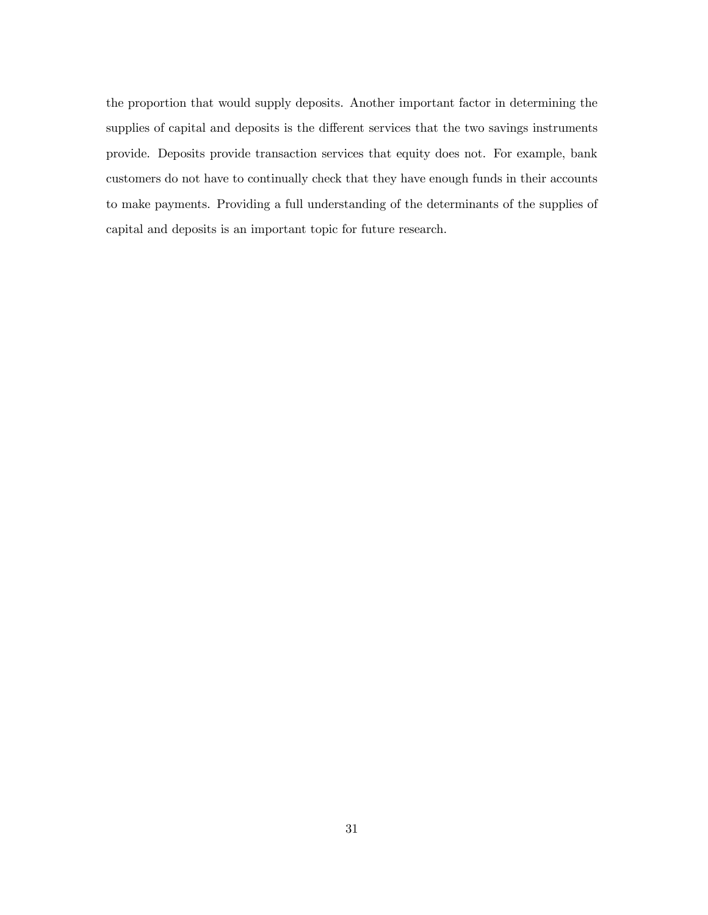the proportion that would supply deposits. Another important factor in determining the supplies of capital and deposits is the different services that the two savings instruments provide. Deposits provide transaction services that equity does not. For example, bank customers do not have to continually check that they have enough funds in their accounts to make payments. Providing a full understanding of the determinants of the supplies of capital and deposits is an important topic for future research.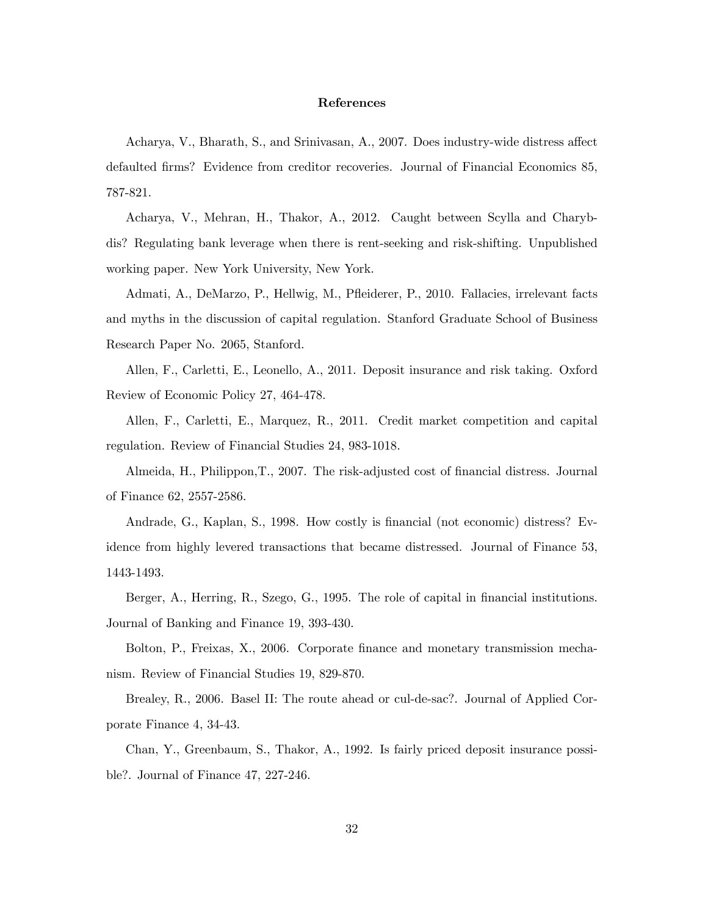#### References

Acharya, V., Bharath, S., and Srinivasan, A., 2007. Does industry-wide distress affect defaulted firms? Evidence from creditor recoveries. Journal of Financial Economics 85, 787-821.

Acharya, V., Mehran, H., Thakor, A., 2012. Caught between Scylla and Charybdis? Regulating bank leverage when there is rent-seeking and risk-shifting. Unpublished working paper. New York University, New York.

Admati, A., DeMarzo, P., Hellwig, M., Pfleiderer, P., 2010. Fallacies, irrelevant facts and myths in the discussion of capital regulation. Stanford Graduate School of Business Research Paper No. 2065, Stanford.

Allen, F., Carletti, E., Leonello, A., 2011. Deposit insurance and risk taking. Oxford Review of Economic Policy 27, 464-478.

Allen, F., Carletti, E., Marquez, R., 2011. Credit market competition and capital regulation. Review of Financial Studies 24, 983-1018.

Almeida, H., Philippon,T., 2007. The risk-adjusted cost of financial distress. Journal of Finance 62, 2557-2586.

Andrade, G., Kaplan, S., 1998. How costly is financial (not economic) distress? Evidence from highly levered transactions that became distressed. Journal of Finance 53, 1443-1493.

Berger, A., Herring, R., Szego, G., 1995. The role of capital in financial institutions. Journal of Banking and Finance 19, 393-430.

Bolton, P., Freixas, X., 2006. Corporate finance and monetary transmission mechanism. Review of Financial Studies 19, 829-870.

Brealey, R., 2006. Basel II: The route ahead or cul-de-sac?. Journal of Applied Corporate Finance 4, 34-43.

Chan, Y., Greenbaum, S., Thakor, A., 1992. Is fairly priced deposit insurance possible?. Journal of Finance 47, 227-246.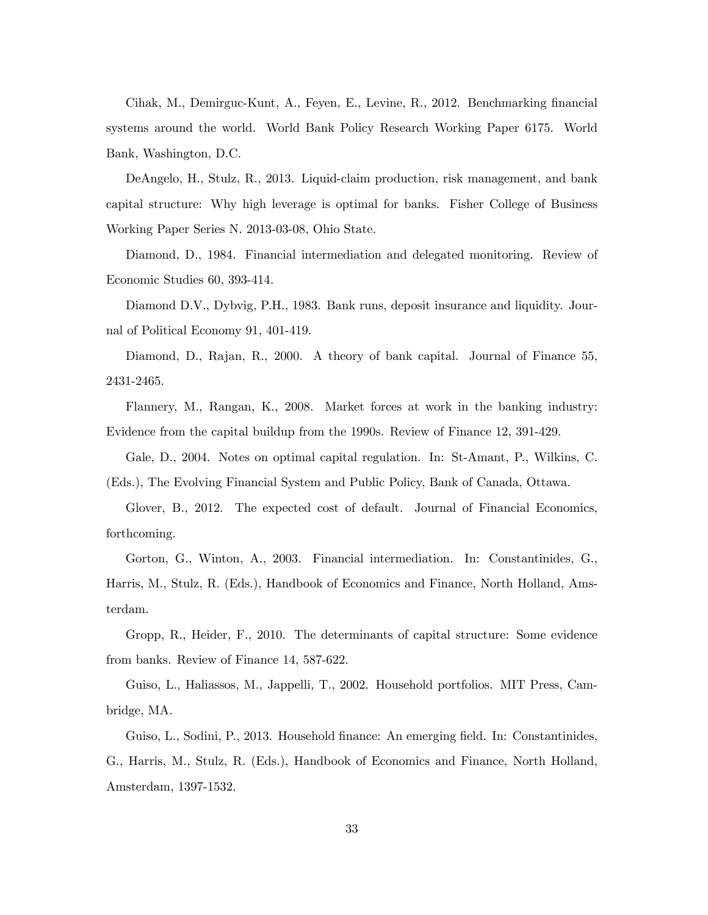Cihak, M., Demirguc-Kunt, A., Feyen, E., Levine, R., 2012. Benchmarking financial systems around the world. World Bank Policy Research Working Paper 6175. World Bank, Washington, D.C.

DeAngelo, H., Stulz, R., 2013. Liquid-claim production, risk management, and bank capital structure: Why high leverage is optimal for banks. Fisher College of Business Working Paper Series N. 2013-03-08, Ohio State.

Diamond, D., 1984. Financial intermediation and delegated monitoring. Review of Economic Studies 60, 393-414.

Diamond D.V., Dybvig, P.H., 1983. Bank runs, deposit insurance and liquidity. Journal of Political Economy 91, 401-419.

Diamond, D., Rajan, R., 2000. A theory of bank capital. Journal of Finance 55, 2431-2465.

Flannery, M., Rangan, K., 2008. Market forces at work in the banking industry: Evidence from the capital buildup from the 1990s. Review of Finance 12, 391-429.

Gale, D., 2004. Notes on optimal capital regulation. In: St-Amant, P., Wilkins, C. (Eds.), The Evolving Financial System and Public Policy, Bank of Canada, Ottawa.

Glover, B., 2012. The expected cost of default. Journal of Financial Economics, forthcoming.

Gorton, G., Winton, A., 2003. Financial intermediation. In: Constantinides, G., Harris, M., Stulz, R. (Eds.), Handbook of Economics and Finance, North Holland, Amsterdam.

Gropp, R., Heider, F., 2010. The determinants of capital structure: Some evidence from banks. Review of Finance 14, 587-622.

Guiso, L., Haliassos, M., Jappelli, T., 2002. Household portfolios. MIT Press, Cambridge, MA.

Guiso, L., Sodini, P., 2013. Household finance: An emerging field. In: Constantinides, G., Harris, M., Stulz, R. (Eds.), Handbook of Economics and Finance, North Holland, Amsterdam, 1397-1532.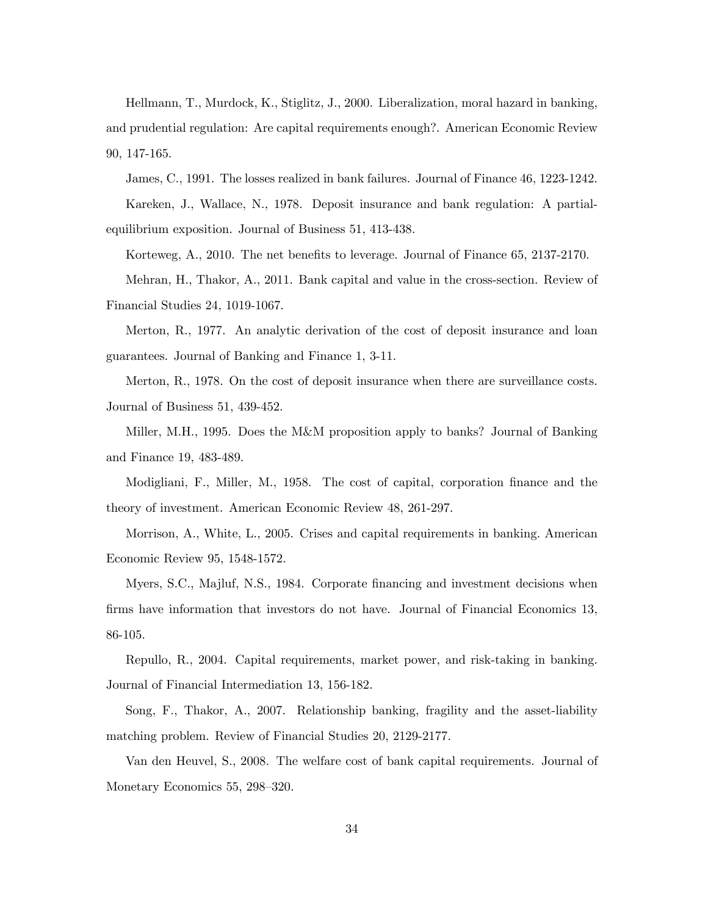Hellmann, T., Murdock, K., Stiglitz, J., 2000. Liberalization, moral hazard in banking, and prudential regulation: Are capital requirements enough?. American Economic Review 90, 147-165.

James, C., 1991. The losses realized in bank failures. Journal of Finance 46, 1223-1242.

Kareken, J., Wallace, N., 1978. Deposit insurance and bank regulation: A partialequilibrium exposition. Journal of Business 51, 413-438.

Korteweg, A., 2010. The net benefits to leverage. Journal of Finance 65, 2137-2170.

Mehran, H., Thakor, A., 2011. Bank capital and value in the cross-section. Review of Financial Studies 24, 1019-1067.

Merton, R., 1977. An analytic derivation of the cost of deposit insurance and loan guarantees. Journal of Banking and Finance 1, 3-11.

Merton, R., 1978. On the cost of deposit insurance when there are surveillance costs. Journal of Business 51, 439-452.

Miller, M.H., 1995. Does the M&M proposition apply to banks? Journal of Banking and Finance 19, 483-489.

Modigliani, F., Miller, M., 1958. The cost of capital, corporation finance and the theory of investment. American Economic Review 48, 261-297.

Morrison, A., White, L., 2005. Crises and capital requirements in banking. American Economic Review 95, 1548-1572.

Myers, S.C., Majluf, N.S., 1984. Corporate financing and investment decisions when firms have information that investors do not have. Journal of Financial Economics 13, 86-105.

Repullo, R., 2004. Capital requirements, market power, and risk-taking in banking. Journal of Financial Intermediation 13, 156-182.

Song, F., Thakor, A., 2007. Relationship banking, fragility and the asset-liability matching problem. Review of Financial Studies 20, 2129-2177.

Van den Heuvel, S., 2008. The welfare cost of bank capital requirements. Journal of Monetary Economics 55, 298—320.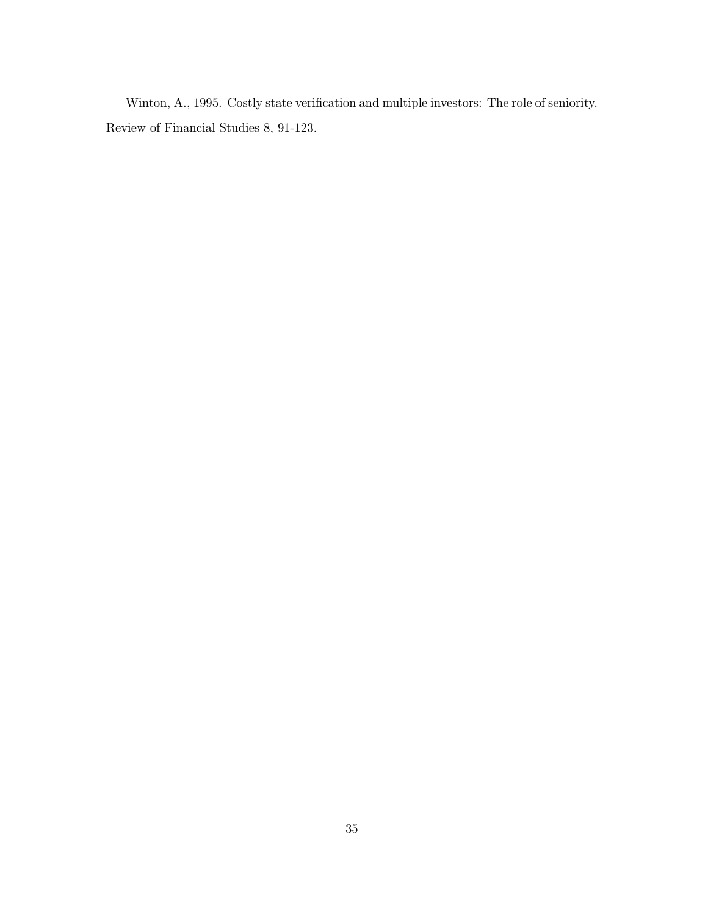Winton, A., 1995. Costly state verification and multiple investors: The role of seniority. Review of Financial Studies 8, 91-123.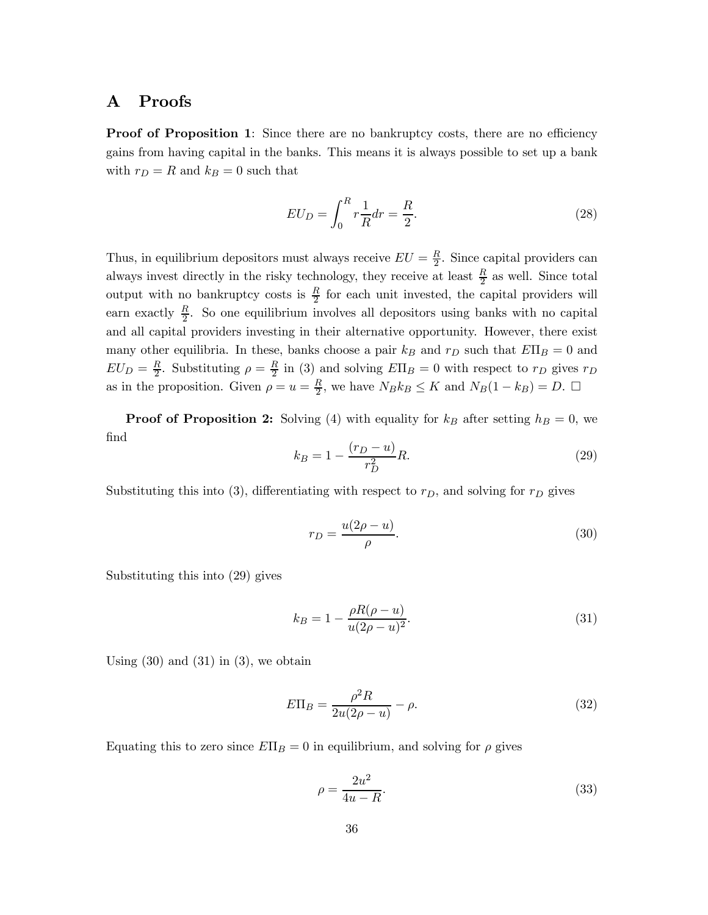# A Proofs

**Proof of Proposition 1:** Since there are no bankruptcy costs, there are no efficiency gains from having capital in the banks. This means it is always possible to set up a bank with  $r_D = R$  and  $k_B = 0$  such that

$$
EU_D = \int_0^R r \frac{1}{R} dr = \frac{R}{2}.
$$
\n
$$
(28)
$$

Thus, in equilibrium depositors must always receive  $EU = \frac{R}{2}$ . Since capital providers can always invest directly in the risky technology, they receive at least  $\frac{R}{2}$  as well. Since total output with no bankruptcy costs is  $\frac{R}{2}$  for each unit invested, the capital providers will earn exactly  $\frac{R}{2}$ . So one equilibrium involves all depositors using banks with no capital and all capital providers investing in their alternative opportunity. However, there exist many other equilibria. In these, banks choose a pair  $k_B$  and  $r_D$  such that  $E\Pi_B = 0$  and  $EU_D = \frac{R}{2}$ . Substituting  $\rho = \frac{R}{2}$  in (3) and solving  $E\Pi_B = 0$  with respect to  $r_D$  gives  $r_D$ as in the proposition. Given  $\rho = u = \frac{R}{2}$ , we have  $N_B k_B \le K$  and  $N_B(1 - k_B) = D$ .  $\Box$ 

**Proof of Proposition 2:** Solving (4) with equality for  $k_B$  after setting  $h_B = 0$ , we find

$$
k_B = 1 - \frac{(r_D - u)}{r_D^2} R.
$$
\n(29)

Substituting this into (3), differentiating with respect to  $r_D$ , and solving for  $r_D$  gives

$$
r_D = \frac{u(2\rho - u)}{\rho}.\tag{30}
$$

Substituting this into (29) gives

$$
k_B = 1 - \frac{\rho R(\rho - u)}{u(2\rho - u)^2}.
$$
\n(31)

Using  $(30)$  and  $(31)$  in  $(3)$ , we obtain

$$
E\Pi_B = \frac{\rho^2 R}{2u(2\rho - u)} - \rho.
$$
\n(32)

Equating this to zero since  $E\Pi_B = 0$  in equilibrium, and solving for  $\rho$  gives

$$
\rho = \frac{2u^2}{4u - R}.\tag{33}
$$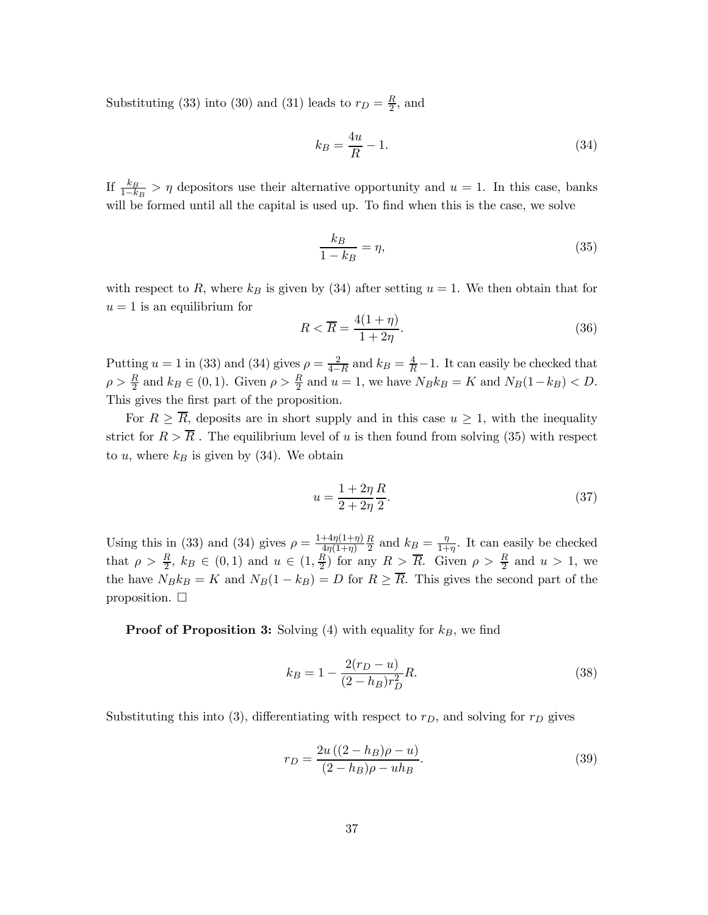Substituting (33) into (30) and (31) leads to  $r_D = \frac{R}{2}$ , and

$$
k_B = \frac{4u}{R} - 1.\t\t(34)
$$

If  $\frac{k_B}{1-k_B} > \eta$  depositors use their alternative opportunity and  $u = 1$ . In this case, banks will be formed until all the capital is used up. To find when this is the case, we solve

$$
\frac{k_B}{1 - k_B} = \eta,\tag{35}
$$

with respect to R, where  $k_B$  is given by (34) after setting  $u = 1$ . We then obtain that for  $u = 1$  is an equilibrium for

$$
R < \overline{R} = \frac{4(1+\eta)}{1+2\eta}.\tag{36}
$$

Putting  $u = 1$  in (33) and (34) gives  $\rho = \frac{2}{4 - R}$  and  $k_B = \frac{4}{R} - 1$ . It can easily be checked that  $\rho > \frac{R}{2}$  and  $k_B \in (0, 1)$ . Given  $\rho > \frac{R}{2}$  and  $u = 1$ , we have  $N_B k_B = K$  and  $N_B(1-k_B) < D$ . This gives the first part of the proposition.

For  $R \geq \overline{R}$ , deposits are in short supply and in this case  $u \geq 1$ , with the inequality strict for  $R > \overline{R}$ . The equilibrium level of u is then found from solving (35) with respect to u, where  $k_B$  is given by (34). We obtain

$$
u = \frac{1 + 2\eta R}{2 + 2\eta 2}.
$$
\n(37)

Using this in (33) and (34) gives  $\rho = \frac{1+4\eta(1+\eta)}{4\eta(1+\eta)}$  $\frac{R}{2}$  and  $k_B = \frac{\eta}{1+\eta}$ . It can easily be checked that  $\rho > \frac{R}{2}$ ,  $k_B \in (0,1)$  and  $u \in (1,\frac{R}{2})$  for any  $R > \overline{R}$ . Given  $\rho > \frac{R}{2}$  and  $u > 1$ , we the have  $N_B k_B = K$  and  $N_B(1 - k_B) = D$  for  $R \geq \overline{R}$ . This gives the second part of the proposition.  $\Box$ 

**Proof of Proposition 3:** Solving (4) with equality for  $k_B$ , we find

$$
k_B = 1 - \frac{2(r_D - u)}{(2 - h_B)r_D^2}R.
$$
\n(38)

Substituting this into (3), differentiating with respect to  $r_D$ , and solving for  $r_D$  gives

$$
r_D = \frac{2u((2 - h_B)\rho - u)}{(2 - h_B)\rho - uh_B}.
$$
\n(39)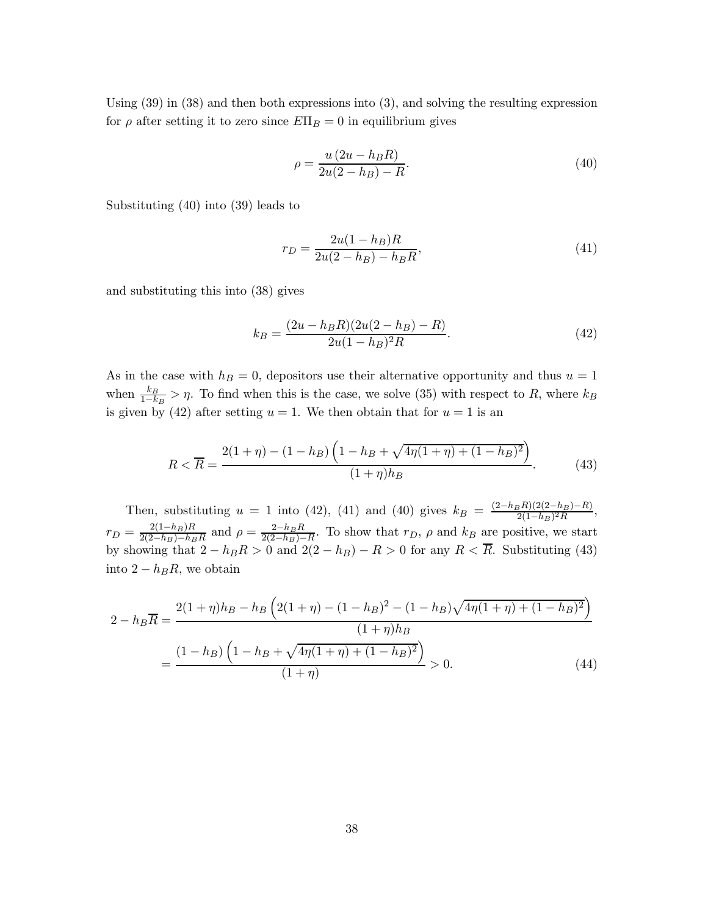Using (39) in (38) and then both expressions into (3), and solving the resulting expression for  $\rho$  after setting it to zero since  $E\Pi_B = 0$  in equilibrium gives

$$
\rho = \frac{u(2u - h_B R)}{2u(2 - h_B) - R}.
$$
\n(40)

Substituting (40) into (39) leads to

$$
r_D = \frac{2u(1 - h_B)R}{2u(2 - h_B) - h_B R},\tag{41}
$$

and substituting this into (38) gives

$$
k_B = \frac{(2u - h_B R)(2u(2 - h_B) - R)}{2u(1 - h_B)^2 R}.
$$
\n(42)

As in the case with  $h_B = 0$ , depositors use their alternative opportunity and thus  $u = 1$ when  $\frac{k_B}{1-k_B} > \eta$ . To find when this is the case, we solve (35) with respect to R, where  $k_B$ is given by (42) after setting  $u = 1$ . We then obtain that for  $u = 1$  is an

$$
R < \overline{R} = \frac{2(1+\eta) - (1-h_B)\left(1-h_B + \sqrt{4\eta(1+\eta) + (1-h_B)^2}\right)}{(1+\eta)h_B}.\tag{43}
$$

Then, substituting  $u = 1$  into (42), (41) and (40) gives  $k_B = \frac{(2-h_B R)(2(2-h_B)-R)}{2(1-h_B)^2 R}$ ,  $r_D = \frac{2(1-h_B)R}{2(2-h_B)-h_BR}$  and  $\rho = \frac{2-h_BR}{2(2-h_B)-R}$ . To show that  $r_D$ ,  $\rho$  and  $k_B$  are positive, we start by showing that  $2 - h_B R > 0$  and  $2(2 - h_B) - R > 0$  for any  $R < R$ . Substituting (43) into  $2 - h_B R$ , we obtain

$$
2 - h_B \overline{R} = \frac{2(1+\eta)h_B - h_B \left(2(1+\eta) - (1-h_B)^2 - (1-h_B)\sqrt{4\eta(1+\eta) + (1-h_B)^2}\right)}{(1+\eta)h_B}
$$

$$
= \frac{(1-h_B)\left(1-h_B + \sqrt{4\eta(1+\eta) + (1-h_B)^2}\right)}{(1+\eta)} > 0.
$$
(44)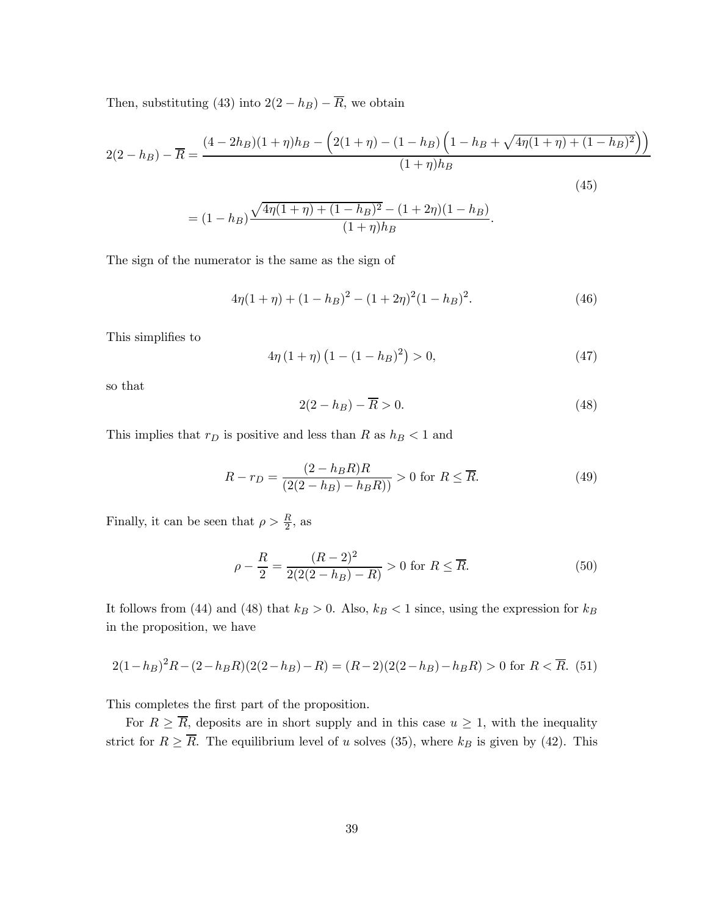Then, substituting (43) into  $2(2 - h_B) - \overline{R}$ , we obtain

$$
2(2 - h_B) - \overline{R} = \frac{(4 - 2h_B)(1 + \eta)h_B - (2(1 + \eta) - (1 - h_B)\left(1 - h_B + \sqrt{4\eta(1 + \eta) + (1 - h_B)^2}\right))}{(1 + \eta)h_B}
$$
\n(45)

$$
= (1 - h_B) \frac{\sqrt{4\eta(1 + \eta) + (1 - h_B)^2} - (1 + 2\eta)(1 - h_B)}{(1 + \eta)h_B}.
$$

The sign of the numerator is the same as the sign of

$$
4\eta(1+\eta) + (1-h_B)^2 - (1+2\eta)^2(1-h_B)^2.
$$
 (46)

This simplifies to

$$
4\eta (1 + \eta) (1 - (1 - h_B)^2) > 0,
$$
\n(47)

so that

$$
2(2 - h_B) - \overline{R} > 0. \tag{48}
$$

This implies that  $r_D$  is positive and less than R as  $h_B < 1$  and

$$
R - r_D = \frac{(2 - h_B R)R}{(2(2 - h_B) - h_B R)} > 0 \text{ for } R \le \overline{R}.
$$
 (49)

Finally, it can be seen that  $\rho > \frac{R}{2}$ , as

$$
\rho - \frac{R}{2} = \frac{(R-2)^2}{2(2(2-h_B)-R)} > 0 \text{ for } R \le \overline{R}.
$$
\n(50)

It follows from (44) and (48) that  $k_B > 0$ . Also,  $k_B < 1$  since, using the expression for  $k_B$ in the proposition, we have

$$
2(1-h_B)^2 R - (2-h_B R)(2(2-h_B) - R) = (R-2)(2(2-h_B) - h_B R) > 0 \text{ for } R < \overline{R}.
$$
 (51)

This completes the first part of the proposition.

For  $R \geq \overline{R}$ , deposits are in short supply and in this case  $u \geq 1$ , with the inequality strict for  $R \geq \overline{R}$ . The equilibrium level of u solves (35), where  $k_B$  is given by (42). This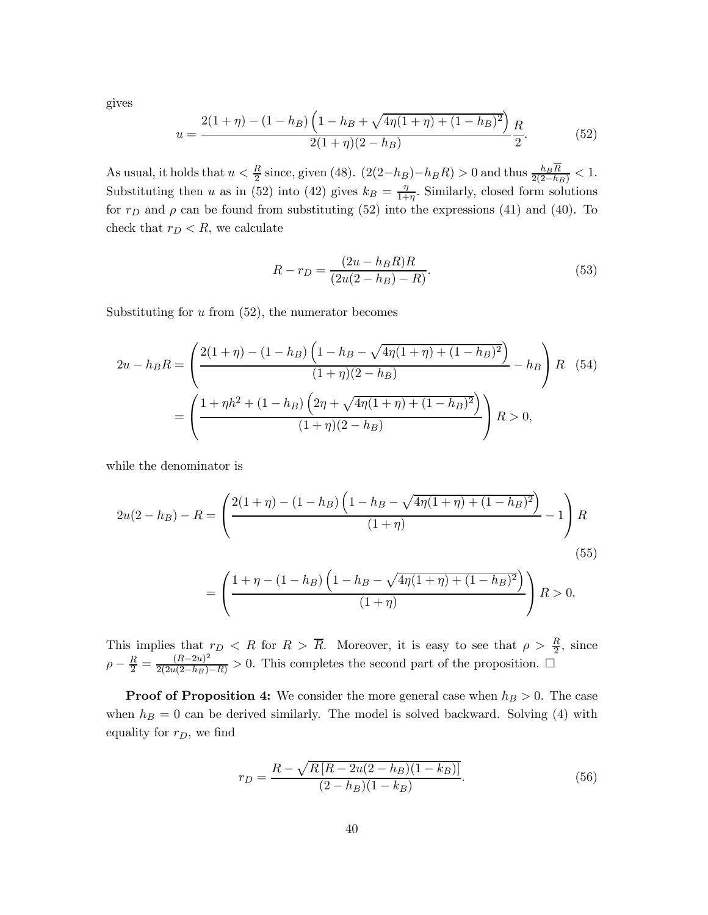gives

$$
u = \frac{2(1+\eta) - (1-h_B)\left(1-h_B + \sqrt{4\eta(1+\eta) + (1-h_B)^2}\right)}{2(1+\eta)(2-h_B)}\frac{R}{2}.
$$
 (52)

As usual, it holds that  $u < \frac{R}{2}$  since, given (48).  $(2(2-h_B)-h_B R) > 0$  and thus  $\frac{h_B R}{2(2-h_B)} < 1$ . Substituting then u as in (52) into (42) gives  $k_B = \frac{\eta}{1+\eta}$ . Similarly, closed form solutions for  $r_D$  and  $\rho$  can be found from substituting (52) into the expressions (41) and (40). To check that  $r_D < R$ , we calculate

$$
R - r_D = \frac{(2u - h_B R)R}{(2u(2 - h_B) - R)}.
$$
\n(53)

Substituting for  $u$  from  $(52)$ , the numerator becomes

$$
2u - h_B R = \left(\frac{2(1+\eta) - (1-h_B)\left(1-h_B - \sqrt{4\eta(1+\eta) + (1-h_B)^2}\right)}{(1+\eta)(2-h_B)} - h_B\right)R
$$
(54)
$$
= \left(\frac{1+\eta h^2 + (1-h_B)\left(2\eta + \sqrt{4\eta(1+\eta) + (1-h_B)^2}\right)}{(1+\eta)(2-h_B)}\right)R > 0,
$$

while the denominator is

$$
2u(2-h_B) - R = \left(\frac{2(1+\eta) - (1-h_B)\left(1-h_B - \sqrt{4\eta(1+\eta) + (1-h_B)^2}\right)}{(1+\eta)} - 1\right)R
$$
\n(55)

$$
= \left(\frac{1+\eta-(1-h_B)\left(1-h_B-\sqrt{4\eta(1+\eta)+(1-h_B)^2}\right)}{(1+\eta)}\right)R > 0.
$$

This implies that  $r_D < R$  for  $R > \overline{R}$ . Moreover, it is easy to see that  $\rho > \frac{R}{2}$ , since  $\rho - \frac{R}{2} = \frac{(R-2u)^2}{2(2u(2-h_B)-R)} > 0$ . This completes the second part of the proposition. □

**Proof of Proposition 4:** We consider the more general case when  $h_B > 0$ . The case when  $h_B = 0$  can be derived similarly. The model is solved backward. Solving (4) with equality for  $r_D$ , we find

$$
r_D = \frac{R - \sqrt{R\left[R - 2u(2 - h_B)(1 - k_B)\right]}}{(2 - h_B)(1 - k_B)}.\tag{56}
$$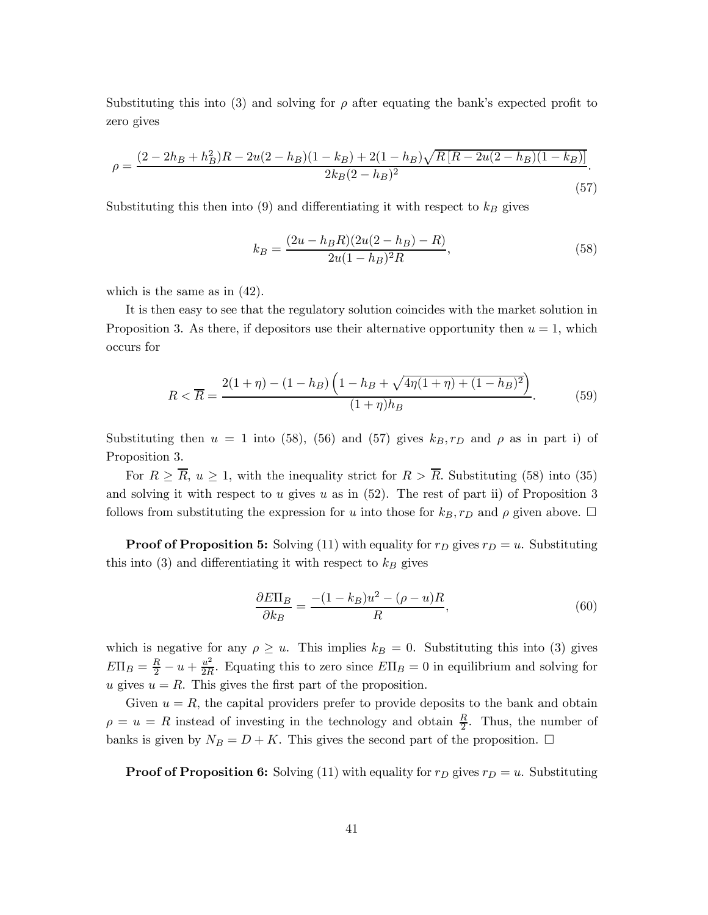Substituting this into (3) and solving for  $\rho$  after equating the bank's expected profit to zero gives

$$
\rho = \frac{(2 - 2h_B + h_B^2)R - 2u(2 - h_B)(1 - k_B) + 2(1 - h_B)\sqrt{R[R - 2u(2 - h_B)(1 - k_B)]}}{2k_B(2 - h_B)^2}.
$$
\n(57)

Substituting this then into (9) and differentiating it with respect to  $k_B$  gives

$$
k_B = \frac{(2u - h_B R)(2u(2 - h_B) - R)}{2u(1 - h_B)^2 R},
$$
\n(58)

which is the same as in (42).

It is then easy to see that the regulatory solution coincides with the market solution in Proposition 3. As there, if depositors use their alternative opportunity then  $u = 1$ , which occurs for

$$
R < \overline{R} = \frac{2(1+\eta) - (1-h_B)\left(1-h_B + \sqrt{4\eta(1+\eta) + (1-h_B)^2}\right)}{(1+\eta)h_B}.\tag{59}
$$

Substituting then  $u = 1$  into (58), (56) and (57) gives  $k_B, r_D$  and  $\rho$  as in part i) of Proposition 3.

For  $R \geq \overline{R}$ ,  $u \geq 1$ , with the inequality strict for  $R > \overline{R}$ . Substituting (58) into (35) and solving it with respect to  $u$  gives  $u$  as in (52). The rest of part ii) of Proposition 3 follows from substituting the expression for u into those for  $k_B$ ,  $r_D$  and  $\rho$  given above.  $\Box$ 

**Proof of Proposition 5:** Solving (11) with equality for  $r_D$  gives  $r_D = u$ . Substituting this into  $(3)$  and differentiating it with respect to  $k_B$  gives

$$
\frac{\partial E\Pi_B}{\partial k_B} = \frac{-(1 - k_B)u^2 - (\rho - u)R}{R},\tag{60}
$$

which is negative for any  $\rho \geq u$ . This implies  $k_B = 0$ . Substituting this into (3) gives  $E\Pi_B = \frac{R}{2} - u + \frac{u^2}{2R}$ . Equating this to zero since  $E\Pi_B = 0$  in equilibrium and solving for u gives  $u = R$ . This gives the first part of the proposition.

Given  $u = R$ , the capital providers prefer to provide deposits to the bank and obtain  $\rho = u = R$  instead of investing in the technology and obtain  $\frac{R}{2}$ . Thus, the number of banks is given by  $N_B = D + K$ . This gives the second part of the proposition.  $\Box$ 

**Proof of Proposition 6:** Solving (11) with equality for  $r_D$  gives  $r_D = u$ . Substituting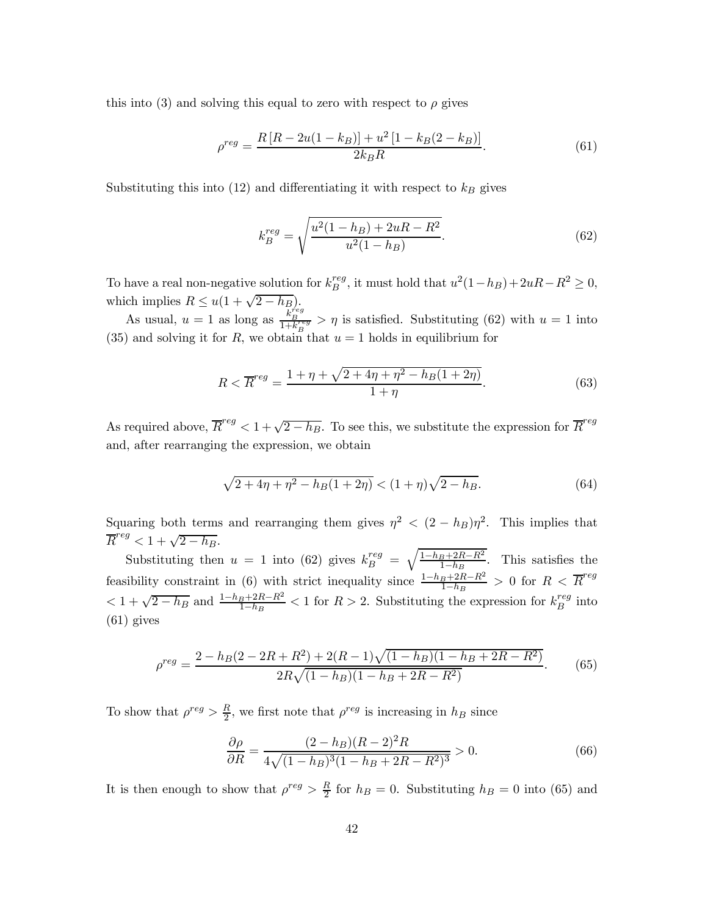this into (3) and solving this equal to zero with respect to  $\rho$  gives

$$
\rho^{reg} = \frac{R\left[R - 2u(1 - k_B)\right] + u^2\left[1 - k_B(2 - k_B)\right]}{2k_B R}.\tag{61}
$$

Substituting this into (12) and differentiating it with respect to  $k_B$  gives

$$
k_B^{reg} = \sqrt{\frac{u^2(1 - h_B) + 2u - R^2}{u^2(1 - h_B)}}.
$$
\n(62)

To have a real non-negative solution for  $k_B^{reg}$ , it must hold that  $u^2(1-h_B)+2uR-R^2\geq 0$ , which implies  $R \leq u(1 + \sqrt{2 - h_B})$ .

As usual,  $u = 1$  as long as  $\frac{\tilde{k}_{B}^{j_{eg}}}{1 + k_{B}^{reg}} > \eta$  is satisfied. Substituting (62) with  $u = 1$  into (35) and solving it for R, we obtain that  $u = 1$  holds in equilibrium for

$$
R < \overline{R}^{reg} = \frac{1 + \eta + \sqrt{2 + 4\eta + \eta^2 - h_B(1 + 2\eta)}}{1 + \eta}.\tag{63}
$$

As required above,  $\overline{R}^{reg} < 1 + \sqrt{2-h_B}$ . To see this, we substitute the expression for  $\overline{R}^{reg}$ and, after rearranging the expression, we obtain

$$
\sqrt{2+4\eta+\eta^2-h_B(1+2\eta)} < (1+\eta)\sqrt{2-h_B}.\tag{64}
$$

Squaring both terms and rearranging them gives  $\eta^2 < (2 - h_B)\eta^2$ . This implies that  $\overline{R}^{reg} < 1 + \sqrt{2 - h_B}.$ 

Substituting then  $u = 1$  into (62) gives  $k_B^{reg} = \sqrt{\frac{1-h_B+2R-R^2}{1-h_B}}$ . This satisfies the feasibility constraint in (6) with strict inequality since  $\frac{1-h_B+2R-R^2}{1-h_B} > 0$  for  $R < \overline{R}^{reg}$  $1 + \sqrt{2 - h_B}$  and  $\frac{1 - h_B + 2R - R^2}{1 - h_B} < 1$  for  $R > 2$ . Substituting the expression for  $k_B^{reg}$  into (61) gives

$$
\rho^{reg} = \frac{2 - h_B(2 - 2R + R^2) + 2(R - 1)\sqrt{(1 - h_B)(1 - h_B + 2R - R^2)}}{2R\sqrt{(1 - h_B)(1 - h_B + 2R - R^2)}}.
$$
(65)

To show that  $\rho^{reg} > \frac{R}{2}$ , we first note that  $\rho^{reg}$  is increasing in  $h_B$  since

$$
\frac{\partial \rho}{\partial R} = \frac{(2 - h_B)(R - 2)^2 R}{4\sqrt{(1 - h_B)^3 (1 - h_B + 2R - R^2)^3}} > 0.
$$
\n(66)

It is then enough to show that  $\rho^{reg} > \frac{R}{2}$  for  $h_B = 0$ . Substituting  $h_B = 0$  into (65) and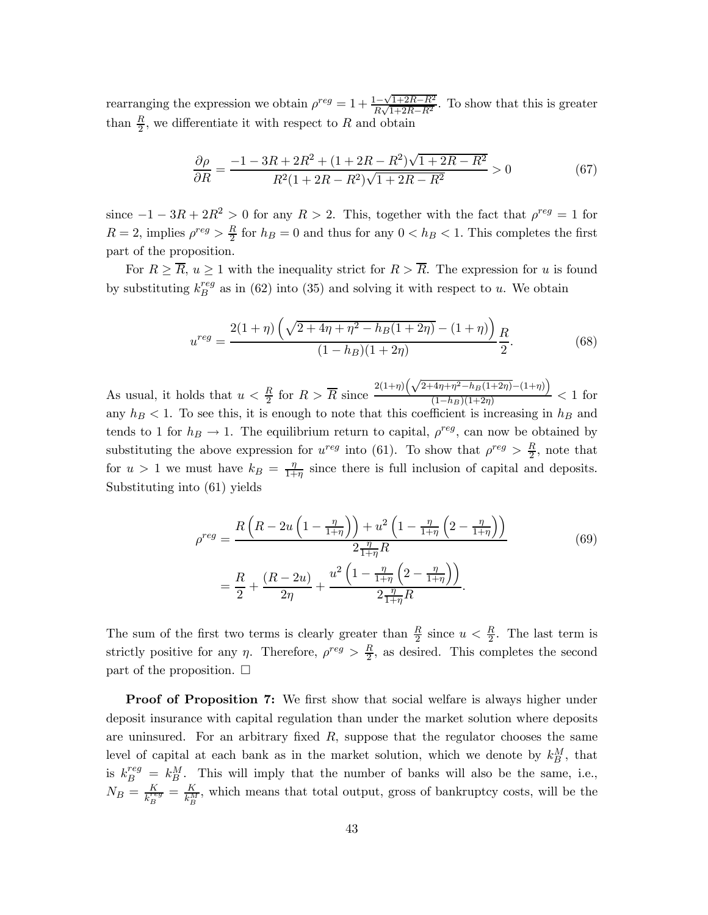rearranging the expression we obtain  $\rho^{reg} = 1 + \frac{1 - \sqrt{1 + 2R - R^2}}{R\sqrt{1 + 2R - R^2}}$ . To show that this is greater than  $\frac{R}{2}$ , we differentiate it with respect to R and obtain

$$
\frac{\partial \rho}{\partial R} = \frac{-1 - 3R + 2R^2 + (1 + 2R - R^2)\sqrt{1 + 2R - R^2}}{R^2(1 + 2R - R^2)\sqrt{1 + 2R - R^2}} > 0
$$
\n(67)

since  $-1 - 3R + 2R^2 > 0$  for any  $R > 2$ . This, together with the fact that  $\rho^{reg} = 1$  for  $R = 2$ , implies  $\rho^{reg} > \frac{R}{2}$  for  $h_B = 0$  and thus for any  $0 < h_B < 1$ . This completes the first part of the proposition.

For  $R \geq \overline{R}$ ,  $u \geq 1$  with the inequality strict for  $R > \overline{R}$ . The expression for u is found by substituting  $k_B^{reg}$  as in (62) into (35) and solving it with respect to u. We obtain

$$
u^{reg} = \frac{2(1+\eta)\left(\sqrt{2+4\eta+\eta^2-h_B(1+2\eta)}-(1+\eta)\right)R}{(1-h_B)(1+2\eta)}.
$$
\n(68)

As usual, it holds that  $u < \frac{R}{2}$  for  $R > \overline{R}$  since  $\frac{2(1+\eta)\left(\sqrt{2+4\eta+\eta^2-h_B(1+2\eta)}-(1+\eta)\right)}{(1-h_B)(1+2\eta)}$  $\frac{1}{(1-h_B)(1+2\eta)}$  < 1 for any  $h_B < 1$ . To see this, it is enough to note that this coefficient is increasing in  $h_B$  and tends to 1 for  $h_B \to 1$ . The equilibrium return to capital,  $\rho^{reg}$ , can now be obtained by substituting the above expression for  $u^{reg}$  into (61). To show that  $\rho^{reg} > \frac{R}{2}$ , note that for  $u > 1$  we must have  $k_B = \frac{\eta}{1+\eta}$  since there is full inclusion of capital and deposits. Substituting into (61) yields

$$
\rho^{reg} = \frac{R\left(R - 2u\left(1 - \frac{\eta}{1 + \eta}\right)\right) + u^2\left(1 - \frac{\eta}{1 + \eta}\left(2 - \frac{\eta}{1 + \eta}\right)\right)}{2\frac{\eta}{1 + \eta}R}
$$
(69)  
=  $\frac{R}{2} + \frac{(R - 2u)}{2\eta} + \frac{u^2\left(1 - \frac{\eta}{1 + \eta}\left(2 - \frac{\eta}{1 + \eta}\right)\right)}{2\frac{\eta}{1 + \eta}R}.$ 

The sum of the first two terms is clearly greater than  $\frac{R}{2}$  since  $u < \frac{R}{2}$ . The last term is strictly positive for any  $\eta$ . Therefore,  $\rho^{reg} > \frac{R}{2}$ , as desired. This completes the second part of the proposition.  $\Box$ 

Proof of Proposition 7: We first show that social welfare is always higher under deposit insurance with capital regulation than under the market solution where deposits are uninsured. For an arbitrary fixed  $R$ , suppose that the regulator chooses the same level of capital at each bank as in the market solution, which we denote by  $k_B^M$ , that is  $k_B^{reg} = k_B^M$ . This will imply that the number of banks will also be the same, i.e.,  $N_B = \frac{K}{k_B^{reg}} = \frac{K}{k_B^{M}}$ , which means that total output, gross of bankruptcy costs, will be the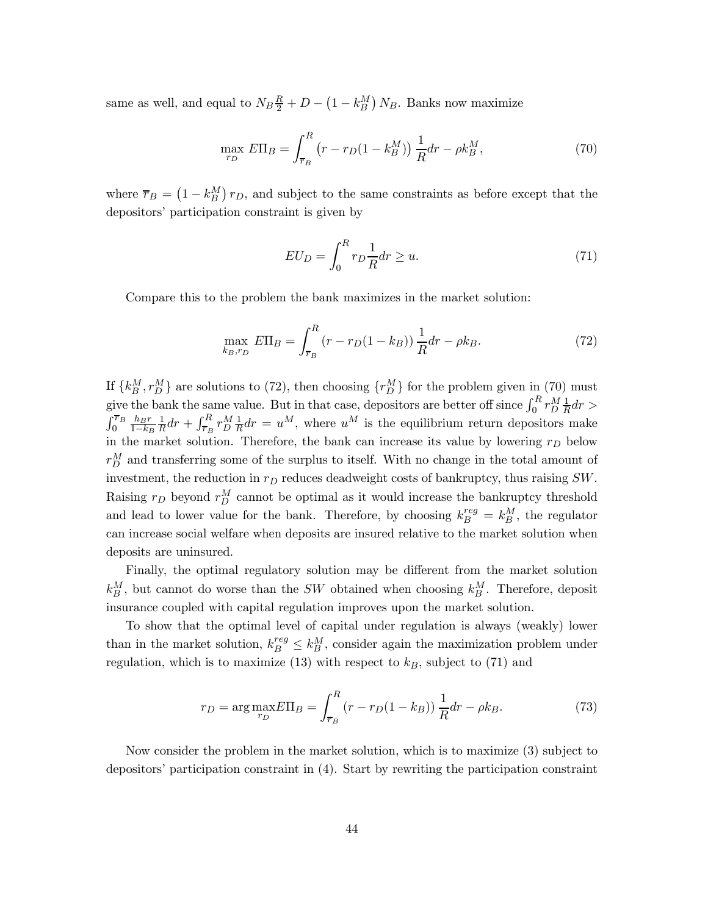same as well, and equal to  $N_B \frac{R}{2} + D - (1 - k_B^M) N_B$ . Banks now maximize

$$
\max_{r_D} E\Pi_B = \int_{\overline{r}_B}^R (r - r_D(1 - k_B^M)) \frac{1}{R} dr - \rho k_B^M,
$$
\n(70)

where  $\bar{r}_B = (1 - k_B^M) r_D$ , and subject to the same constraints as before except that the depositors' participation constraint is given by

$$
EU_D = \int_0^R r_D \frac{1}{R} dr \ge u.
$$
\n(71)

Compare this to the problem the bank maximizes in the market solution:

$$
\max_{k_B, r_D} E\Pi_B = \int_{\overline{r}_B}^R (r - r_D(1 - k_B)) \frac{1}{R} dr - \rho k_B.
$$
 (72)

If  $\{k_B^M, r_D^M\}$  are solutions to (72), then choosing  $\{r_D^M\}$  for the problem given in (70) must give the bank the same value. But in that case, depositors are better off since  $\int_0^R r_D^M \frac{1}{R} dr >$  $\int_0^{\overline{r}_B} \frac{h_B r}{1-k_B}$  $1-k_B$  $\frac{1}{R}dr + \int_{\overline{r}_B}^R r_D^M \frac{1}{R} dr = u^M$ , where  $u^M$  is the equilibrium return depositors make in the market solution. Therefore, the bank can increase its value by lowering  $r_D$  below  $r_D^M$  and transferring some of the surplus to itself. With no change in the total amount of investment, the reduction in  $r_D$  reduces deadweight costs of bankruptcy, thus raising  $SW$ . Raising  $r_D$  beyond  $r_D^M$  cannot be optimal as it would increase the bankruptcy threshold and lead to lower value for the bank. Therefore, by choosing  $k_B^{reg} = k_B^M$ , the regulator can increase social welfare when deposits are insured relative to the market solution when deposits are uninsured.

Finally, the optimal regulatory solution may be different from the market solution  $k_B^M$ , but cannot do worse than the *SW* obtained when choosing  $k_B^M$ . Therefore, deposit insurance coupled with capital regulation improves upon the market solution.

To show that the optimal level of capital under regulation is always (weakly) lower than in the market solution,  $k_B^{reg} \leq k_B^M$ , consider again the maximization problem under regulation, which is to maximize (13) with respect to  $k_B$ , subject to (71) and

$$
r_D = \arg \max_{r_D} E\Pi_B = \int_{\overline{r}_B}^R (r - r_D(1 - k_B)) \frac{1}{R} dr - \rho k_B.
$$
 (73)

Now consider the problem in the market solution, which is to maximize (3) subject to depositors' participation constraint in (4). Start by rewriting the participation constraint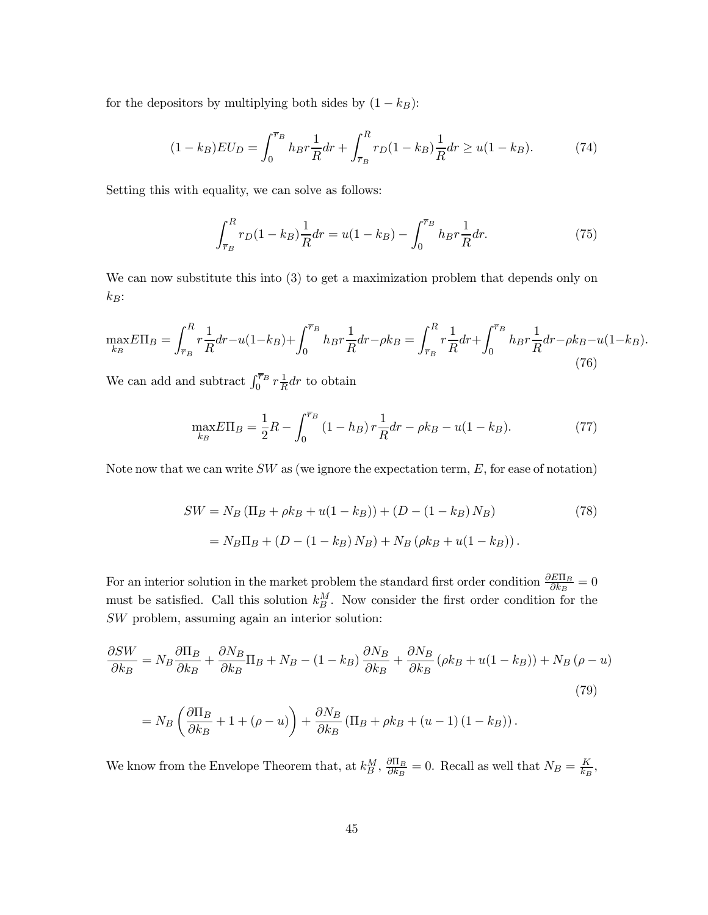for the depositors by multiplying both sides by  $(1 - k_B)$ :

$$
(1 - k_B)EU_D = \int_0^{\overline{r}_B} h_B r \frac{1}{R} dr + \int_{\overline{r}_B}^R r_D (1 - k_B) \frac{1}{R} dr \ge u(1 - k_B). \tag{74}
$$

Setting this with equality, we can solve as follows:

$$
\int_{\overline{r}_B}^R r_D(1 - k_B) \frac{1}{R} dr = u(1 - k_B) - \int_0^{\overline{r}_B} h_B r \frac{1}{R} dr.
$$
 (75)

We can now substitute this into  $(3)$  to get a maximization problem that depends only on  $k_B$ :

$$
\max_{k_B} E\Pi_B = \int_{\overline{r}_B}^R r \frac{1}{R} dr - u(1 - k_B) + \int_0^{\overline{r}_B} h_B r \frac{1}{R} dr - \rho k_B = \int_{\overline{r}_B}^R r \frac{1}{R} dr + \int_0^{\overline{r}_B} h_B r \frac{1}{R} dr - \rho k_B - u(1 - k_B). \tag{76}
$$

We can add and subtract  $\int_0^{\overline{r}_B} r \frac{1}{R} dr$  to obtain

$$
\max_{k_B} E\Pi_B = \frac{1}{2}R - \int_0^{\overline{\tau}_B} (1 - h_B) r \frac{1}{R} dr - \rho k_B - u(1 - k_B). \tag{77}
$$

Note now that we can write  $SW$  as (we ignore the expectation term,  $E$ , for ease of notation)

$$
SW = N_B (\Pi_B + \rho k_B + u(1 - k_B)) + (D - (1 - k_B) N_B)
$$
(78)  
=  $N_B \Pi_B + (D - (1 - k_B) N_B) + N_B (\rho k_B + u(1 - k_B)).$ 

For an interior solution in the market problem the standard first order condition  $\frac{\partial E\Pi_B}{\partial k_B} = 0$ must be satisfied. Call this solution  $k_B^M$ . Now consider the first order condition for the  $SW$  problem, assuming again an interior solution:

$$
\frac{\partial SW}{\partial k_B} = N_B \frac{\partial \Pi_B}{\partial k_B} + \frac{\partial N_B}{\partial k_B} \Pi_B + N_B - (1 - k_B) \frac{\partial N_B}{\partial k_B} + \frac{\partial N_B}{\partial k_B} (\rho k_B + u(1 - k_B)) + N_B (\rho - u)
$$
  

$$
= N_B \left( \frac{\partial \Pi_B}{\partial k_B} + 1 + (\rho - u) \right) + \frac{\partial N_B}{\partial k_B} (\Pi_B + \rho k_B + (u - 1) (1 - k_B)).
$$
 (79)

We know from the Envelope Theorem that, at  $k_B^M$ ,  $\frac{\partial \Pi_B}{\partial k_B} = 0$ . Recall as well that  $N_B = \frac{K}{k_B}$ ,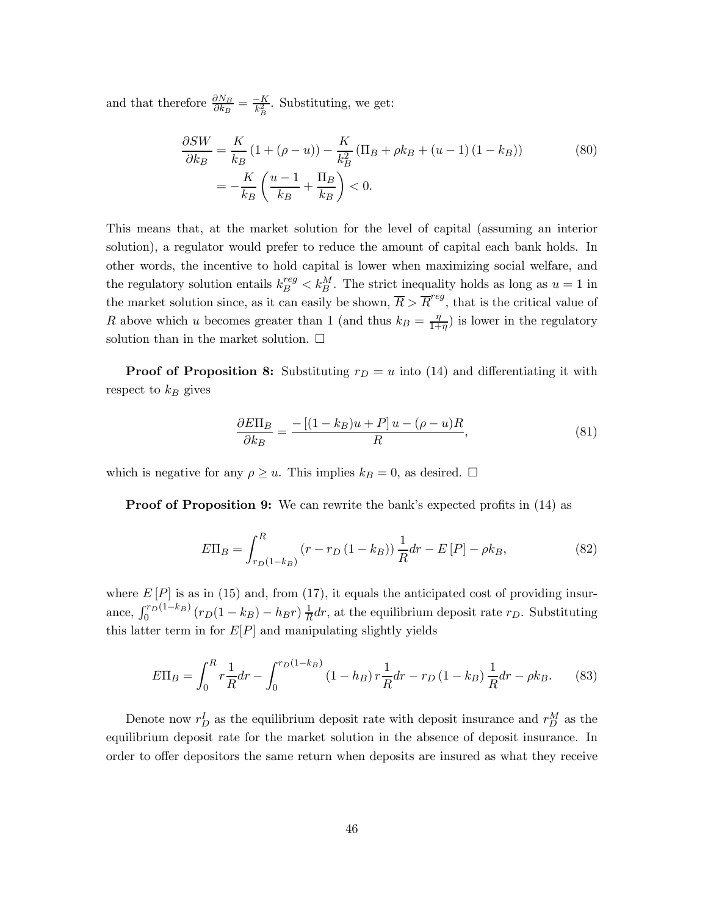and that therefore  $\frac{\partial N_B}{\partial k_B} = \frac{-K}{k_B^2}$ . Substituting, we get:

$$
\frac{\partial SW}{\partial k_B} = \frac{K}{k_B} (1 + (\rho - u)) - \frac{K}{k_B^2} (\Pi_B + \rho k_B + (u - 1) (1 - k_B))
$$
(80)  
= 
$$
-\frac{K}{k_B} \left( \frac{u - 1}{k_B} + \frac{\Pi_B}{k_B} \right) < 0.
$$

This means that, at the market solution for the level of capital (assuming an interior solution), a regulator would prefer to reduce the amount of capital each bank holds. In other words, the incentive to hold capital is lower when maximizing social welfare, and the regulatory solution entails  $k_B^{reg} < k_B^M$ . The strict inequality holds as long as  $u = 1$  in the market solution since, as it can easily be shown,  $\overline{R} > \overline{R}^{reg}$ , that is the critical value of R above which u becomes greater than 1 (and thus  $k_B = \frac{\eta}{1+\eta}$ ) is lower in the regulatory solution than in the market solution.  $\Box$ 

**Proof of Proposition 8:** Substituting  $r_D = u$  into (14) and differentiating it with respect to  $k_B$  gives

$$
\frac{\partial E\Pi_B}{\partial k_B} = \frac{-\left[(1 - k_B)u + P\right]u - (\rho - u)R}{R},\tag{81}
$$

which is negative for any  $\rho \geq u$ . This implies  $k_B = 0$ , as desired.  $\Box$ 

Proof of Proposition 9: We can rewrite the bank's expected profits in (14) as

$$
E\Pi_B = \int_{r_D(1-k_B)}^R (r - r_D(1 - k_B)) \frac{1}{R} dr - E[P] - \rho k_B,
$$
\n(82)

where  $E[P]$  is as in (15) and, from (17), it equals the anticipated cost of providing insurance,  $\int_0^{r_D(1-k_B)} (r_D(1-k_B) - h_B r) \frac{1}{R} dr$ , at the equilibrium deposit rate  $r_D$ . Substituting this latter term in for  $E[P]$  and manipulating slightly yields

$$
E\Pi_B = \int_0^R r \frac{1}{R} dr - \int_0^{r_D (1 - k_B)} (1 - h_B) r \frac{1}{R} dr - r_D (1 - k_B) \frac{1}{R} dr - \rho k_B.
$$
 (83)

Denote now  $r_D^I$  as the equilibrium deposit rate with deposit insurance and  $r_D^M$  as the equilibrium deposit rate for the market solution in the absence of deposit insurance. In order to offer depositors the same return when deposits are insured as what they receive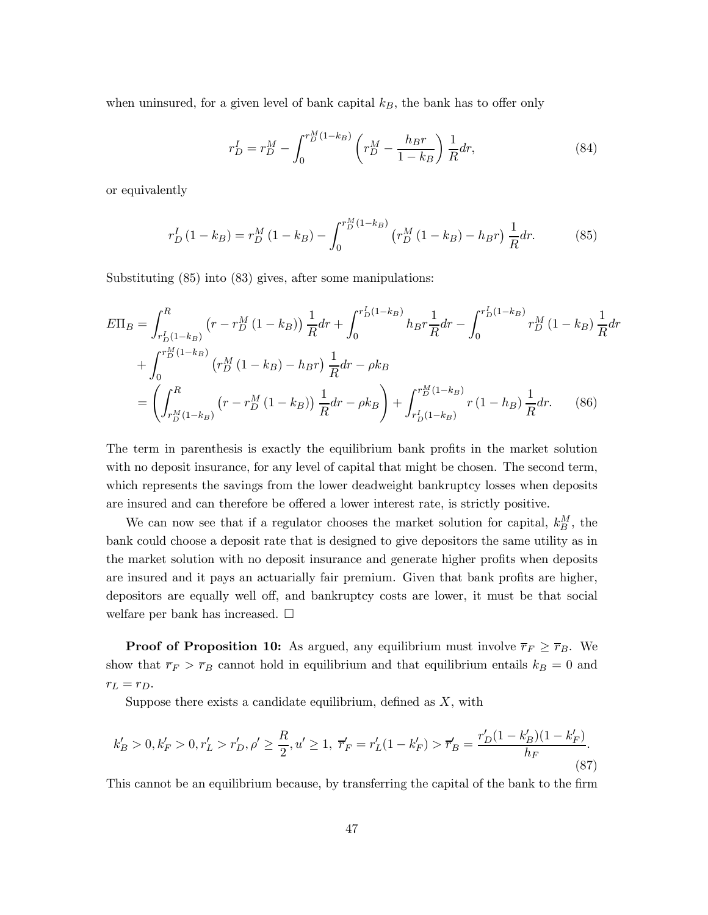when uninsured, for a given level of bank capital  $k_B$ , the bank has to offer only

$$
r_D^I = r_D^M - \int_0^{r_D^M (1 - k_B)} \left( r_D^M - \frac{h_B r}{1 - k_B} \right) \frac{1}{R} dr,\tag{84}
$$

or equivalently

$$
r_D^I(1 - k_B) = r_D^M(1 - k_B) - \int_0^{r_D^M(1 - k_B)} \left( r_D^M(1 - k_B) - h_B r \right) \frac{1}{R} dr.
$$
 (85)

Substituting (85) into (83) gives, after some manipulations:

$$
E\Pi_B = \int_{r_D^L (1 - k_B)}^R (r - r_D^M (1 - k_B)) \frac{1}{R} dr + \int_0^{r_D^L (1 - k_B)} h_B r \frac{1}{R} dr - \int_0^{r_D^L (1 - k_B)} r_D^M (1 - k_B) \frac{1}{R} dr
$$
  
+ 
$$
\int_0^{r_D^M (1 - k_B)} (r_D^M (1 - k_B) - h_B r) \frac{1}{R} dr - \rho k_B
$$
  
= 
$$
\left( \int_{r_D^M (1 - k_B)}^R (r - r_D^M (1 - k_B)) \frac{1}{R} dr - \rho k_B \right) + \int_{r_D^L (1 - k_B)}^{r_D^M (1 - k_B)} r (1 - h_B) \frac{1}{R} dr. \tag{86}
$$

The term in parenthesis is exactly the equilibrium bank profits in the market solution with no deposit insurance, for any level of capital that might be chosen. The second term, which represents the savings from the lower deadweight bankruptcy losses when deposits are insured and can therefore be offered a lower interest rate, is strictly positive.

We can now see that if a regulator chooses the market solution for capital,  $k_B^M$ , the bank could choose a deposit rate that is designed to give depositors the same utility as in the market solution with no deposit insurance and generate higher profits when deposits are insured and it pays an actuarially fair premium. Given that bank profits are higher, depositors are equally well off, and bankruptcy costs are lower, it must be that social welfare per bank has increased.  $\square$ 

**Proof of Proposition 10:** As argued, any equilibrium must involve  $\overline{r}_F \geq \overline{r}_B$ . We show that  $\overline{r}_F > \overline{r}_B$  cannot hold in equilibrium and that equilibrium entails  $k_B = 0$  and  $r_L = r_D.$ 

Suppose there exists a candidate equilibrium, defined as  $X$ , with

$$
k'_B > 0, k'_F > 0, r'_L > r'_D, \rho' \ge \frac{R}{2}, u' \ge 1, \ \overline{r}'_F = r'_L(1 - k'_F) > \overline{r}'_B = \frac{r'_D(1 - k'_B)(1 - k'_F)}{h_F}.
$$
\n(87)

This cannot be an equilibrium because, by transferring the capital of the bank to the firm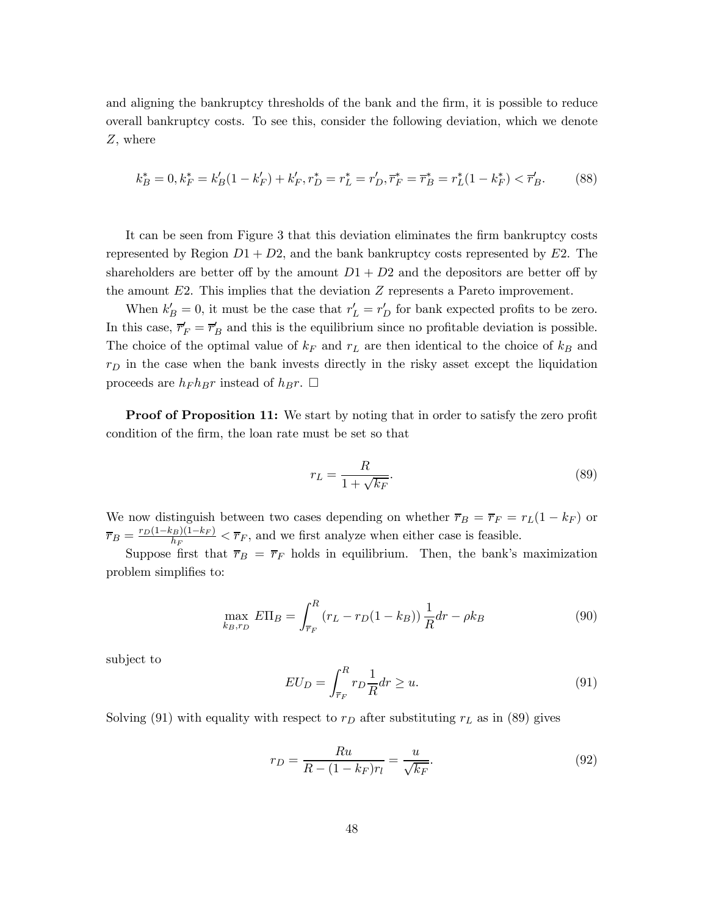and aligning the bankruptcy thresholds of the bank and the firm, it is possible to reduce overall bankruptcy costs. To see this, consider the following deviation, which we denote  $Z$ , where

$$
k_B^* = 0, k_F^* = k_B'(1 - k_F') + k_F', r_D^* = r_L^* = r_D', \overline{r}_F^* = \overline{r}_B^* = r_L^*(1 - k_F^*) < \overline{r}_B'.\tag{88}
$$

It can be seen from Figure 3 that this deviation eliminates the firm bankruptcy costs represented by Region  $D_1 + D_2$ , and the bank bankruptcy costs represented by E2. The shareholders are better off by the amount  $D1 + D2$  and the depositors are better off by the amount  $E2$ . This implies that the deviation  $Z$  represents a Pareto improvement.

When  $k_B' = 0$ , it must be the case that  $r_L' = r_D'$  for bank expected profits to be zero. In this case,  $\overline{r}'_F = \overline{r}'_B$  and this is the equilibrium since no profitable deviation is possible. The choice of the optimal value of  $k_F$  and  $r_L$  are then identical to the choice of  $k_B$  and  $r_D$  in the case when the bank invests directly in the risky asset except the liquidation proceeds are  $h_F h_B r$  instead of  $h_B r$ .  $\Box$ 

Proof of Proposition 11: We start by noting that in order to satisfy the zero profit condition of the firm, the loan rate must be set so that

$$
r_L = \frac{R}{1 + \sqrt{k_F}}.\tag{89}
$$

We now distinguish between two cases depending on whether  $\overline{r}_B = \overline{r}_F = r_L(1 - k_F)$  or  $\overline{r}_B = \frac{r_D(1-k_B)(1-k_F)}{h_F} < \overline{r}_F$ , and we first analyze when either case is feasible.

Suppose first that  $\overline{r}_B = \overline{r}_F$  holds in equilibrium. Then, the bank's maximization problem simplifies to:

$$
\max_{k_B, r_D} E\Pi_B = \int_{\overline{r}_F}^R (r_L - r_D(1 - k_B)) \frac{1}{R} dr - \rho k_B \tag{90}
$$

subject to

$$
EU_D = \int_{\overline{r}_F}^R r_D \frac{1}{R} dr \ge u.
$$
\n(91)

Solving (91) with equality with respect to  $r_D$  after substituting  $r_L$  as in (89) gives

$$
r_D = \frac{Ru}{R - (1 - k_F)r_l} = \frac{u}{\sqrt{k_F}}.\tag{92}
$$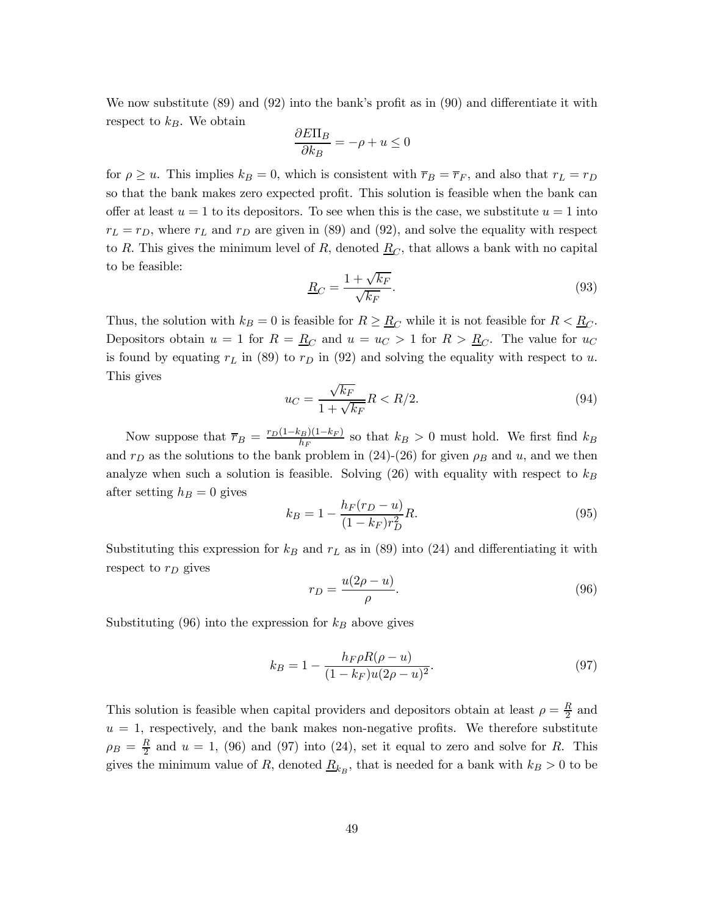We now substitute (89) and (92) into the bank's profit as in (90) and differentiate it with respect to  $k_B$ . We obtain

$$
\frac{\partial E\Pi_B}{\partial k_B} = -\rho + u \le 0
$$

for  $\rho \geq u$ . This implies  $k_B = 0$ , which is consistent with  $\overline{r}_B = \overline{r}_F$ , and also that  $r_L = r_D$ so that the bank makes zero expected profit. This solution is feasible when the bank can offer at least  $u = 1$  to its depositors. To see when this is the case, we substitute  $u = 1$  into  $r_L = r_D$ , where  $r_L$  and  $r_D$  are given in (89) and (92), and solve the equality with respect to R. This gives the minimum level of R, denoted  $\underline{R}_C$ , that allows a bank with no capital to be feasible:

$$
\underline{R}_C = \frac{1 + \sqrt{k_F}}{\sqrt{k_F}}.\tag{93}
$$

Thus, the solution with  $k_B = 0$  is feasible for  $R \geq R_C$  while it is not feasible for  $R < R_C$ . Depositors obtain  $u = 1$  for  $R = \underline{R}_C$  and  $u = u_C > 1$  for  $R > \underline{R}_C$ . The value for  $u_C$ is found by equating  $r_L$  in (89) to  $r_D$  in (92) and solving the equality with respect to u. This gives

$$
u_C = \frac{\sqrt{k_F}}{1 + \sqrt{k_F}} R < R/2. \tag{94}
$$

Now suppose that  $\overline{r}_B = \frac{r_D(1-k_B)(1-k_F)}{h_F}$  so that  $k_B > 0$  must hold. We first find  $k_B$ and  $r_D$  as the solutions to the bank problem in (24)-(26) for given  $\rho_B$  and u, and we then analyze when such a solution is feasible. Solving  $(26)$  with equality with respect to  $k_B$ after setting  $h_B = 0$  gives

$$
k_B = 1 - \frac{h_F(r_D - u)}{(1 - k_F)r_D^2}R.
$$
\n(95)

Substituting this expression for  $k_B$  and  $r_L$  as in (89) into (24) and differentiating it with respect to  $r_D$  gives

$$
r_D = \frac{u(2\rho - u)}{\rho}.\tag{96}
$$

Substituting  $(96)$  into the expression for  $k_B$  above gives

$$
k_B = 1 - \frac{h_F \rho R(\rho - u)}{(1 - k_F)u(2\rho - u)^2}.
$$
\n(97)

This solution is feasible when capital providers and depositors obtain at least  $\rho = \frac{R}{2}$  and  $u = 1$ , respectively, and the bank makes non-negative profits. We therefore substitute  $\rho_B = \frac{R}{2}$  and  $u = 1$ , (96) and (97) into (24), set it equal to zero and solve for R. This gives the minimum value of R, denoted  $\underline{R}_{k_B}$ , that is needed for a bank with  $k_B > 0$  to be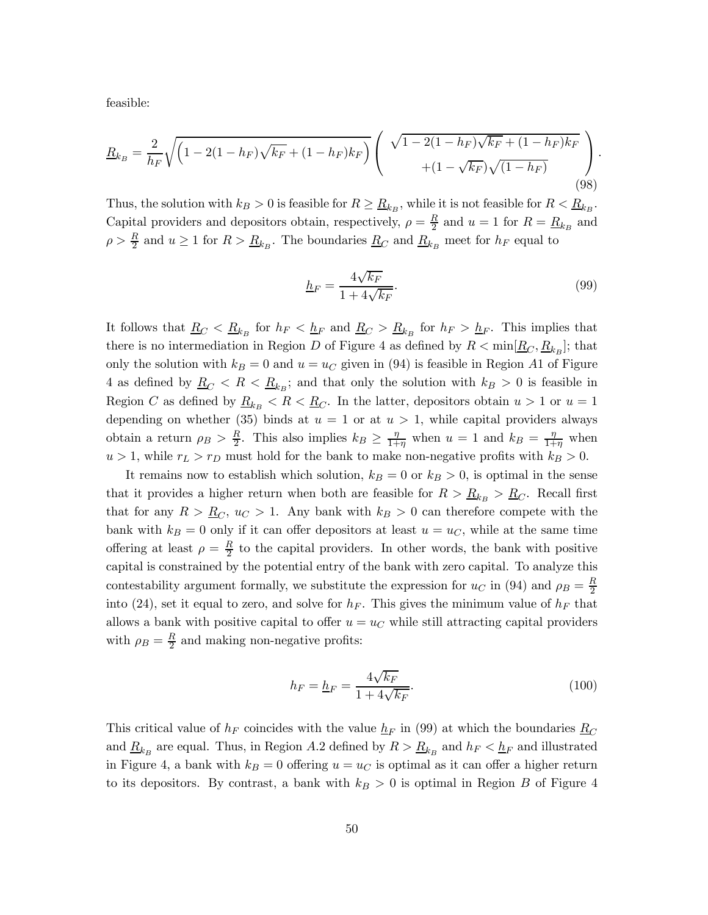feasible:

$$
\underline{R}_{k_B} = \frac{2}{h_F} \sqrt{\left(1 - 2(1 - h_F)\sqrt{k_F} + (1 - h_F)k_F\right)} \left(\begin{array}{c} \sqrt{1 - 2(1 - h_F)\sqrt{k_F} + (1 - h_F)k_F} \\ + (1 - \sqrt{k_F})\sqrt{(1 - h_F)} \end{array}\right). \tag{98}
$$

Thus, the solution with  $k_B > 0$  is feasible for  $R \geq R_{k_B}$ , while it is not feasible for  $R < R_{k_B}$ . Capital providers and depositors obtain, respectively,  $\rho = \frac{R}{2}$  and  $u = 1$  for  $R = \underline{R}_{k_B}$  and  $\rho > \frac{R}{2}$  and  $u \ge 1$  for  $R > \underline{R}_{k_B}$ . The boundaries  $\underline{R}_C$  and  $\underline{R}_{k_B}$  meet for  $h_F$  equal to

$$
\underline{h}_F = \frac{4\sqrt{k_F}}{1 + 4\sqrt{k_F}}.\tag{99}
$$

It follows that  $\underline{R}_C < \underline{R}_{k_B}$  for  $h_F < \underline{h}_F$  and  $\underline{R}_C > \underline{R}_{k_B}$  for  $h_F > \underline{h}_F$ . This implies that there is no intermediation in Region D of Figure 4 as defined by  $R < \min[\underline{R}_C, \underline{R}_{k_B}]$ ; that only the solution with  $k_B = 0$  and  $u = u_C$  given in (94) is feasible in Region A1 of Figure 4 as defined by  $\underline{R}_C < R < \underline{R}_{k_B}$ ; and that only the solution with  $k_B > 0$  is feasible in Region C as defined by  $\underline{R}_{k_B} < R < \underline{R}_C$ . In the latter, depositors obtain  $u > 1$  or  $u = 1$ depending on whether (35) binds at  $u = 1$  or at  $u > 1$ , while capital providers always obtain a return  $\rho_B > \frac{R}{2}$ . This also implies  $k_B \ge \frac{\eta}{1+\eta}$  when  $u = 1$  and  $k_B = \frac{\eta}{1+\eta}$  when  $u > 1$ , while  $r_L > r_D$  must hold for the bank to make non-negative profits with  $k_B > 0$ .

It remains now to establish which solution,  $k_B = 0$  or  $k_B > 0$ , is optimal in the sense that it provides a higher return when both are feasible for  $R > R_{k_B} > R_C$ . Recall first that for any  $R > R_C$ ,  $u_C > 1$ . Any bank with  $k_B > 0$  can therefore compete with the bank with  $k_B = 0$  only if it can offer depositors at least  $u = u_C$ , while at the same time offering at least  $\rho = \frac{R}{2}$  to the capital providers. In other words, the bank with positive capital is constrained by the potential entry of the bank with zero capital. To analyze this contestability argument formally, we substitute the expression for  $u_C$  in (94) and  $\rho_B = \frac{R}{2}$ into (24), set it equal to zero, and solve for  $h_F$ . This gives the minimum value of  $h_F$  that allows a bank with positive capital to offer  $u = u_C$  while still attracting capital providers with  $\rho_B = \frac{R}{2}$  and making non-negative profits:

$$
h_F = \underline{h}_F = \frac{4\sqrt{k_F}}{1 + 4\sqrt{k_F}}.\tag{100}
$$

This critical value of  $h_F$  coincides with the value  $h_F$  in (99) at which the boundaries  $R_C$ and  $\underline{R}_{k_B}$  are equal. Thus, in Region A.2 defined by  $R > \underline{R}_{k_B}$  and  $h_F < \underline{h_F}$  and illustrated in Figure 4, a bank with  $k_B = 0$  offering  $u = u_C$  is optimal as it can offer a higher return to its depositors. By contrast, a bank with  $k_B > 0$  is optimal in Region B of Figure 4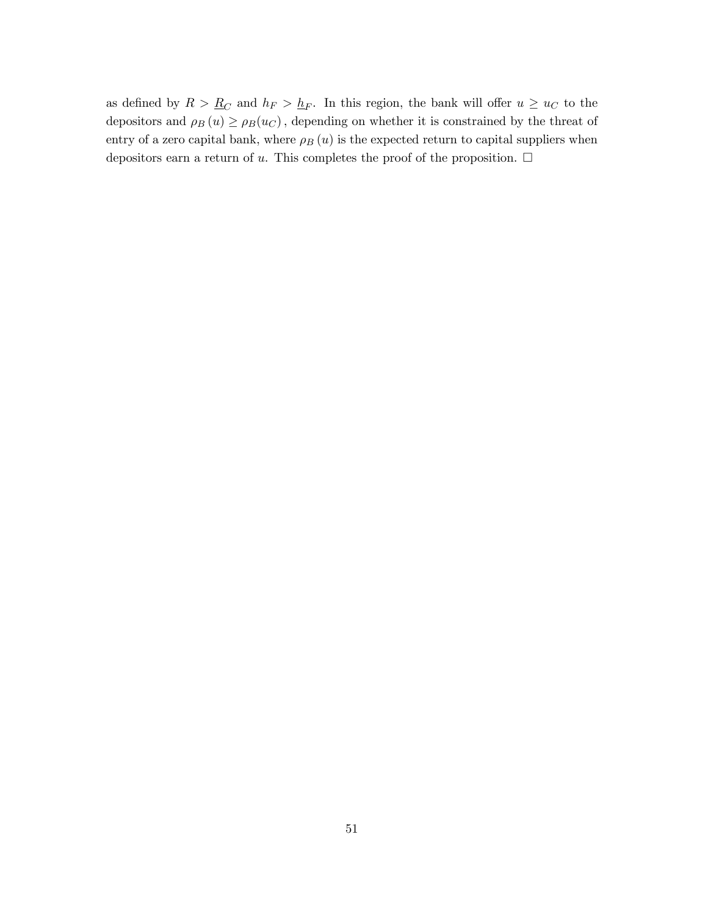as defined by  $R > R_C$  and  $h_F > h_F$ . In this region, the bank will offer  $u \geq u_C$  to the depositors and  $\rho_B(u) \ge \rho_B(u_C)$ , depending on whether it is constrained by the threat of entry of a zero capital bank, where  $\rho_B(u)$  is the expected return to capital suppliers when depositors earn a return of u. This completes the proof of the proposition.  $\Box$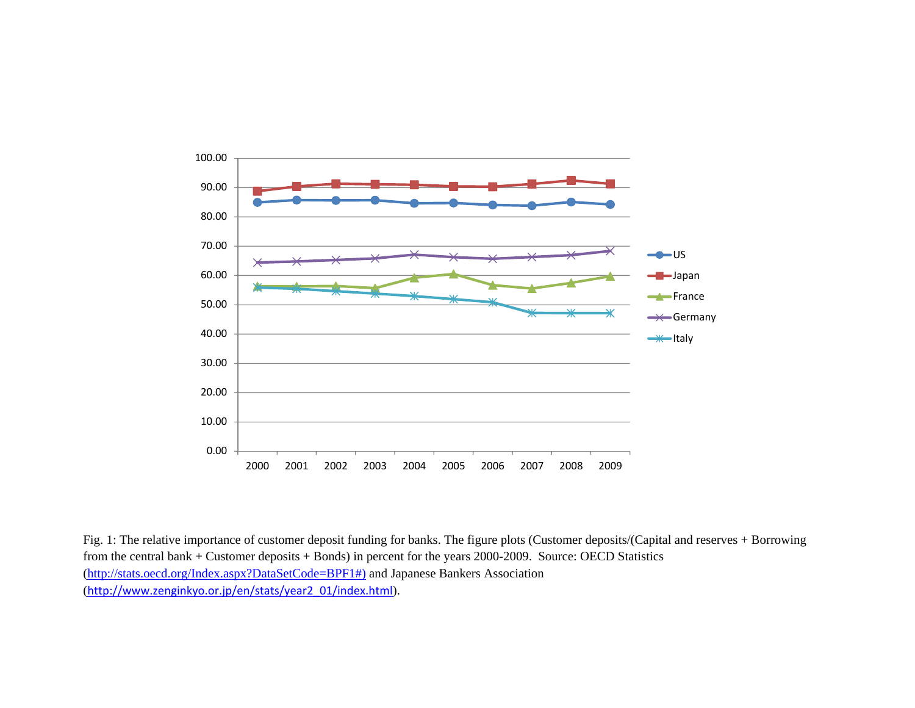

Fig. 1: The relative importance of customer deposit funding for banks. The figure plots (Customer deposits/(Capital and reserves + Borrowing from the central bank + Customer deposits + Bonds) in percent for the years 2000-2009. Source: OECD Statistics (http://stats.oecd.org/Index.aspx?DataSetCode=BPF1#) and Japanese Bankers Association (http://www.zenginkyo.or.jp/en/stats/year2\_01/index.html).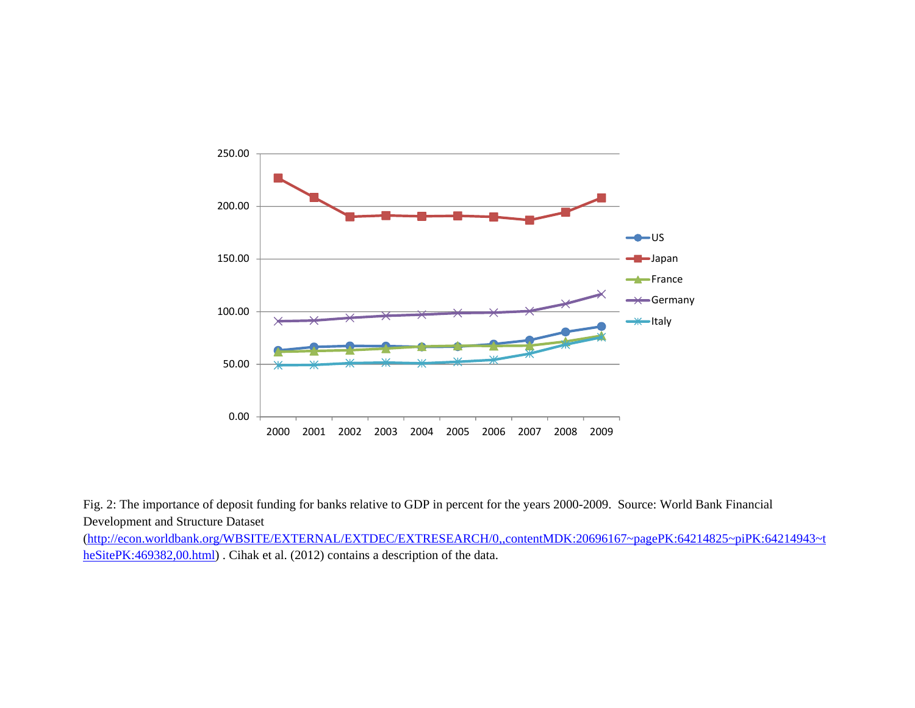

Fig. 2: The importance of deposit funding for banks relative to GDP in percent for the years 2000-2009. Source: World Bank Financial Development and Structure Dataset

(http://econ.worldbank.org/WBSITE/EXTERNAL/EXTDEC/EXTRESEARCH/0,,contentMDK:20696167~pagePK:64214825~piPK:64214943~t heSitePK:469382,00.html) . Cihak et al. (2012) contains a description of the data.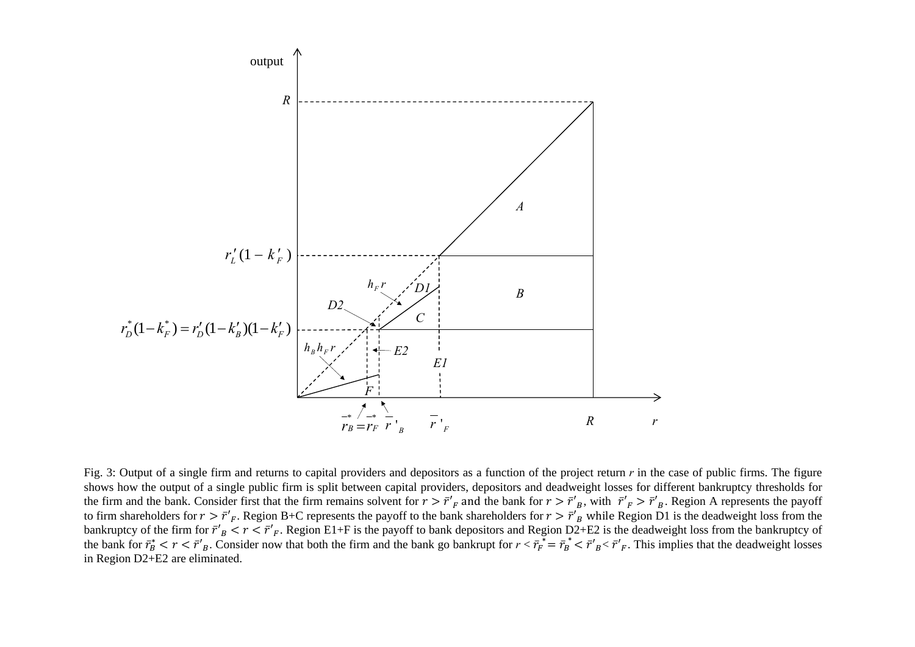

Fig. 3: Output of a single firm and returns to capital providers and depositors as a function of the project return r in the case of public firms. The figure shows how the output of <sup>a</sup> single public firm is split between capital providers, depositors and deadweight losses for different bankruptcy thresholds for the firm and the bank. Consider first that the firm remains solvent for  $r > \bar{r}'_F$  and the bank for  $r > \bar{r}'_B$ , with  $\bar{r}'_F > \bar{r}'_B$ . Region A represents the payoff to firm shareholders for  $r > \bar{r}'_F$ . Region B+C represents the payoff to the bank shareholders for  $r > \bar{r}'_B$  while Region D1 is the deadweight loss from the bankruptcy of the firm for  $\bar{r}'_B < r < \bar{r}'_F$ . Region E1+F is the payoff to bank depositors and Region D2+E2 is the deadweight loss from the bankruptcy of the bank for  $\bar{r}_B^* < r < \bar{r}'_B$ . Consider now that both the firm and the bank go bankrupt for  $r < \bar{r}_F^* = \bar{r}_B^* < \bar{r}'_B < \bar{r}'_B$ . This implies that the deadweight losses in Region D2+E2 are eliminated.